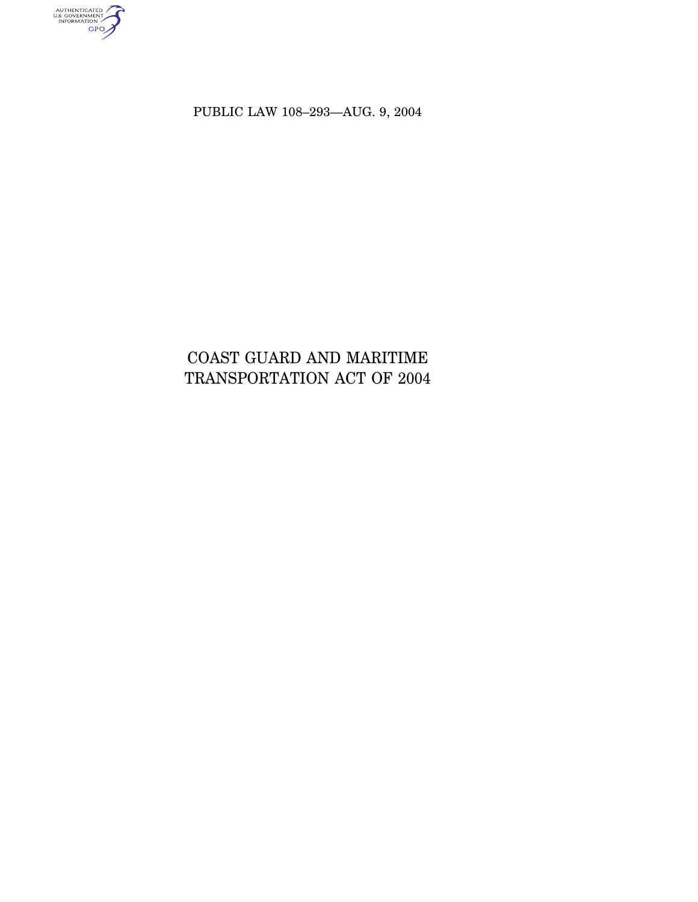PUBLIC LAW 108–293—AUG. 9, 2004

AUTHENTICATED<br>U.S. GOVERNMENT<br>INFORMATION<br>GPO

# COAST GUARD AND MARITIME TRANSPORTATION ACT OF 2004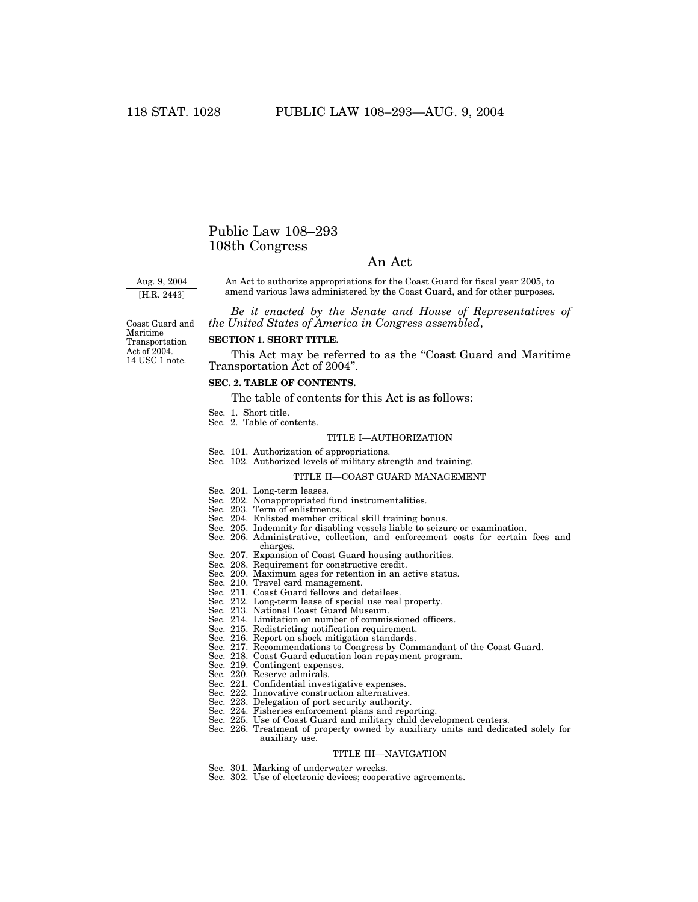# Public Law 108–293 108th Congress

# An Act

Aug. 9, 2004 [H.R. 2443]

An Act to authorize appropriations for the Coast Guard for fiscal year 2005, to amend various laws administered by the Coast Guard, and for other purposes.

*Be it enacted by the Senate and House of Representatives of the United States of America in Congress assembled*,

Coast Guard and Maritime Transportation Act of 2004. 14 USC 1 note.

# **SECTION 1. SHORT TITLE.**

This Act may be referred to as the "Coast Guard and Maritime Transportation Act of 2004''.

# **SEC. 2. TABLE OF CONTENTS.**

The table of contents for this Act is as follows:

- Sec. 1. Short title.
- Sec. 2. Table of contents.

#### TITLE I—AUTHORIZATION

- Sec. 101. Authorization of appropriations.
- Sec. 102. Authorized levels of military strength and training.

#### TITLE II—COAST GUARD MANAGEMENT

- Sec. 201. Long-term leases.
- Sec. 202. Nonappropriated fund instrumentalities.
- Sec. 203. Term of enlistments.
- Sec. 204. Enlisted member critical skill training bonus.
- Sec. 205. Indemnity for disabling vessels liable to seizure or examination.
- Sec. 206. Administrative, collection, and enforcement costs for certain fees and charges.
- Sec. 207. Expansion of Coast Guard housing authorities.
- Sec. 208. Requirement for constructive credit.
- Sec. 209. Maximum ages for retention in an active status.
- Sec. 210. Travel card management.
- Sec. 211. Coast Guard fellows and detailees.
- Sec. 212. Long-term lease of special use real property.
- Sec. 213. National Coast Guard Museum.
- Sec. 214. Limitation on number of commissioned officers.
- Sec. 215. Redistricting notification requirement.
- Sec. 216. Report on shock mitigation standards.
- Sec. 217. Recommendations to Congress by Commandant of the Coast Guard.
- Sec. 218. Coast Guard education loan repayment program.
- Sec. 219. Contingent expenses.
- Sec. 220. Reserve admirals.
- Sec. 221. Confidential investigative expenses.
- Sec. 222. Innovative construction alternatives.
- Sec. 223. Delegation of port security authority.
- Sec. 224. Fisheries enforcement plans and reporting.
- Sec. 225. Use of Coast Guard and military child development centers.
- Sec. 226. Treatment of property owned by auxiliary units and dedicated solely for auxiliary use.

#### TITLE III—NAVIGATION

- Sec. 301. Marking of underwater wrecks.
- Sec. 302. Use of electronic devices; cooperative agreements.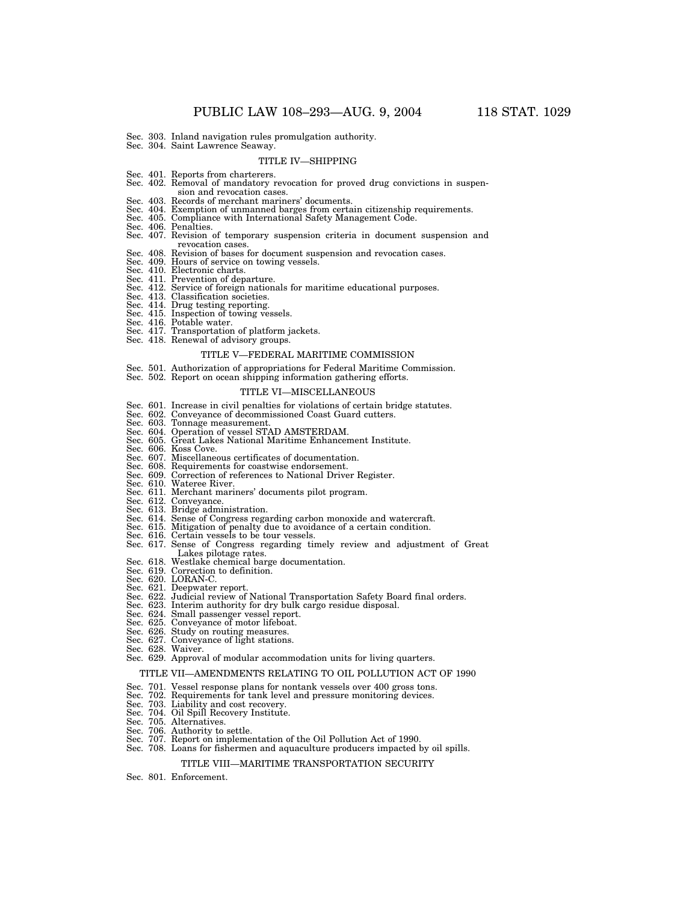- Sec. 303. Inland navigation rules promulgation authority. Sec. 304. Saint Lawrence Seaway.
- 

#### TITLE IV—SHIPPING

- Sec. 401. Reports from charterers.
- Sec. 402. Removal of mandatory revocation for proved drug convictions in suspension and revocation cases.
- Sec. 403. Records of merchant mariners' documents.
- Sec. 404. Exemption of unmanned barges from certain citizenship requirements. Sec. 405. Compliance with International Safety Management Code. Sec. 406. Penalties.
- 
- 
- Sec. 407. Revision of temporary suspension criteria in document suspension and revocation cases.
- Sec. 408. Revision of bases for document suspension and revocation cases.
- Sec. 409. Hours of service on towing vessels.
- Sec. 410. Electronic charts.
- Sec. 411. Prevention of departure.
- Sec. 412. Service of foreign nationals for maritime educational purposes.
- Sec. 413. Classification societies. Sec. 414. Drug testing reporting.
- 
- Sec. 415. Inspection of towing vessels. Sec. 416. Potable water. Sec. 417. Transportation of platform jackets.
- 
- Sec. 418. Renewal of advisory groups.

# TITLE V—FEDERAL MARITIME COMMISSION

- 
- Sec. 501. Authorization of appropriations for Federal Maritime Commission. Sec. 502. Report on ocean shipping information gathering efforts.

#### TITLE VI—MISCELLANEOUS

- Sec. 601. Increase in civil penalties for violations of certain bridge statutes.
- Sec. 602. Conveyance of decommissioned Coast Guard cutters. Sec. 603. Tonnage measurement. Sec. 604. Operation of vessel STAD AMSTERDAM.
- 
- Sec. 605. Great Lakes National Maritime Enhancement Institute. Sec. 606. Koss Cove.
- 
- Sec. 607. Miscellaneous certificates of documentation.
- Sec. 608. Requirements for coastwise endorsement.
- Sec. 609. Correction of references to National Driver Register. Sec. 610. Wateree River.
- 
- Sec. 611. Merchant mariners' documents pilot program.
- 
- 
- Sec. 612. Conveyance. Sec. 613. Bridge administration. Sec. 614. Sense of Congress regarding carbon monoxide and watercraft.
- 
- 
- Sec. 615. Mitigation of penalty due to avoidance of a certain condition. Sec. 616. Certain vessels to be tour vessels. Sec. 617. Sense of Congress regarding timely review and adjustment of Great Lakes pilotage rates.
- Sec. 618. Westlake chemical barge documentation.
- 
- 
- 
- Sec. 619. Correction to definition.<br>Sec. 620. LORAN-C.<br>Sec. 621. Deepwater report.<br>Sec. 622. Judicial review of National Transportation Safety Board final orders.<br>Sec. 623. Interim authority for dry bulk cargo residue disp
- 
- Sec. 624. Small passenger vessel report.
- 
- 
- Sec. 625. Conveyance of motor lifeboat. Sec. 626. Study on routing measures. Sec. 627. Conveyance of light stations. Sec. 628. Waiver.
- 

# Sec. 629. Approval of modular accommodation units for living quarters.

- TITLE VII—AMENDMENTS RELATING TO OIL POLLUTION ACT OF 1990
- Sec. 701. Vessel response plans for nontank vessels over 400 gross tons.
- Sec. 702. Requirements for tank level and pressure monitoring devices.
- 
- Sec. 703. Liability and cost recovery. Sec. 704. Oil Spill Recovery Institute.
- 
- Sec. 705. Alternatives. Sec. 706. Authority to settle.
- Report on implementation of the Oil Pollution Act of 1990.
- Sec. 708. Loans for fishermen and aquaculture producers impacted by oil spills.

### TITLE VIII—MARITIME TRANSPORTATION SECURITY

Sec. 801. Enforcement.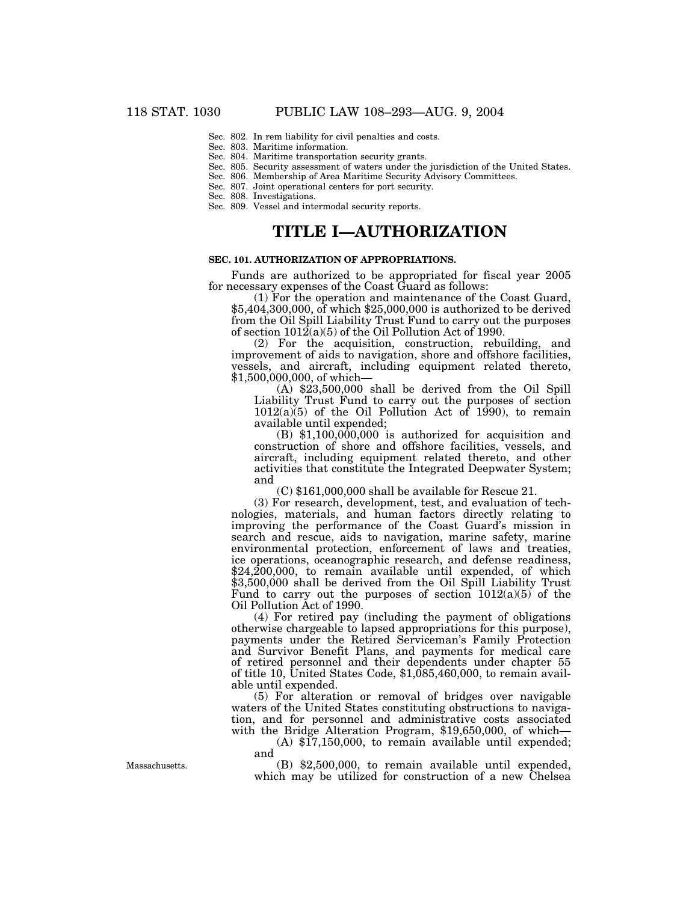- Sec. 802. In rem liability for civil penalties and costs.
- Sec. 803. Maritime information.

# Sec. 804. Maritime transportation security grants.

- Sec. 805. Security assessment of waters under the jurisdiction of the United States.
- Sec. 806. Membership of Area Maritime Security Advisory Committees.
- Sec. 807. Joint operational centers for port security.
- Sec. 808. Investigations.
- Sec. 809. Vessel and intermodal security reports.

# **TITLE I—AUTHORIZATION**

# **SEC. 101. AUTHORIZATION OF APPROPRIATIONS.**

Funds are authorized to be appropriated for fiscal year 2005 for necessary expenses of the Coast Guard as follows:<br>(1) For the operation and maintenance of the Coast Guard,

 $$5,404,300,000$ , of which  $$25,000,000$  is authorized to be derived from the Oil Spill Liability Trust Fund to carry out the purposes of section  $1012(a)(5)$  of the Oil Pollution Act of 1990.

(2) For the acquisition, construction, rebuilding, and improvement of aids to navigation, shore and offshore facilities, vessels, and aircraft, including equipment related thereto, \$1,500,000,000, of which—

(A) \$23,500,000 shall be derived from the Oil Spill Liability Trust Fund to carry out the purposes of section  $1012(a)(5)$  of the Oil Pollution Act of 1990), to remain available until expended; (B) \$1,100,000,000 is authorized for acquisition and

construction of shore and offshore facilities, vessels, and aircraft, including equipment related thereto, and other activities that constitute the Integrated Deepwater System; and

(C) \$161,000,000 shall be available for Rescue 21.

(3) For research, development, test, and evaluation of technologies, materials, and human factors directly relating to improving the performance of the Coast Guard's mission in search and rescue, aids to navigation, marine safety, marine environmental protection, enforcement of laws and treaties, ice operations, oceanographic research, and defense readiness, \$24,200,000, to remain available until expended, of which \$3,500,000 shall be derived from the Oil Spill Liability Trust Fund to carry out the purposes of section  $1012(a)(5)$  of the Oil Pollution Act of 1990.

(4) For retired pay (including the payment of obligations otherwise chargeable to lapsed appropriations for this purpose), payments under the Retired Serviceman's Family Protection and Survivor Benefit Plans, and payments for medical care of retired personnel and their dependents under chapter 55 of title 10, United States Code, \$1,085,460,000, to remain available until expended.

(5) For alteration or removal of bridges over navigable waters of the United States constituting obstructions to navigation, and for personnel and administrative costs associated with the Bridge Alteration Program, \$19,650,000, of which-

(A) \$17,150,000, to remain available until expended; and

(B) \$2,500,000, to remain available until expended, which may be utilized for construction of a new Chelsea

Massachusetts.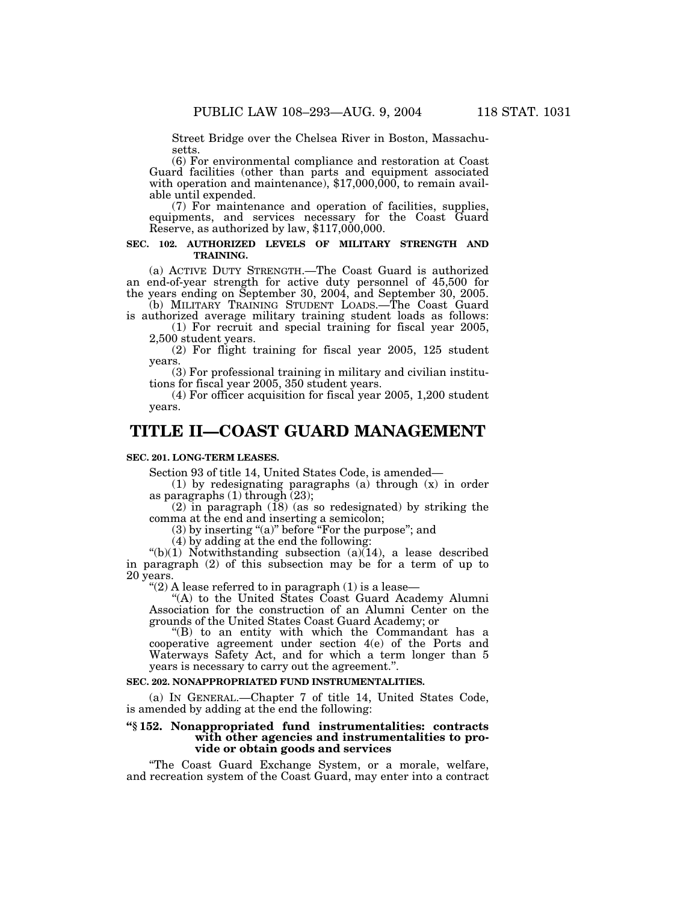Street Bridge over the Chelsea River in Boston, Massachusetts.

(6) For environmental compliance and restoration at Coast Guard facilities (other than parts and equipment associated with operation and maintenance),  $$17,000,000$ , to remain available until expended.

(7) For maintenance and operation of facilities, supplies, equipments, and services necessary for the Coast Guard Reserve, as authorized by law, \$117,000,000.

# **SEC. 102. AUTHORIZED LEVELS OF MILITARY STRENGTH AND TRAINING.**

(a) ACTIVE DUTY STRENGTH.—The Coast Guard is authorized an end-of-year strength for active duty personnel of 45,500 for the years ending on September 30, 2004, and September 30, 2005.

(b) MILITARY TRAINING STUDENT LOADS.—The Coast Guard is authorized average military training student loads as follows: (1) For recruit and special training for fiscal year 2005,

2,500 student years.

(2) For flight training for fiscal year 2005, 125 student years.

(3) For professional training in military and civilian institutions for fiscal year 2005, 350 student years.

(4) For officer acquisition for fiscal year 2005, 1,200 student years.

# **TITLE II—COAST GUARD MANAGEMENT**

## **SEC. 201. LONG-TERM LEASES.**

Section 93 of title 14, United States Code, is amended—

(1) by redesignating paragraphs (a) through (x) in order as paragraphs  $(1)$  through  $(23)$ ;

 $(2)$  in paragraph  $(18)$  (as so redesignated) by striking the comma at the end and inserting a semicolon;

 $(3)$  by inserting "(a)" before "For the purpose"; and

(4) by adding at the end the following:

"(b)(1) Notwithstanding subsection (a) $(14)$ , a lease described in paragraph (2) of this subsection may be for a term of up to 20 years.

" $(2)$  A lease referred to in paragraph  $(1)$  is a lease-

''(A) to the United States Coast Guard Academy Alumni Association for the construction of an Alumni Center on the grounds of the United States Coast Guard Academy; or

''(B) to an entity with which the Commandant has a cooperative agreement under section 4(e) of the Ports and Waterways Safety Act, and for which a term longer than 5 years is necessary to carry out the agreement.''.

# **SEC. 202. NONAPPROPRIATED FUND INSTRUMENTALITIES.**

(a) IN GENERAL.—Chapter 7 of title 14, United States Code, is amended by adding at the end the following:

# **''§ 152. Nonappropriated fund instrumentalities: contracts with other agencies and instrumentalities to provide or obtain goods and services**

''The Coast Guard Exchange System, or a morale, welfare, and recreation system of the Coast Guard, may enter into a contract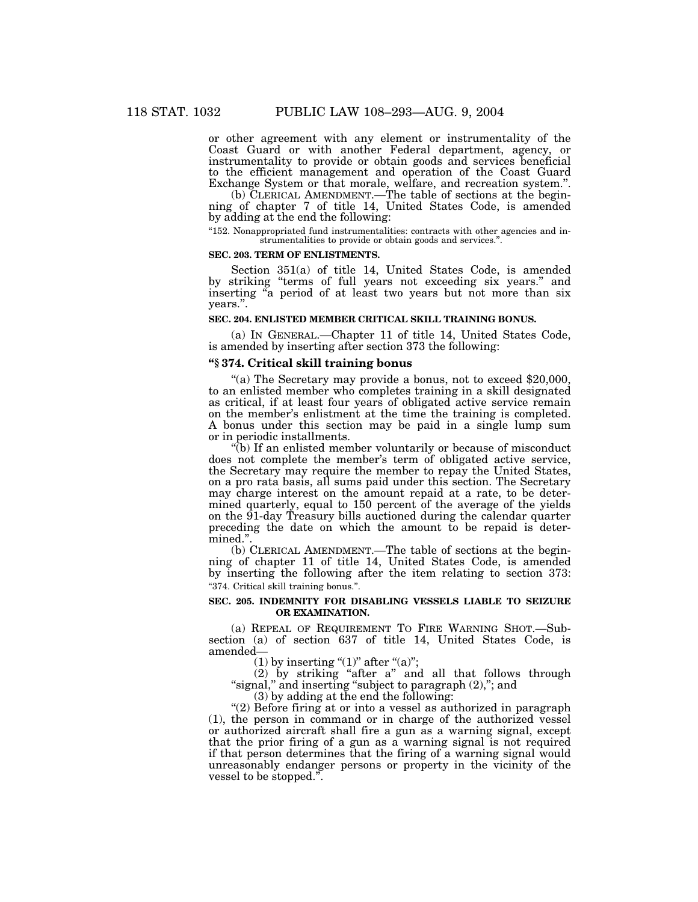or other agreement with any element or instrumentality of the Coast Guard or with another Federal department, agency, or instrumentality to provide or obtain goods and services beneficial to the efficient management and operation of the Coast Guard Exchange System or that morale, welfare, and recreation system.''.

(b) CLERICAL AMENDMENT.—The table of sections at the beginning of chapter 7 of title 14, United States Code, is amended by adding at the end the following:

''152. Nonappropriated fund instrumentalities: contracts with other agencies and instrumentalities to provide or obtain goods and services.''.

#### **SEC. 203. TERM OF ENLISTMENTS.**

Section 351(a) of title 14, United States Code, is amended by striking ''terms of full years not exceeding six years.'' and inserting ''a period of at least two years but not more than six years.''.

# **SEC. 204. ENLISTED MEMBER CRITICAL SKILL TRAINING BONUS.**

(a) IN GENERAL.—Chapter 11 of title 14, United States Code, is amended by inserting after section 373 the following:

#### **''§ 374. Critical skill training bonus**

"(a) The Secretary may provide a bonus, not to exceed \$20,000, to an enlisted member who completes training in a skill designated as critical, if at least four years of obligated active service remain on the member's enlistment at the time the training is completed. A bonus under this section may be paid in a single lump sum or in periodic installments.

''(b) If an enlisted member voluntarily or because of misconduct does not complete the member's term of obligated active service, the Secretary may require the member to repay the United States, on a pro rata basis, all sums paid under this section. The Secretary may charge interest on the amount repaid at a rate, to be determined quarterly, equal to 150 percent of the average of the yields on the 91-day Treasury bills auctioned during the calendar quarter preceding the date on which the amount to be repaid is determined.''.

(b) CLERICAL AMENDMENT.—The table of sections at the beginning of chapter 11 of title 14, United States Code, is amended by inserting the following after the item relating to section 373: ''374. Critical skill training bonus.''.

## **SEC. 205. INDEMNITY FOR DISABLING VESSELS LIABLE TO SEIZURE OR EXAMINATION.**

(a) REPEAL OF REQUIREMENT TO FIRE WARNING SHOT.—Subsection (a) of section 637 of title 14, United States Code, is amended—

(1) by inserting " $(1)$ " after " $(a)$ ";

(2) by striking ''after a'' and all that follows through ''signal,'' and inserting ''subject to paragraph (2),''; and

(3) by adding at the end the following:

''(2) Before firing at or into a vessel as authorized in paragraph (1), the person in command or in charge of the authorized vessel or authorized aircraft shall fire a gun as a warning signal, except that the prior firing of a gun as a warning signal is not required if that person determines that the firing of a warning signal would unreasonably endanger persons or property in the vicinity of the vessel to be stopped.''.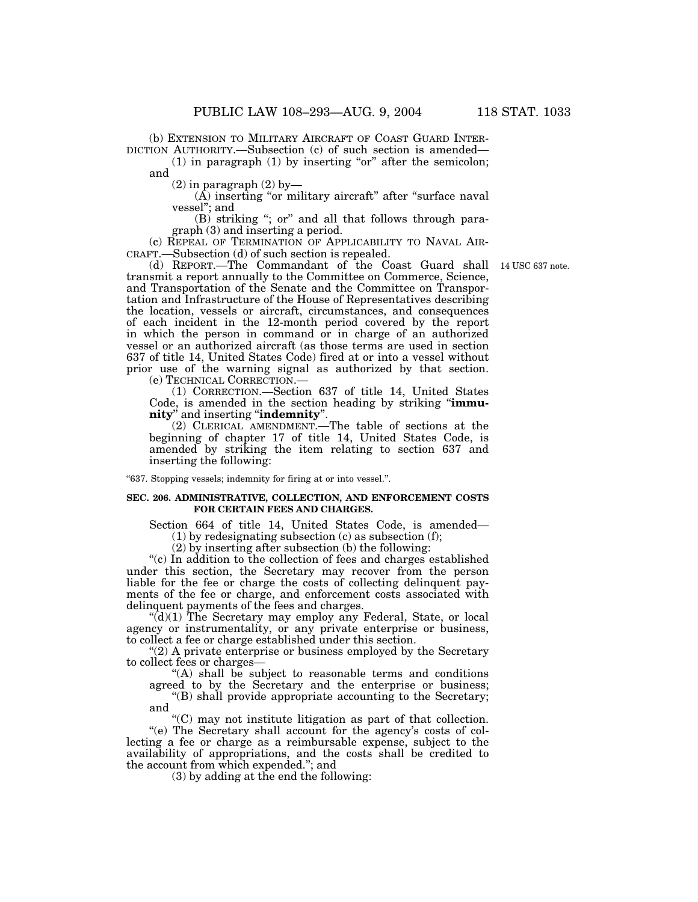(b) EXTENSION TO MILITARY AIRCRAFT OF COAST GUARD INTER-DICTION AUTHORITY.—Subsection (c) of such section is amended—

 $(1)$  in paragraph  $(1)$  by inserting "or" after the semicolon; and

 $(2)$  in paragraph  $(2)$  by-

 $(\hat{A})$  inserting "or military aircraft" after "surface naval vessel''; and

 $(B)$  striking "; or" and all that follows through paragraph (3) and inserting a period.

(c) REPEAL OF TERMINATION OF APPLICABILITY TO NAVAL AIR-CRAFT.—Subsection (d) of such section is repealed.

(d) REPORT.—The Commandant of the Coast Guard shall 14 USC 637 note. transmit a report annually to the Committee on Commerce, Science, and Transportation of the Senate and the Committee on Transportation and Infrastructure of the House of Representatives describing the location, vessels or aircraft, circumstances, and consequences of each incident in the 12-month period covered by the report in which the person in command or in charge of an authorized vessel or an authorized aircraft (as those terms are used in section 637 of title 14, United States Code) fired at or into a vessel without prior use of the warning signal as authorized by that section. (e) TECHNICAL CORRECTION.—

(1) CORRECTION.—Section 637 of title 14, United States Code, is amended in the section heading by striking ''**immunity**'' and inserting ''**indemnity**''.

(2) CLERICAL AMENDMENT.—The table of sections at the beginning of chapter 17 of title 14, United States Code, is amended by striking the item relating to section 637 and inserting the following:

''637. Stopping vessels; indemnity for firing at or into vessel.''.

#### **SEC. 206. ADMINISTRATIVE, COLLECTION, AND ENFORCEMENT COSTS FOR CERTAIN FEES AND CHARGES.**

Section 664 of title 14, United States Code, is amended— (1) by redesignating subsection (c) as subsection (f);

(2) by inserting after subsection (b) the following:

''(c) In addition to the collection of fees and charges established under this section, the Secretary may recover from the person liable for the fee or charge the costs of collecting delinquent payments of the fee or charge, and enforcement costs associated with delinquent payments of the fees and charges.

 $\hat{d}(d)(1)$  The Secretary may employ any Federal, State, or local agency or instrumentality, or any private enterprise or business, to collect a fee or charge established under this section.

"(2) A private enterprise or business employed by the Secretary to collect fees or charges—

''(A) shall be subject to reasonable terms and conditions agreed to by the Secretary and the enterprise or business;

''(B) shall provide appropriate accounting to the Secretary; and

''(C) may not institute litigation as part of that collection. ''(e) The Secretary shall account for the agency's costs of col-

lecting a fee or charge as a reimbursable expense, subject to the availability of appropriations, and the costs shall be credited to the account from which expended.''; and

(3) by adding at the end the following: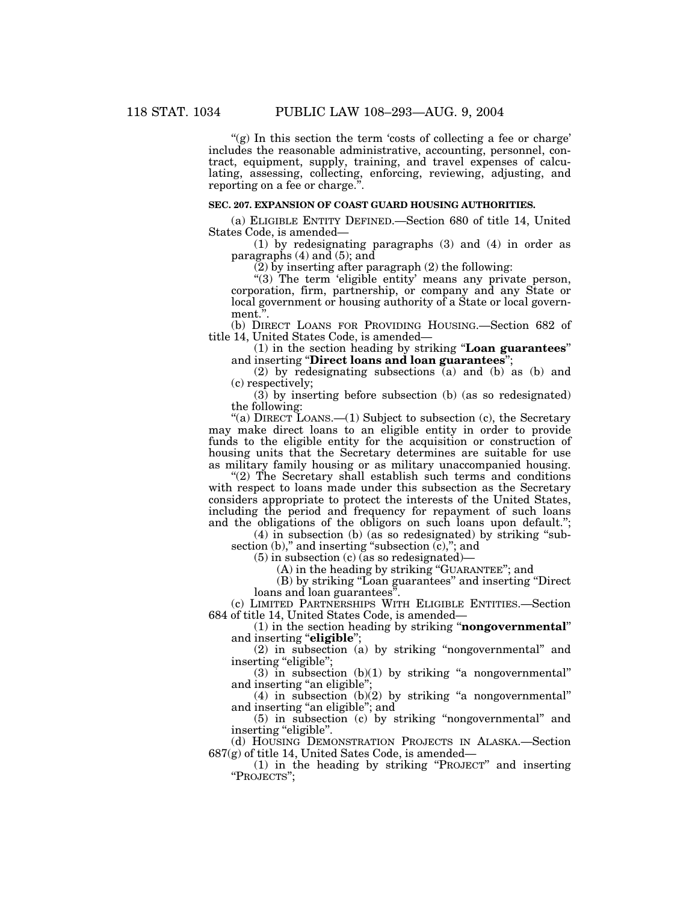$'(g)$  In this section the term 'costs of collecting a fee or charge' includes the reasonable administrative, accounting, personnel, contract, equipment, supply, training, and travel expenses of calculating, assessing, collecting, enforcing, reviewing, adjusting, and reporting on a fee or charge."

# **SEC. 207. EXPANSION OF COAST GUARD HOUSING AUTHORITIES.**

(a) ELIGIBLE ENTITY DEFINED.—Section 680 of title 14, United States Code, is amended—

(1) by redesignating paragraphs (3) and (4) in order as paragraphs (4) and (5); and

(2) by inserting after paragraph (2) the following:

"(3) The term 'eligible entity' means any private person, corporation, firm, partnership, or company and any State or local government or housing authority of a State or local government.''.

(b) DIRECT LOANS FOR PROVIDING HOUSING.—Section 682 of title 14, United States Code, is amended—

(1) in the section heading by striking ''**Loan guarantees**'' and inserting ''**Direct loans and loan guarantees**'';

(2) by redesignating subsections (a) and (b) as (b) and (c) respectively;

 $(3)$  by inserting before subsection (b) (as so redesignated) the following:

"(a) DIRECT LOANS.—(1) Subject to subsection (c), the Secretary may make direct loans to an eligible entity in order to provide funds to the eligible entity for the acquisition or construction of housing units that the Secretary determines are suitable for use as military family housing or as military unaccompanied housing.

"(2) The Secretary shall establish such terms and conditions" with respect to loans made under this subsection as the Secretary considers appropriate to protect the interests of the United States, including the period and frequency for repayment of such loans and the obligations of the obligors on such loans upon default.'';

(4) in subsection (b) (as so redesignated) by striking ''subsection (b)," and inserting "subsection (c),"; and

(5) in subsection (c) (as so redesignated)—

(A) in the heading by striking ''GUARANTEE''; and

(B) by striking ''Loan guarantees'' and inserting ''Direct loans and loan guarantees".

(c) LIMITED PARTNERSHIPS WITH ELIGIBLE ENTITIES.—Section 684 of title 14, United States Code, is amended—

(1) in the section heading by striking ''**nongovernmental**'' and inserting "eligible";

(2) in subsection (a) by striking ''nongovernmental'' and inserting "eligible";

 $(3)$  in subsection  $(b)(1)$  by striking "a nongovernmental" and inserting ''an eligible'';

 $(4)$  in subsection  $(b)(2)$  by striking "a nongovernmental" and inserting ''an eligible''; and

(5) in subsection (c) by striking ''nongovernmental'' and inserting "eligible".

(d) HOUSING DEMONSTRATION PROJECTS IN ALASKA.—Section 687(g) of title 14, United Sates Code, is amended—

(1) in the heading by striking ''PROJECT'' and inserting "PROJECTS";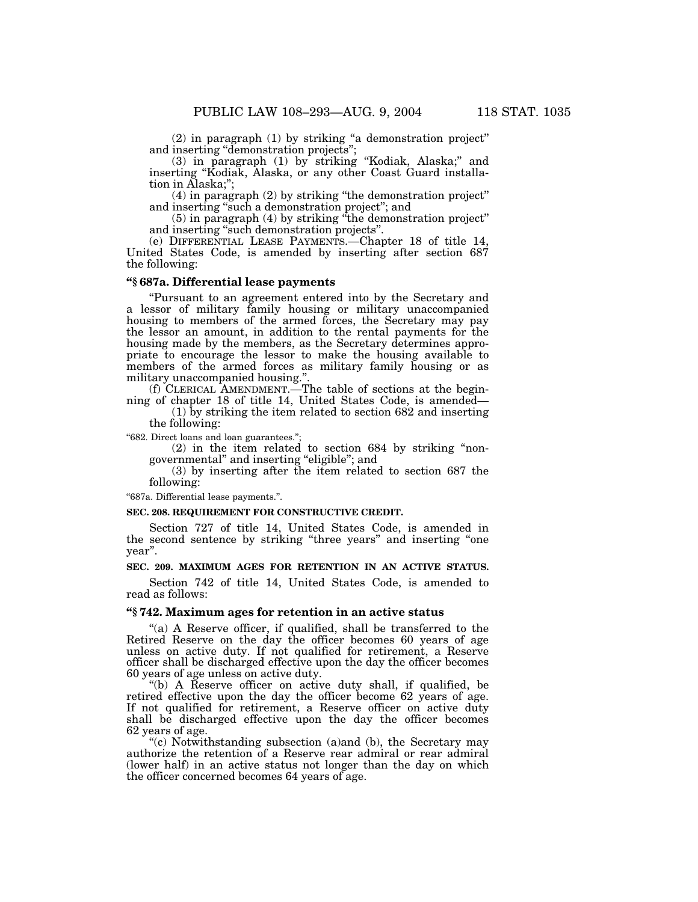(2) in paragraph (1) by striking ''a demonstration project'' and inserting ''demonstration projects'';

(3) in paragraph (1) by striking ''Kodiak, Alaska;'' and inserting ''Kodiak, Alaska, or any other Coast Guard installation in Alaska;'';

(4) in paragraph (2) by striking ''the demonstration project'' and inserting ''such a demonstration project''; and

(5) in paragraph (4) by striking ''the demonstration project'' and inserting ''such demonstration projects''.

(e) DIFFERENTIAL LEASE PAYMENTS.—Chapter 18 of title 14, United States Code, is amended by inserting after section 687 the following:

# **''§ 687a. Differential lease payments**

''Pursuant to an agreement entered into by the Secretary and a lessor of military family housing or military unaccompanied housing to members of the armed forces, the Secretary may pay the lessor an amount, in addition to the rental payments for the housing made by the members, as the Secretary determines appropriate to encourage the lessor to make the housing available to members of the armed forces as military family housing or as military unaccompanied housing.''.

(f) CLERICAL AMENDMENT.—The table of sections at the beginning of chapter 18 of title 14, United States Code, is amended—

(1) by striking the item related to section 682 and inserting the following:

''682. Direct loans and loan guarantees.'';

 $(2)$  in the item related to section 684 by striking "nongovernmental'' and inserting ''eligible''; and

(3) by inserting after the item related to section 687 the following:

''687a. Differential lease payments.''.

#### **SEC. 208. REQUIREMENT FOR CONSTRUCTIVE CREDIT.**

Section 727 of title 14, United States Code, is amended in the second sentence by striking ''three years'' and inserting ''one year''.

# **SEC. 209. MAXIMUM AGES FOR RETENTION IN AN ACTIVE STATUS.**

Section 742 of title 14, United States Code, is amended to read as follows:

# **''§ 742. Maximum ages for retention in an active status**

"(a) A Reserve officer, if qualified, shall be transferred to the Retired Reserve on the day the officer becomes 60 years of age unless on active duty. If not qualified for retirement, a Reserve officer shall be discharged effective upon the day the officer becomes 60 years of age unless on active duty.

''(b) A Reserve officer on active duty shall, if qualified, be retired effective upon the day the officer become 62 years of age. If not qualified for retirement, a Reserve officer on active duty shall be discharged effective upon the day the officer becomes 62 years of age.

 $\degree$ (c) Notwithstanding subsection (a)and (b), the Secretary may authorize the retention of a Reserve rear admiral or rear admiral (lower half) in an active status not longer than the day on which the officer concerned becomes 64 years of age.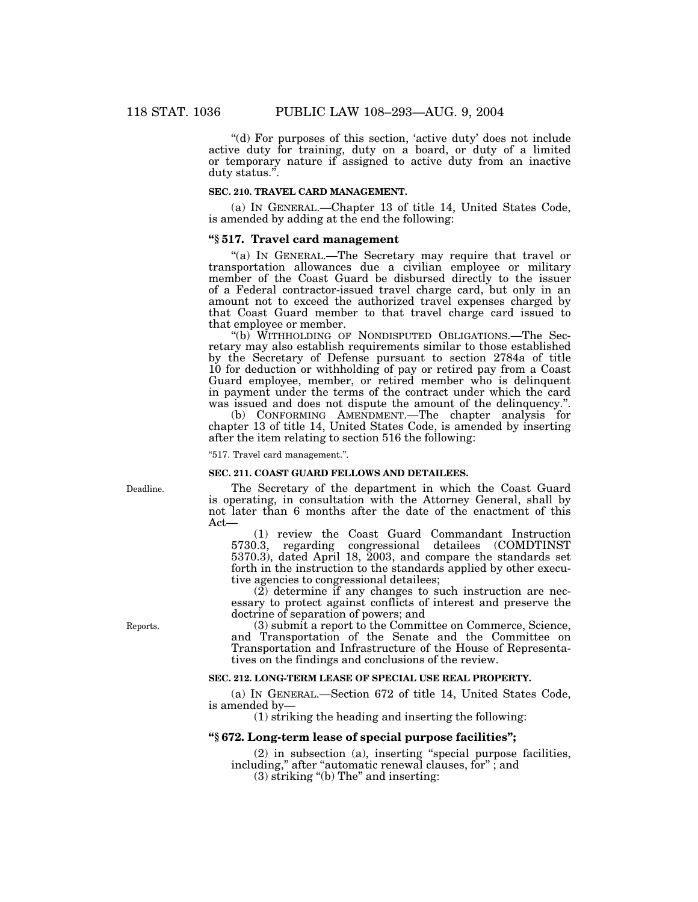''(d) For purposes of this section, 'active duty' does not include active duty for training, duty on a board, or duty of a limited or temporary nature if assigned to active duty from an inactive duty status.''.

#### **SEC. 210. TRAVEL CARD MANAGEMENT.**

(a) IN GENERAL.—Chapter 13 of title 14, United States Code, is amended by adding at the end the following:

# **''§ 517. Travel card management**

"(a) IN GENERAL.—The Secretary may require that travel or transportation allowances due a civilian employee or military member of the Coast Guard be disbursed directly to the issuer of a Federal contractor-issued travel charge card, but only in an amount not to exceed the authorized travel expenses charged by that Coast Guard member to that travel charge card issued to that employee or member.

''(b) WITHHOLDING OF NONDISPUTED OBLIGATIONS.—The Secretary may also establish requirements similar to those established by the Secretary of Defense pursuant to section 2784a of title 10 for deduction or withholding of pay or retired pay from a Coast Guard employee, member, or retired member who is delinquent in payment under the terms of the contract under which the card was issued and does not dispute the amount of the delinquency.''.

(b) CONFORMING AMENDMENT.—The chapter analysis for chapter 13 of title 14, United States Code, is amended by inserting after the item relating to section 516 the following:

''517. Travel card management.''.

## **SEC. 211. COAST GUARD FELLOWS AND DETAILEES.**

The Secretary of the department in which the Coast Guard is operating, in consultation with the Attorney General, shall by not later than 6 months after the date of the enactment of this  $\det$ —

(1) review the Coast Guard Commandant Instruction 5730.3, regarding congressional detailees (COMDTINST 5370.3), dated April 18, 2003, and compare the standards set forth in the instruction to the standards applied by other executive agencies to congressional detailees;

(2) determine if any changes to such instruction are necessary to protect against conflicts of interest and preserve the doctrine of separation of powers; and

(3) submit a report to the Committee on Commerce, Science, and Transportation of the Senate and the Committee on Transportation and Infrastructure of the House of Representatives on the findings and conclusions of the review.

# **SEC. 212. LONG-TERM LEASE OF SPECIAL USE REAL PROPERTY.**

(a) IN GENERAL.—Section 672 of title 14, United States Code, is amended by—

(1) striking the heading and inserting the following:

# **''§ 672. Long-term lease of special purpose facilities'';**

(2) in subsection (a), inserting ''special purpose facilities, including," after "automatic renewal clauses, for"; and

(3) striking ''(b) The'' and inserting:

Deadline.

Reports.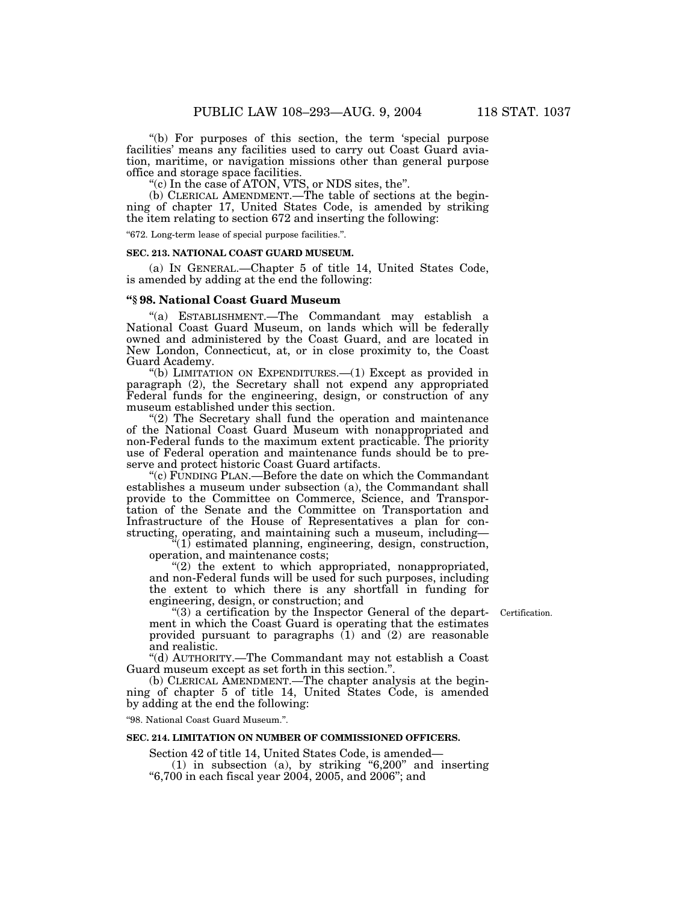''(b) For purposes of this section, the term 'special purpose facilities' means any facilities used to carry out Coast Guard aviation, maritime, or navigation missions other than general purpose office and storage space facilities.

''(c) In the case of ATON, VTS, or NDS sites, the''.

(b) CLERICAL AMENDMENT.—The table of sections at the beginning of chapter 17, United States Code, is amended by striking the item relating to section 672 and inserting the following:

''672. Long-term lease of special purpose facilities.''.

#### **SEC. 213. NATIONAL COAST GUARD MUSEUM.**

(a) IN GENERAL.—Chapter 5 of title 14, United States Code, is amended by adding at the end the following:

# **''§ 98. National Coast Guard Museum**

''(a) ESTABLISHMENT.—The Commandant may establish a National Coast Guard Museum, on lands which will be federally owned and administered by the Coast Guard, and are located in New London, Connecticut, at, or in close proximity to, the Coast Guard Academy.

''(b) LIMITATION ON EXPENDITURES.—(1) Except as provided in paragraph (2), the Secretary shall not expend any appropriated Federal funds for the engineering, design, or construction of any museum established under this section.

"(2) The Secretary shall fund the operation and maintenance of the National Coast Guard Museum with nonappropriated and non-Federal funds to the maximum extent practicable. The priority use of Federal operation and maintenance funds should be to preserve and protect historic Coast Guard artifacts.

"(c) FUNDING PLAN.—Before the date on which the Commandant establishes a museum under subsection (a), the Commandant shall provide to the Committee on Commerce, Science, and Transportation of the Senate and the Committee on Transportation and Infrastructure of the House of Representatives a plan for constructing, operating, and maintaining such a museum, including—

 $\sqrt[4]{(1)}$  estimated planning, engineering, design, construction, operation, and maintenance costs;

"(2) the extent to which appropriated, nonappropriated, and non-Federal funds will be used for such purposes, including the extent to which there is any shortfall in funding for engineering, design, or construction; and

Certification.

 $(3)$  a certification by the Inspector General of the department in which the Coast Guard is operating that the estimates provided pursuant to paragraphs  $(1)$  and  $(2)$  are reasonable and realistic.

''(d) AUTHORITY.—The Commandant may not establish a Coast Guard museum except as set forth in this section.''.

(b) CLERICAL AMENDMENT.—The chapter analysis at the beginning of chapter 5 of title 14, United States Code, is amended by adding at the end the following:

''98. National Coast Guard Museum.''.

# **SEC. 214. LIMITATION ON NUMBER OF COMMISSIONED OFFICERS.**

Section 42 of title 14, United States Code, is amended—

(1) in subsection (a), by striking ''6,200'' and inserting ''6,700 in each fiscal year 2004, 2005, and 2006''; and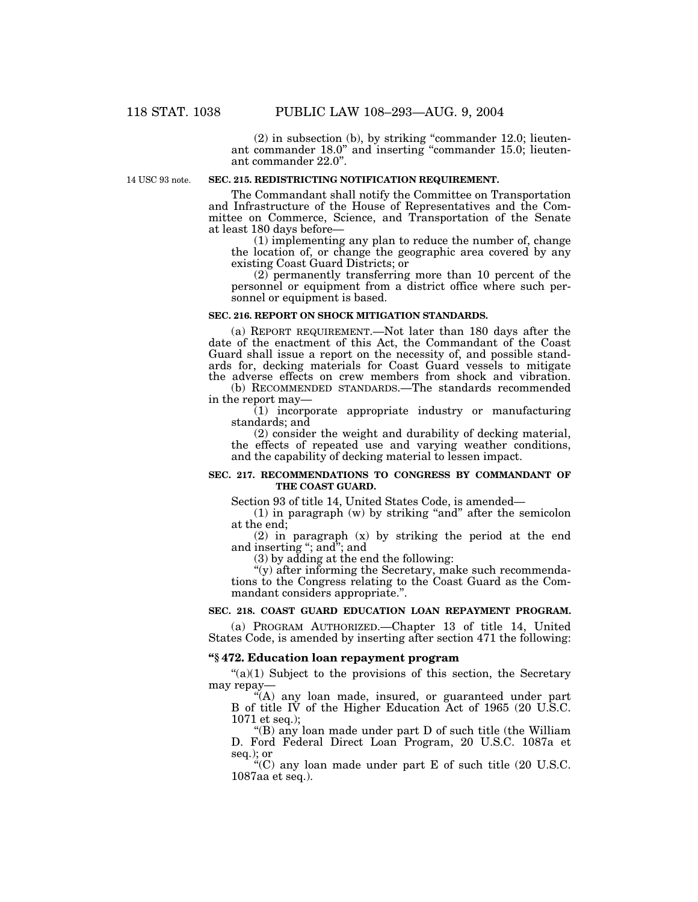(2) in subsection (b), by striking ''commander 12.0; lieutenant commander 18.0" and inserting "commander 15.0; lieutenant commander 22.0''.

14 USC 93 note.

# **SEC. 215. REDISTRICTING NOTIFICATION REQUIREMENT.**

The Commandant shall notify the Committee on Transportation and Infrastructure of the House of Representatives and the Committee on Commerce, Science, and Transportation of the Senate at least 180 days before—

(1) implementing any plan to reduce the number of, change the location of, or change the geographic area covered by any existing Coast Guard Districts; or

(2) permanently transferring more than 10 percent of the personnel or equipment from a district office where such personnel or equipment is based.

# **SEC. 216. REPORT ON SHOCK MITIGATION STANDARDS.**

(a) REPORT REQUIREMENT.—Not later than 180 days after the date of the enactment of this Act, the Commandant of the Coast Guard shall issue a report on the necessity of, and possible standards for, decking materials for Coast Guard vessels to mitigate the adverse effects on crew members from shock and vibration.

(b) RECOMMENDED STANDARDS.—The standards recommended in the report may—

(1) incorporate appropriate industry or manufacturing standards; and

(2) consider the weight and durability of decking material, the effects of repeated use and varying weather conditions, and the capability of decking material to lessen impact.

## **SEC. 217. RECOMMENDATIONS TO CONGRESS BY COMMANDANT OF THE COAST GUARD.**

Section 93 of title 14, United States Code, is amended—

 $(1)$  in paragraph  $(w)$  by striking "and" after the semicolon at the end;

(2) in paragraph (x) by striking the period at the end and inserting ''; and''; and

(3) by adding at the end the following:

''(y) after informing the Secretary, make such recommendations to the Congress relating to the Coast Guard as the Commandant considers appropriate.''.

## **SEC. 218. COAST GUARD EDUCATION LOAN REPAYMENT PROGRAM.**

(a) PROGRAM AUTHORIZED.—Chapter 13 of title 14, United States Code, is amended by inserting after section 471 the following:

# **''§ 472. Education loan repayment program**

 $\degree$ (a)(1) Subject to the provisions of this section, the Secretary may repay—

''(A) any loan made, insured, or guaranteed under part B of title IV of the Higher Education Act of 1965 (20 U.S.C. 1071 et seq.);

''(B) any loan made under part D of such title (the William D. Ford Federal Direct Loan Program, 20 U.S.C. 1087a et seq.); or

''(C) any loan made under part E of such title (20 U.S.C. 1087aa et seq.).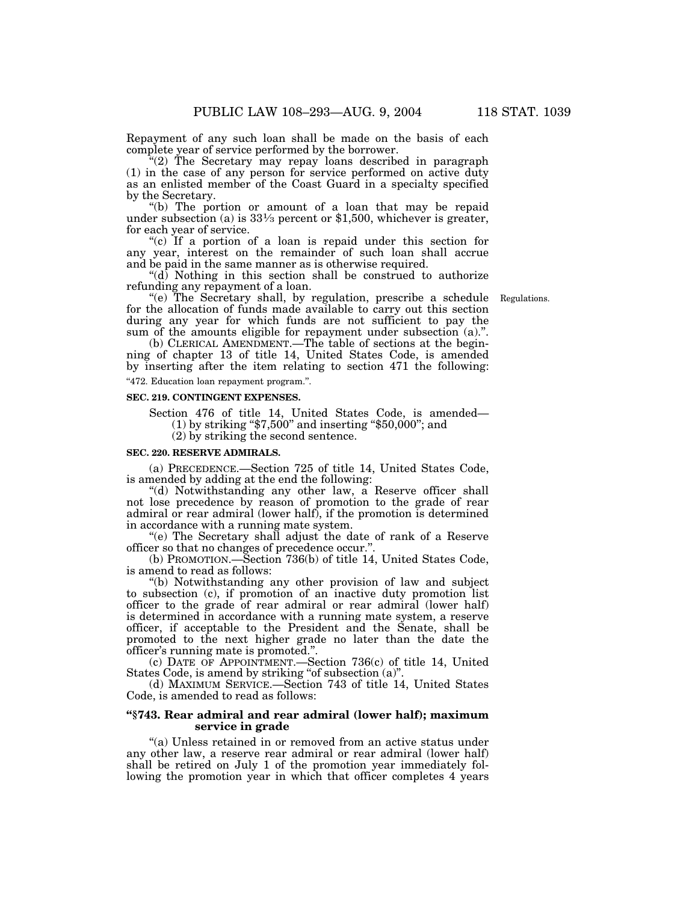Repayment of any such loan shall be made on the basis of each complete year of service performed by the borrower.

''(2) The Secretary may repay loans described in paragraph (1) in the case of any person for service performed on active duty as an enlisted member of the Coast Guard in a specialty specified by the Secretary.

''(b) The portion or amount of a loan that may be repaid under subsection (a) is  $33\frac{1}{3}$  percent or \$1,500, whichever is greater, for each year of service.

"(c) If a portion of a loan is repaid under this section for any year, interest on the remainder of such loan shall accrue and be paid in the same manner as is otherwise required.

''(d) Nothing in this section shall be construed to authorize refunding any repayment of a loan.

Regulations.

''(e) The Secretary shall, by regulation, prescribe a schedule for the allocation of funds made available to carry out this section during any year for which funds are not sufficient to pay the sum of the amounts eligible for repayment under subsection (a).".

(b) CLERICAL AMENDMENT.—The table of sections at the beginning of chapter 13 of title 14, United States Code, is amended by inserting after the item relating to section 471 the following:

''472. Education loan repayment program.''.

#### **SEC. 219. CONTINGENT EXPENSES.**

Section 476 of title 14, United States Code, is amended— (1) by striking ''\$7,500'' and inserting ''\$50,000''; and (2) by striking the second sentence.

#### **SEC. 220. RESERVE ADMIRALS.**

(a) PRECEDENCE.—Section 725 of title 14, United States Code, is amended by adding at the end the following:

''(d) Notwithstanding any other law, a Reserve officer shall not lose precedence by reason of promotion to the grade of rear admiral or rear admiral (lower half), if the promotion is determined in accordance with a running mate system.

''(e) The Secretary shall adjust the date of rank of a Reserve officer so that no changes of precedence occur.''.

(b) PROMOTION.—Section 736(b) of title 14, United States Code, is amend to read as follows:

''(b) Notwithstanding any other provision of law and subject to subsection (c), if promotion of an inactive duty promotion list officer to the grade of rear admiral or rear admiral (lower half) is determined in accordance with a running mate system, a reserve officer, if acceptable to the President and the Senate, shall be promoted to the next higher grade no later than the date the officer's running mate is promoted.''.

(c) DATE OF APPOINTMENT.—Section 736(c) of title 14, United States Code, is amend by striking ''of subsection (a)''.

(d) MAXIMUM SERVICE.—Section 743 of title 14, United States Code, is amended to read as follows:

# **''§743. Rear admiral and rear admiral (lower half); maximum service in grade**

''(a) Unless retained in or removed from an active status under any other law, a reserve rear admiral or rear admiral (lower half) shall be retired on July 1 of the promotion year immediately following the promotion year in which that officer completes 4 years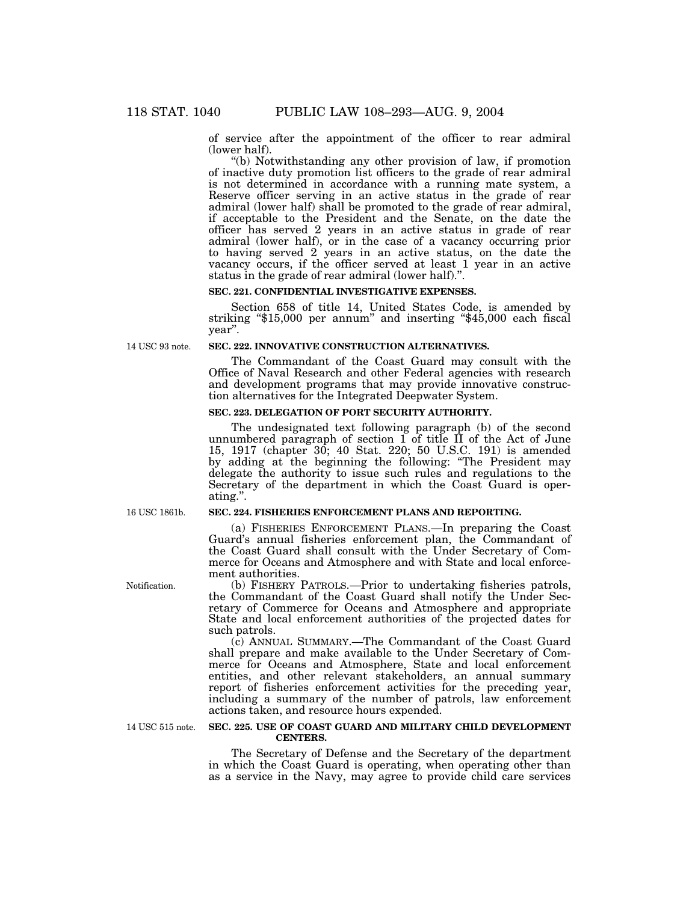of service after the appointment of the officer to rear admiral (lower half).

''(b) Notwithstanding any other provision of law, if promotion of inactive duty promotion list officers to the grade of rear admiral is not determined in accordance with a running mate system, a Reserve officer serving in an active status in the grade of rear admiral (lower half) shall be promoted to the grade of rear admiral, if acceptable to the President and the Senate, on the date the officer has served 2 years in an active status in grade of rear admiral (lower half), or in the case of a vacancy occurring prior to having served 2 years in an active status, on the date the vacancy occurs, if the officer served at least 1 year in an active status in the grade of rear admiral (lower half).''.

#### **SEC. 221. CONFIDENTIAL INVESTIGATIVE EXPENSES.**

Section 658 of title 14, United States Code, is amended by striking ''\$15,000 per annum'' and inserting ''\$45,000 each fiscal year''.

14 USC 93 note.

# **SEC. 222. INNOVATIVE CONSTRUCTION ALTERNATIVES.**

The Commandant of the Coast Guard may consult with the Office of Naval Research and other Federal agencies with research and development programs that may provide innovative construction alternatives for the Integrated Deepwater System.

# **SEC. 223. DELEGATION OF PORT SECURITY AUTHORITY.**

The undesignated text following paragraph (b) of the second unnumbered paragraph of section 1 of title II of the Act of June 15, 1917 (chapter 30; 40 Stat. 220; 50 U.S.C. 191) is amended by adding at the beginning the following: ''The President may delegate the authority to issue such rules and regulations to the Secretary of the department in which the Coast Guard is operating.''.

16 USC 1861b.

## **SEC. 224. FISHERIES ENFORCEMENT PLANS AND REPORTING.**

(a) FISHERIES ENFORCEMENT PLANS.—In preparing the Coast Guard's annual fisheries enforcement plan, the Commandant of the Coast Guard shall consult with the Under Secretary of Commerce for Oceans and Atmosphere and with State and local enforcement authorities.

(b) FISHERY PATROLS.—Prior to undertaking fisheries patrols, the Commandant of the Coast Guard shall notify the Under Secretary of Commerce for Oceans and Atmosphere and appropriate State and local enforcement authorities of the projected dates for such patrols.

(c) ANNUAL SUMMARY.—The Commandant of the Coast Guard shall prepare and make available to the Under Secretary of Commerce for Oceans and Atmosphere, State and local enforcement entities, and other relevant stakeholders, an annual summary report of fisheries enforcement activities for the preceding year, including a summary of the number of patrols, law enforcement actions taken, and resource hours expended.

14 USC 515 note.

#### **SEC. 225. USE OF COAST GUARD AND MILITARY CHILD DEVELOPMENT CENTERS.**

The Secretary of Defense and the Secretary of the department in which the Coast Guard is operating, when operating other than as a service in the Navy, may agree to provide child care services

Notification.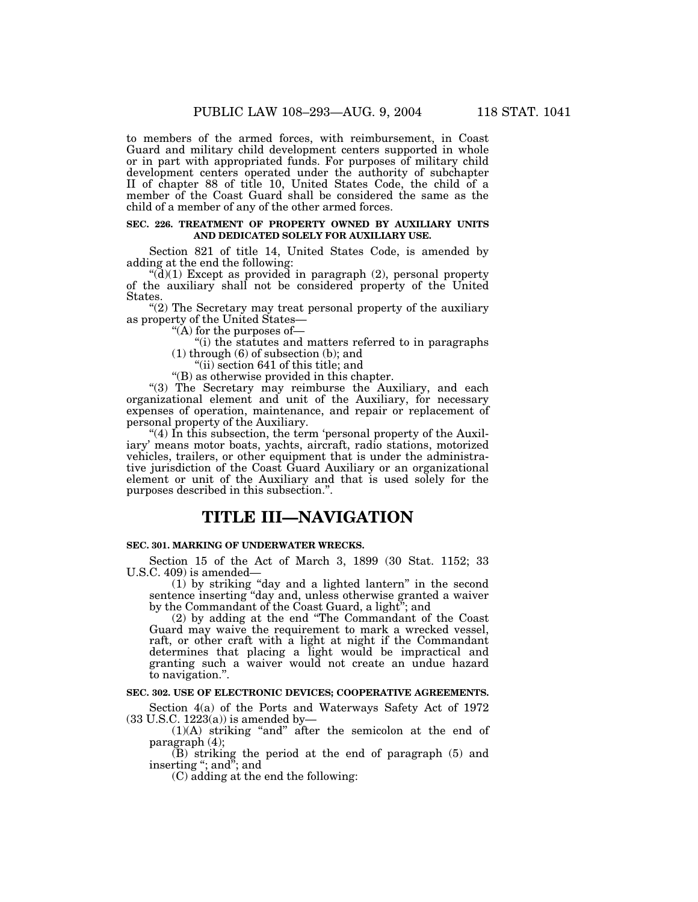to members of the armed forces, with reimbursement, in Coast Guard and military child development centers supported in whole or in part with appropriated funds. For purposes of military child development centers operated under the authority of subchapter II of chapter 88 of title 10, United States Code, the child of a member of the Coast Guard shall be considered the same as the child of a member of any of the other armed forces.

# **SEC. 226. TREATMENT OF PROPERTY OWNED BY AUXILIARY UNITS AND DEDICATED SOLELY FOR AUXILIARY USE.**

Section 821 of title 14, United States Code, is amended by adding at the end the following:

 $\mathcal{H}(\mathbf{d})(1)$  Except as provided in paragraph (2), personal property of the auxiliary shall not be considered property of the United States.

 $(2)$  The Secretary may treat personal property of the auxiliary as property of the United States—

''(A) for the purposes of—

''(i) the statutes and matters referred to in paragraphs (1) through (6) of subsection (b); and

''(ii) section 641 of this title; and

''(B) as otherwise provided in this chapter.

"(3) The Secretary may reimburse the Auxiliary, and each organizational element and unit of the Auxiliary, for necessary expenses of operation, maintenance, and repair or replacement of personal property of the Auxiliary.

 $''(4)$  In this subsection, the term 'personal property of the Auxiliary' means motor boats, yachts, aircraft, radio stations, motorized vehicles, trailers, or other equipment that is under the administrative jurisdiction of the Coast Guard Auxiliary or an organizational element or unit of the Auxiliary and that is used solely for the purposes described in this subsection.''.

# **TITLE III—NAVIGATION**

# **SEC. 301. MARKING OF UNDERWATER WRECKS.**

Section 15 of the Act of March 3, 1899 (30 Stat. 1152; 33 U.S.C. 409) is amended—

(1) by striking ''day and a lighted lantern'' in the second sentence inserting ''day and, unless otherwise granted a waiver by the Commandant of the Coast Guard, a light''; and

(2) by adding at the end ''The Commandant of the Coast Guard may waive the requirement to mark a wrecked vessel, raft, or other craft with a light at night if the Commandant determines that placing a light would be impractical and granting such a waiver would not create an undue hazard to navigation.''.

# **SEC. 302. USE OF ELECTRONIC DEVICES; COOPERATIVE AGREEMENTS.**

Section 4(a) of the Ports and Waterways Safety Act of 1972  $(33$  U.S.C.  $1223(a)$ ) is amended by-

(1)(A) striking ''and'' after the semicolon at the end of paragraph (4);

(B) striking the period at the end of paragraph (5) and inserting ''; and''; and

(C) adding at the end the following: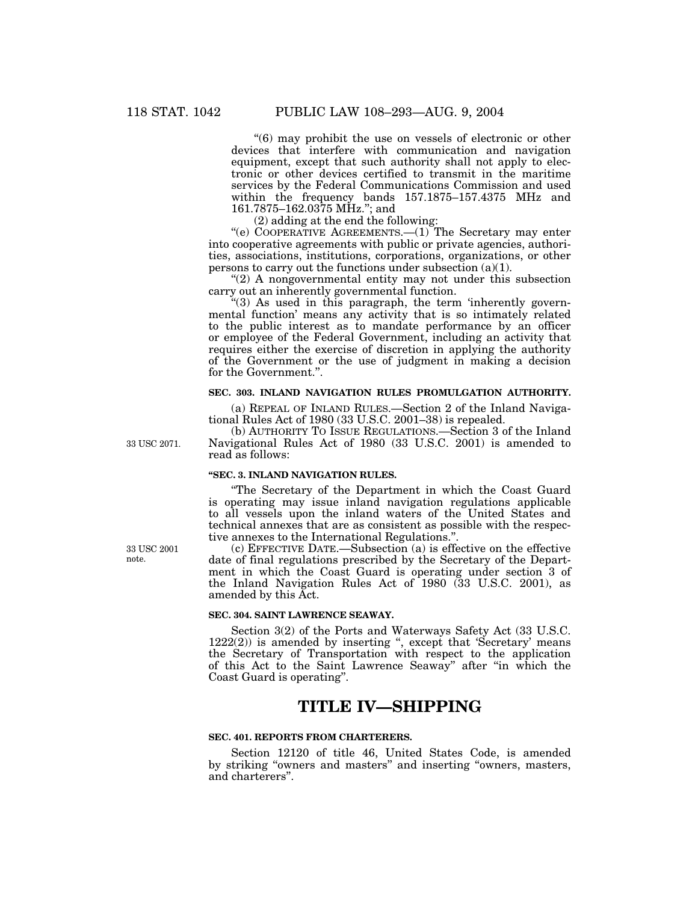''(6) may prohibit the use on vessels of electronic or other devices that interfere with communication and navigation equipment, except that such authority shall not apply to electronic or other devices certified to transmit in the maritime services by the Federal Communications Commission and used within the frequency bands 157.1875–157.4375 MHz and 161.7875–162.0375 MHz.''; and

(2) adding at the end the following:

"(e) COOPERATIVE AGREEMENTS.—(1) The Secretary may enter into cooperative agreements with public or private agencies, authorities, associations, institutions, corporations, organizations, or other persons to carry out the functions under subsection (a)(1).

" $(2)$  A nongovernmental entity may not under this subsection carry out an inherently governmental function.

" $(3)$  As used in this paragraph, the term 'inherently governmental function' means any activity that is so intimately related to the public interest as to mandate performance by an officer or employee of the Federal Government, including an activity that requires either the exercise of discretion in applying the authority of the Government or the use of judgment in making a decision for the Government.''.

# **SEC. 303. INLAND NAVIGATION RULES PROMULGATION AUTHORITY.**

(a) REPEAL OF INLAND RULES.—Section 2 of the Inland Navigational Rules Act of 1980 (33 U.S.C. 2001–38) is repealed.

(b) AUTHORITY TO ISSUE REGULATIONS.—Section 3 of the Inland Navigational Rules Act of 1980 (33 U.S.C. 2001) is amended to read as follows:

# **''SEC. 3. INLAND NAVIGATION RULES.**

''The Secretary of the Department in which the Coast Guard is operating may issue inland navigation regulations applicable to all vessels upon the inland waters of the United States and technical annexes that are as consistent as possible with the respective annexes to the International Regulations.''.

(c) EFFECTIVE DATE.—Subsection (a) is effective on the effective date of final regulations prescribed by the Secretary of the Department in which the Coast Guard is operating under section 3 of the Inland Navigation Rules Act of 1980 (33 U.S.C. 2001), as amended by this Act.

#### **SEC. 304. SAINT LAWRENCE SEAWAY.**

Section 3(2) of the Ports and Waterways Safety Act (33 U.S.C.  $1222(2)$ ) is amended by inserting ", except that 'Secretary' means the Secretary of Transportation with respect to the application of this Act to the Saint Lawrence Seaway'' after ''in which the Coast Guard is operating''.

# **TITLE IV—SHIPPING**

# **SEC. 401. REPORTS FROM CHARTERERS.**

Section 12120 of title 46, United States Code, is amended by striking "owners and masters" and inserting "owners, masters, and charterers''.

33 USC 2001 note.

33 USC 2071.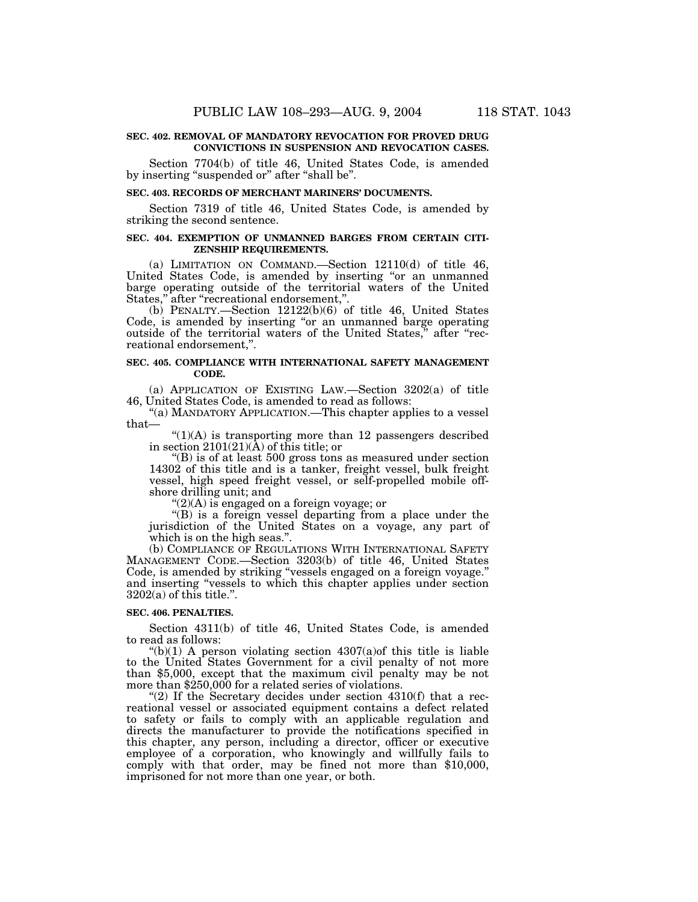## **SEC. 402. REMOVAL OF MANDATORY REVOCATION FOR PROVED DRUG CONVICTIONS IN SUSPENSION AND REVOCATION CASES.**

Section 7704(b) of title 46, United States Code, is amended by inserting "suspended or" after "shall be".

## **SEC. 403. RECORDS OF MERCHANT MARINERS' DOCUMENTS.**

Section 7319 of title 46, United States Code, is amended by striking the second sentence.

# **SEC. 404. EXEMPTION OF UNMANNED BARGES FROM CERTAIN CITI-ZENSHIP REQUIREMENTS.**

(a) LIMITATION ON COMMAND.—Section 12110(d) of title 46, United States Code, is amended by inserting "or an unmanned barge operating outside of the territorial waters of the United States,'' after ''recreational endorsement,''.

(b) PENALTY.—Section 12122(b)(6) of title 46, United States Code, is amended by inserting ''or an unmanned barge operating outside of the territorial waters of the United States,'' after ''recreational endorsement,''.

## **SEC. 405. COMPLIANCE WITH INTERNATIONAL SAFETY MANAGEMENT CODE.**

(a) APPLICATION OF EXISTING LAW.—Section 3202(a) of title 46, United States Code, is amended to read as follows:

"(a) MANDATORY APPLICATION.—This chapter applies to a vessel that—

 $\Gamma(1)(A)$  is transporting more than 12 passengers described in section 2101(21)(A) of this title; or

" $(B)$  is of at least 500 gross tons as measured under section 14302 of this title and is a tanker, freight vessel, bulk freight vessel, high speed freight vessel, or self-propelled mobile offshore drilling unit; and

 $C(2)(A)$  is engaged on a foreign voyage; or

"(B) is a foreign vessel departing from a place under the jurisdiction of the United States on a voyage, any part of which is on the high seas.".

(b) COMPLIANCE OF REGULATIONS WITH INTERNATIONAL SAFETY MANAGEMENT CODE.—Section 3203(b) of title 46, United States Code, is amended by striking ''vessels engaged on a foreign voyage.'' and inserting ''vessels to which this chapter applies under section  $3202(a)$  of this title.".

# **SEC. 406. PENALTIES.**

Section 4311(b) of title 46, United States Code, is amended to read as follows:

"(b)(1) A person violating section  $4307(a)$  of this title is liable to the United States Government for a civil penalty of not more than \$5,000, except that the maximum civil penalty may be not more than \$250,000 for a related series of violations.

"(2) If the Secretary decides under section  $4310(f)$  that a recreational vessel or associated equipment contains a defect related to safety or fails to comply with an applicable regulation and directs the manufacturer to provide the notifications specified in this chapter, any person, including a director, officer or executive employee of a corporation, who knowingly and willfully fails to comply with that order, may be fined not more than \$10,000, imprisoned for not more than one year, or both.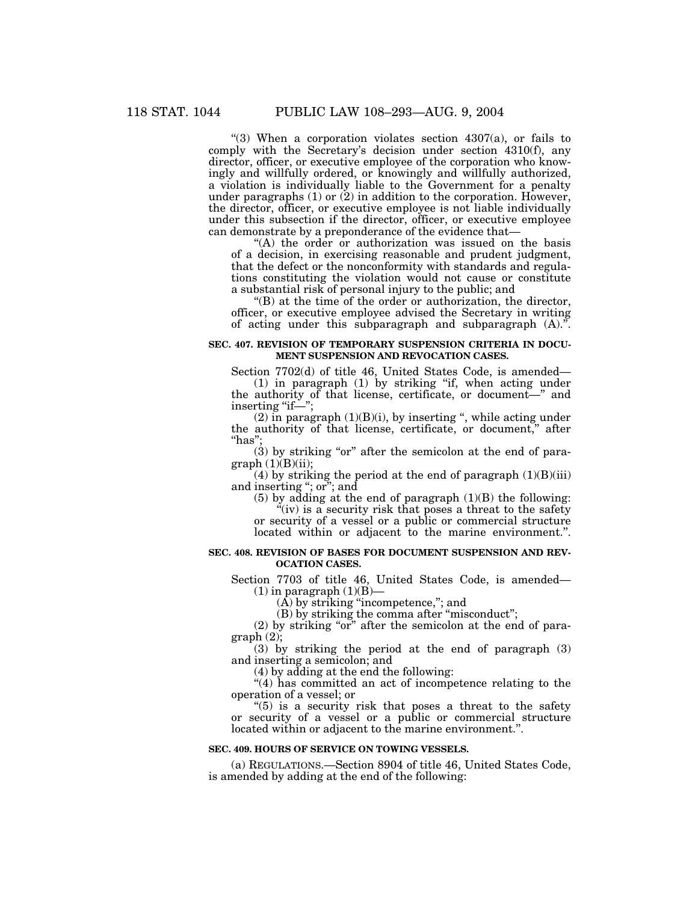"(3) When a corporation violates section  $4307(a)$ , or fails to comply with the Secretary's decision under section 4310(f), any director, officer, or executive employee of the corporation who knowingly and willfully ordered, or knowingly and willfully authorized, a violation is individually liable to the Government for a penalty under paragraphs  $(1)$  or  $(2)$  in addition to the corporation. However, the director, officer, or executive employee is not liable individually under this subsection if the director, officer, or executive employee can demonstrate by a preponderance of the evidence that—

"(A) the order or authorization was issued on the basis of a decision, in exercising reasonable and prudent judgment, that the defect or the nonconformity with standards and regulations constituting the violation would not cause or constitute a substantial risk of personal injury to the public; and

''(B) at the time of the order or authorization, the director, officer, or executive employee advised the Secretary in writing of acting under this subparagraph and subparagraph  $(A)$ ."

# **SEC. 407. REVISION OF TEMPORARY SUSPENSION CRITERIA IN DOCU-MENT SUSPENSION AND REVOCATION CASES.**

Section 7702(d) of title 46, United States Code, is amended— (1) in paragraph (1) by striking ''if, when acting under the authority of that license, certificate, or document—'' and inserting "if—";

 $(2)$  in paragraph  $(1)(B)(i)$ , by inserting ", while acting under the authority of that license, certificate, or document,'' after ''has'';

(3) by striking "or" after the semicolon at the end of para $graph (1)(B)(ii);$ 

(4) by striking the period at the end of paragraph  $(1)(B)(iii)$ and inserting ''; or''; and

 $(5)$  by adding at the end of paragraph  $(1)(B)$  the following:

 $\ddot{C}$ (iv) is a security risk that poses a threat to the safety or security of a vessel or a public or commercial structure located within or adjacent to the marine environment.".

#### **SEC. 408. REVISION OF BASES FOR DOCUMENT SUSPENSION AND REV-OCATION CASES.**

Section 7703 of title 46, United States Code, is amended—  $(1)$  in paragraph  $(1)(B)$ —

 $(\overline{A})$  by striking "incompetence,"; and

(B) by striking the comma after ''misconduct'';

 $(2)$  by striking "or" after the semicolon at the end of para $graph (2)$ ;

(3) by striking the period at the end of paragraph (3) and inserting a semicolon; and

(4) by adding at the end the following:

"(4) has committed an act of incompetence relating to the operation of a vessel; or

" $(5)$  is a security risk that poses a threat to the safety or security of a vessel or a public or commercial structure located within or adjacent to the marine environment.''.

#### **SEC. 409. HOURS OF SERVICE ON TOWING VESSELS.**

(a) REGULATIONS.—Section 8904 of title 46, United States Code, is amended by adding at the end of the following: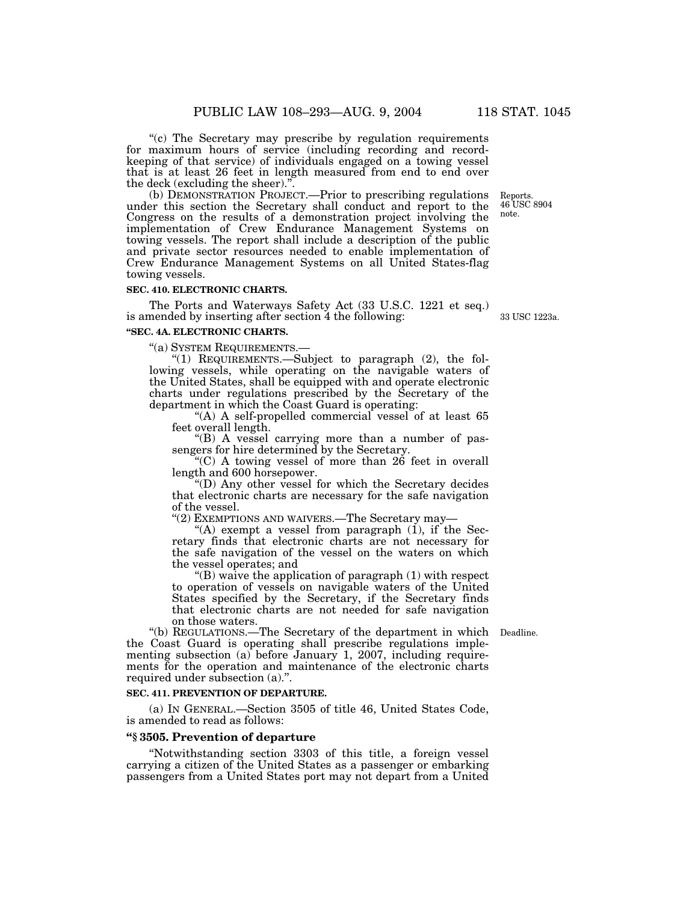"(c) The Secretary may prescribe by regulation requirements for maximum hours of service (including recording and recordkeeping of that service) of individuals engaged on a towing vessel that is at least 26 feet in length measured from end to end over the deck (excluding the sheer).''.

(b) DEMONSTRATION PROJECT.—Prior to prescribing regulations under this section the Secretary shall conduct and report to the Congress on the results of a demonstration project involving the implementation of Crew Endurance Management Systems on towing vessels. The report shall include a description of the public and private sector resources needed to enable implementation of Crew Endurance Management Systems on all United States-flag towing vessels. note.

# **SEC. 410. ELECTRONIC CHARTS.**

The Ports and Waterways Safety Act (33 U.S.C. 1221 et seq.) is amended by inserting after section 4 the following:

#### **''SEC. 4A. ELECTRONIC CHARTS.**

''(a) SYSTEM REQUIREMENTS.—

''(1) REQUIREMENTS.—Subject to paragraph (2), the following vessels, while operating on the navigable waters of the United States, shall be equipped with and operate electronic charts under regulations prescribed by the Secretary of the department in which the Coast Guard is operating:

"(A) A self-propelled commercial vessel of at least 65 feet overall length.

''(B) A vessel carrying more than a number of passengers for hire determined by the Secretary.

''(C) A towing vessel of more than 26 feet in overall length and 600 horsepower.

''(D) Any other vessel for which the Secretary decides that electronic charts are necessary for the safe navigation of the vessel.

"(2) EXEMPTIONS AND WAIVERS.—The Secretary may-

"(A) exempt a vessel from paragraph  $(1)$ , if the Secretary finds that electronic charts are not necessary for the safe navigation of the vessel on the waters on which the vessel operates; and

''(B) waive the application of paragraph (1) with respect to operation of vessels on navigable waters of the United States specified by the Secretary, if the Secretary finds that electronic charts are not needed for safe navigation on those waters.

''(b) REGULATIONS.—The Secretary of the department in which Deadline. the Coast Guard is operating shall prescribe regulations implementing subsection (a) before January 1, 2007, including requirements for the operation and maintenance of the electronic charts required under subsection (a)."

#### **SEC. 411. PREVENTION OF DEPARTURE.**

(a) IN GENERAL.—Section 3505 of title 46, United States Code, is amended to read as follows:

# **''§ 3505. Prevention of departure**

''Notwithstanding section 3303 of this title, a foreign vessel carrying a citizen of the United States as a passenger or embarking passengers from a United States port may not depart from a United

33 USC 1223a.

Reports. 46 USC 8904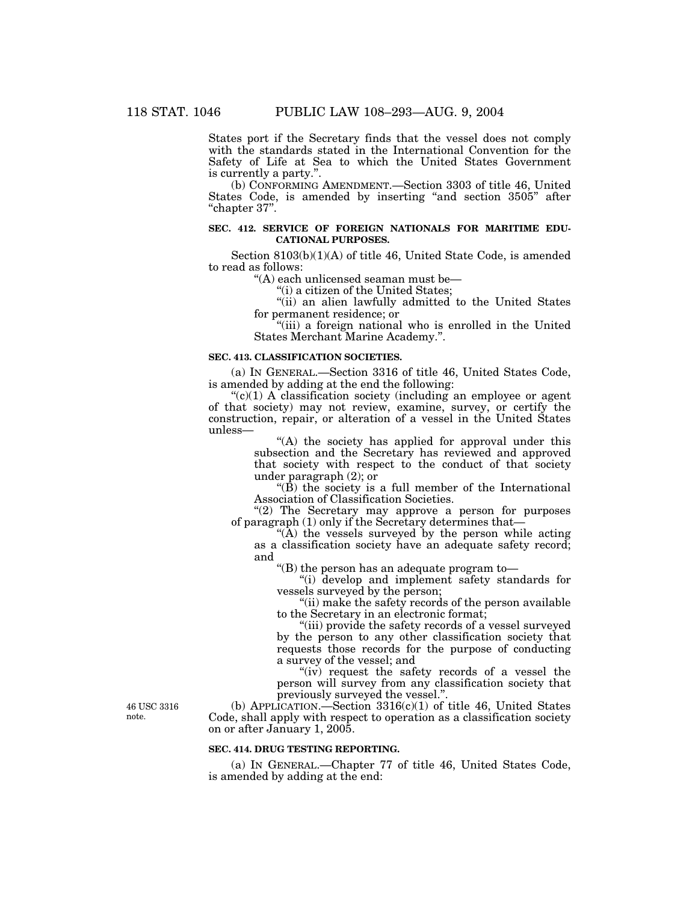States port if the Secretary finds that the vessel does not comply with the standards stated in the International Convention for the Safety of Life at Sea to which the United States Government is currently a party."

(b) CONFORMING AMENDMENT.—Section 3303 of title 46, United States Code, is amended by inserting "and section 3505" after "chapter 37".

# **SEC. 412. SERVICE OF FOREIGN NATIONALS FOR MARITIME EDU-CATIONAL PURPOSES.**

Section 8103(b)(1)(A) of title 46, United State Code, is amended to read as follows:

''(A) each unlicensed seaman must be—

"(i) a citizen of the United States;

"(ii) an alien lawfully admitted to the United States for permanent residence; or

"(iii) a foreign national who is enrolled in the United States Merchant Marine Academy.''.

# **SEC. 413. CLASSIFICATION SOCIETIES.**

(a) IN GENERAL.—Section 3316 of title 46, United States Code, is amended by adding at the end the following:

 $C(1)$  A classification society (including an employee or agent of that society) may not review, examine, survey, or certify the construction, repair, or alteration of a vessel in the United States unless—

> ''(A) the society has applied for approval under this subsection and the Secretary has reviewed and approved that society with respect to the conduct of that society under paragraph (2); or

> "(B) the society is a full member of the International Association of Classification Societies.

"(2) The Secretary may approve a person for purposes of paragraph (1) only if the Secretary determines that—

" $(\hat{A})$  the vessels surveyed by the person while acting as a classification society have an adequate safety record; and

''(B) the person has an adequate program to—

''(i) develop and implement safety standards for vessels surveyed by the person;

''(ii) make the safety records of the person available to the Secretary in an electronic format;

''(iii) provide the safety records of a vessel surveyed by the person to any other classification society that requests those records for the purpose of conducting a survey of the vessel; and

"(iv) request the safety records of a vessel the person will survey from any classification society that previously surveyed the vessel.''.

(b) APPLICATION.—Section  $3316(c)(1)$  of title 46, United States Code, shall apply with respect to operation as a classification society on or after January 1, 2005.

#### **SEC. 414. DRUG TESTING REPORTING.**

(a) IN GENERAL.—Chapter 77 of title 46, United States Code, is amended by adding at the end:

46 USC 3316 note.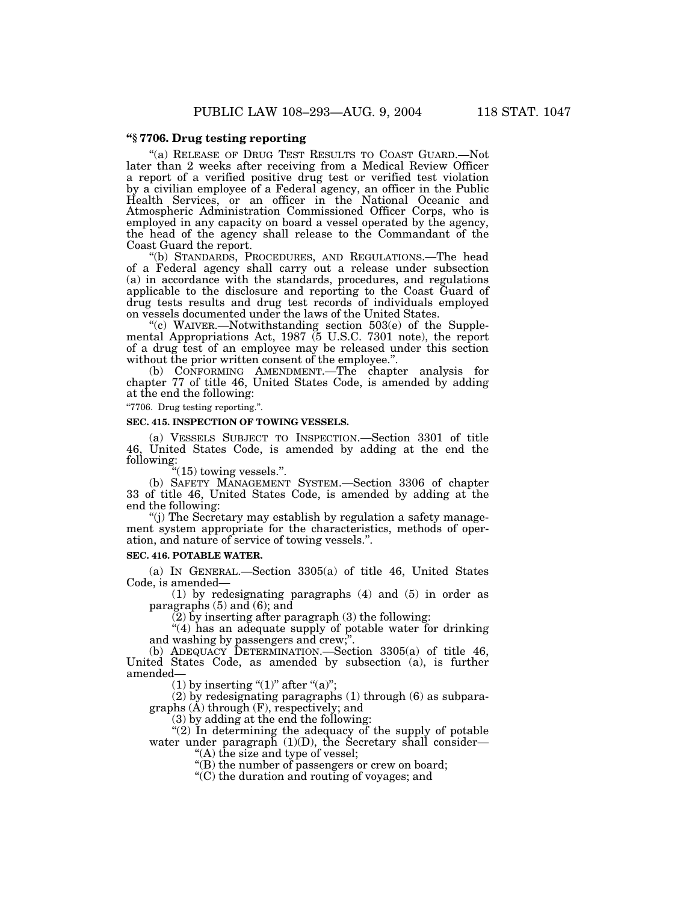# **''§ 7706. Drug testing reporting**

''(a) RELEASE OF DRUG TEST RESULTS TO COAST GUARD.—Not later than 2 weeks after receiving from a Medical Review Officer a report of a verified positive drug test or verified test violation by a civilian employee of a Federal agency, an officer in the Public Health Services, or an officer in the National Oceanic and Atmospheric Administration Commissioned Officer Corps, who is employed in any capacity on board a vessel operated by the agency, the head of the agency shall release to the Commandant of the Coast Guard the report.

''(b) STANDARDS, PROCEDURES, AND REGULATIONS.—The head of a Federal agency shall carry out a release under subsection (a) in accordance with the standards, procedures, and regulations applicable to the disclosure and reporting to the Coast Guard of drug tests results and drug test records of individuals employed on vessels documented under the laws of the United States.

''(c) WAIVER.—Notwithstanding section 503(e) of the Supplemental Appropriations Act, 1987 (5 U.S.C. 7301 note), the report of a drug test of an employee may be released under this section without the prior written consent of the employee.''.

(b) CONFORMING AMENDMENT.—The chapter analysis for chapter 77 of title 46, United States Code, is amended by adding at the end the following:

''7706. Drug testing reporting.''.

# **SEC. 415. INSPECTION OF TOWING VESSELS.**

(a) VESSELS SUBJECT TO INSPECTION.—Section 3301 of title 46, United States Code, is amended by adding at the end the following:

 $\degree$ (15) towing vessels.".

(b) SAFETY MANAGEMENT SYSTEM.—Section 3306 of chapter 33 of title 46, United States Code, is amended by adding at the end the following:

''(j) The Secretary may establish by regulation a safety management system appropriate for the characteristics, methods of operation, and nature of service of towing vessels.''.

## **SEC. 416. POTABLE WATER.**

(a) IN GENERAL.—Section 3305(a) of title 46, United States Code, is amended—

(1) by redesignating paragraphs (4) and (5) in order as paragraphs (5) and (6); and

(2) by inserting after paragraph (3) the following:

"(4) has an adequate supply of potable water for drinking and washing by passengers and crew;

(b) ADEQUACY DETERMINATION.—Section 3305(a) of title 46, United States Code, as amended by subsection (a), is further amended—

(1) by inserting " $(1)$ " after " $(a)$ ";

(2) by redesignating paragraphs (1) through (6) as subparagraphs (A) through (F), respectively; and

(3) by adding at the end the following:

"(2) In determining the adequacy of the supply of potable water under paragraph  $(1)(D)$ , the Secretary shall consider—

''(A) the size and type of vessel;

"(B) the number of passengers or crew on board;

''(C) the duration and routing of voyages; and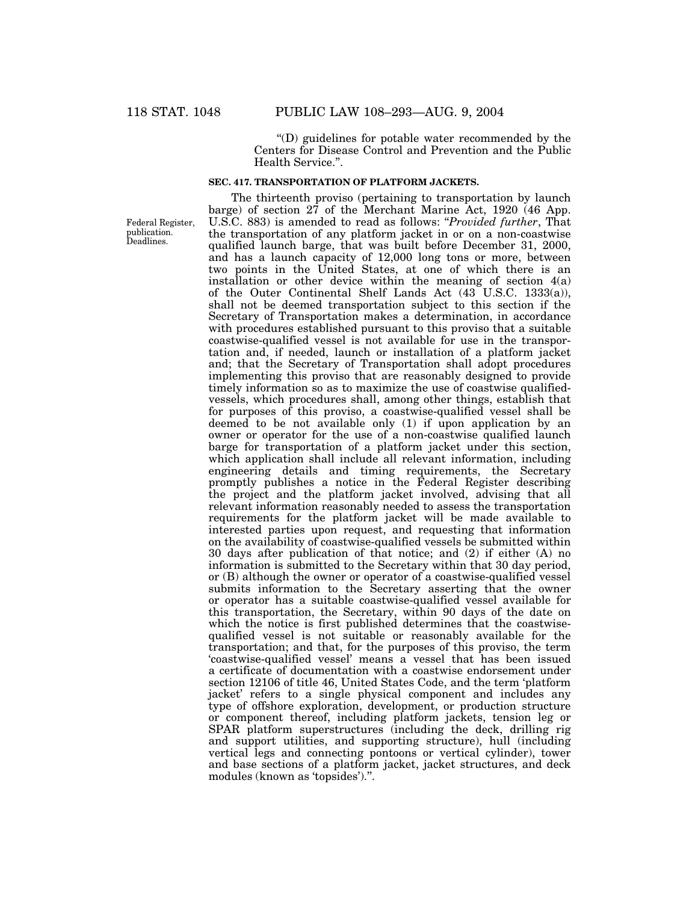''(D) guidelines for potable water recommended by the Centers for Disease Control and Prevention and the Public Health Service.''.

# **SEC. 417. TRANSPORTATION OF PLATFORM JACKETS.**

Federal Register, publication. Deadlines.

The thirteenth proviso (pertaining to transportation by launch barge) of section 27 of the Merchant Marine Act, 1920 (46 App. U.S.C. 883) is amended to read as follows: ''*Provided further*, That the transportation of any platform jacket in or on a non-coastwise qualified launch barge, that was built before December 31, 2000, and has a launch capacity of 12,000 long tons or more, between two points in the United States, at one of which there is an installation or other device within the meaning of section 4(a) of the Outer Continental Shelf Lands Act (43 U.S.C. 1333(a)), shall not be deemed transportation subject to this section if the Secretary of Transportation makes a determination, in accordance with procedures established pursuant to this proviso that a suitable coastwise-qualified vessel is not available for use in the transportation and, if needed, launch or installation of a platform jacket and; that the Secretary of Transportation shall adopt procedures implementing this proviso that are reasonably designed to provide timely information so as to maximize the use of coastwise qualifiedvessels, which procedures shall, among other things, establish that for purposes of this proviso, a coastwise-qualified vessel shall be deemed to be not available only (1) if upon application by an owner or operator for the use of a non-coastwise qualified launch barge for transportation of a platform jacket under this section, which application shall include all relevant information, including engineering details and timing requirements, the Secretary promptly publishes a notice in the Federal Register describing the project and the platform jacket involved, advising that all relevant information reasonably needed to assess the transportation requirements for the platform jacket will be made available to interested parties upon request, and requesting that information on the availability of coastwise-qualified vessels be submitted within 30 days after publication of that notice; and (2) if either (A) no information is submitted to the Secretary within that 30 day period, or (B) although the owner or operator of a coastwise-qualified vessel submits information to the Secretary asserting that the owner or operator has a suitable coastwise-qualified vessel available for this transportation, the Secretary, within 90 days of the date on which the notice is first published determines that the coastwisequalified vessel is not suitable or reasonably available for the transportation; and that, for the purposes of this proviso, the term 'coastwise-qualified vessel' means a vessel that has been issued a certificate of documentation with a coastwise endorsement under section 12106 of title 46, United States Code, and the term 'platform jacket' refers to a single physical component and includes any type of offshore exploration, development, or production structure or component thereof, including platform jackets, tension leg or SPAR platform superstructures (including the deck, drilling rig and support utilities, and supporting structure), hull (including vertical legs and connecting pontoons or vertical cylinder), tower and base sections of a platform jacket, jacket structures, and deck modules (known as 'topsides').''.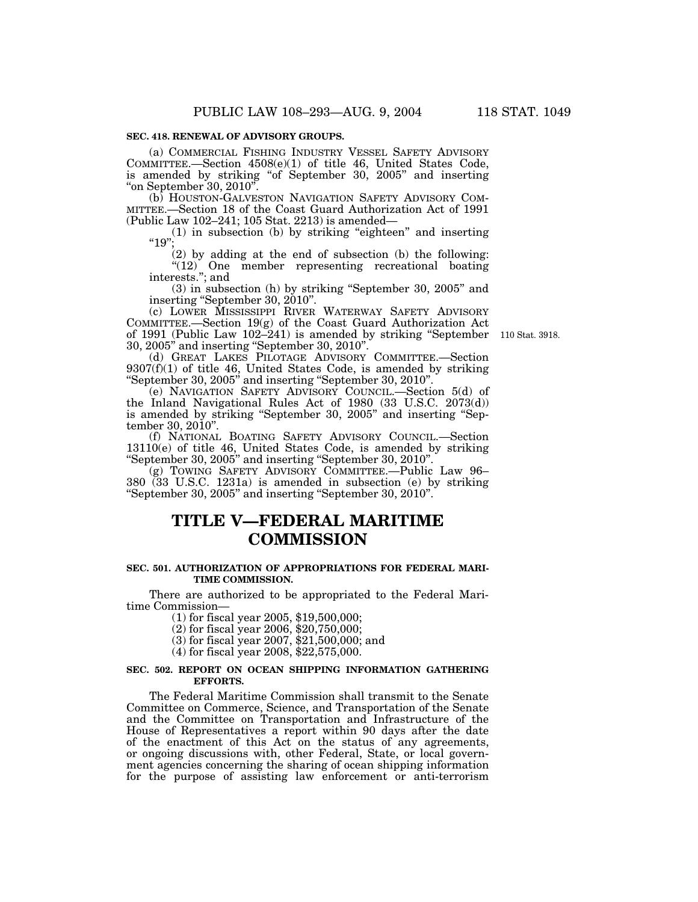# **SEC. 418. RENEWAL OF ADVISORY GROUPS.**

(a) COMMERCIAL FISHING INDUSTRY VESSEL SAFETY ADVISORY COMMITTEE.—Section 4508(e)(1) of title 46, United States Code, is amended by striking "of September 30, 2005" and inserting "on September 30, 2010".<br>
(b) HOUSTON-GALVESTON NAVIGATION SAFETY ADVISORY COM-

MITTEE.-Section 18 of the Coast Guard Authorization Act of 1991 (Public Law 102–241; 105 Stat. 2213) is amended—

(1) in subsection (b) by striking ''eighteen'' and inserting  $^{\prime\prime}$ 19".

(2) by adding at the end of subsection (b) the following: "(12) One member representing recreational boating interests.''; and

(3) in subsection (h) by striking ''September 30, 2005'' and inserting ''September 30, 2010''.

(c) LOWER MISSISSIPPI RIVER WATERWAY SAFETY ADVISORY COMMITTEE.—Section 19(g) of the Coast Guard Authorization Act of 1991 (Public Law 102–241) is amended by striking ''September 110 Stat. 3918. 30, 2005'' and inserting ''September 30, 2010''.

(d) GREAT LAKES PILOTAGE ADVISORY COMMITTEE.—Section 9307(f)(1) of title 46, United States Code, is amended by striking ''September 30, 2005'' and inserting ''September 30, 2010''.

(e) NAVIGATION SAFETY ADVISORY COUNCIL.—Section 5(d) of the Inland Navigational Rules Act of 1980 (33 U.S.C. 2073(d)) is amended by striking ''September 30, 2005'' and inserting ''September 30, 2010".

(f) NATIONAL BOATING SAFETY ADVISORY COUNCIL.—Section 13110(e) of title 46, United States Code, is amended by striking ''September 30, 2005'' and inserting ''September 30, 2010''.

(g) TOWING SAFETY ADVISORY COMMITTEE.—Public Law 96– 380 (33 U.S.C. 1231a) is amended in subsection (e) by striking ''September 30, 2005'' and inserting ''September 30, 2010''.

# **TITLE V—FEDERAL MARITIME COMMISSION**

# **SEC. 501. AUTHORIZATION OF APPROPRIATIONS FOR FEDERAL MARI-TIME COMMISSION.**

There are authorized to be appropriated to the Federal Maritime Commission—

(1) for fiscal year 2005, \$19,500,000;

(2) for fiscal year 2006, \$20,750,000;

(3) for fiscal year 2007, \$21,500,000; and

(4) for fiscal year 2008, \$22,575,000.

# **SEC. 502. REPORT ON OCEAN SHIPPING INFORMATION GATHERING EFFORTS.**

The Federal Maritime Commission shall transmit to the Senate Committee on Commerce, Science, and Transportation of the Senate and the Committee on Transportation and Infrastructure of the House of Representatives a report within 90 days after the date of the enactment of this Act on the status of any agreements, or ongoing discussions with, other Federal, State, or local government agencies concerning the sharing of ocean shipping information for the purpose of assisting law enforcement or anti-terrorism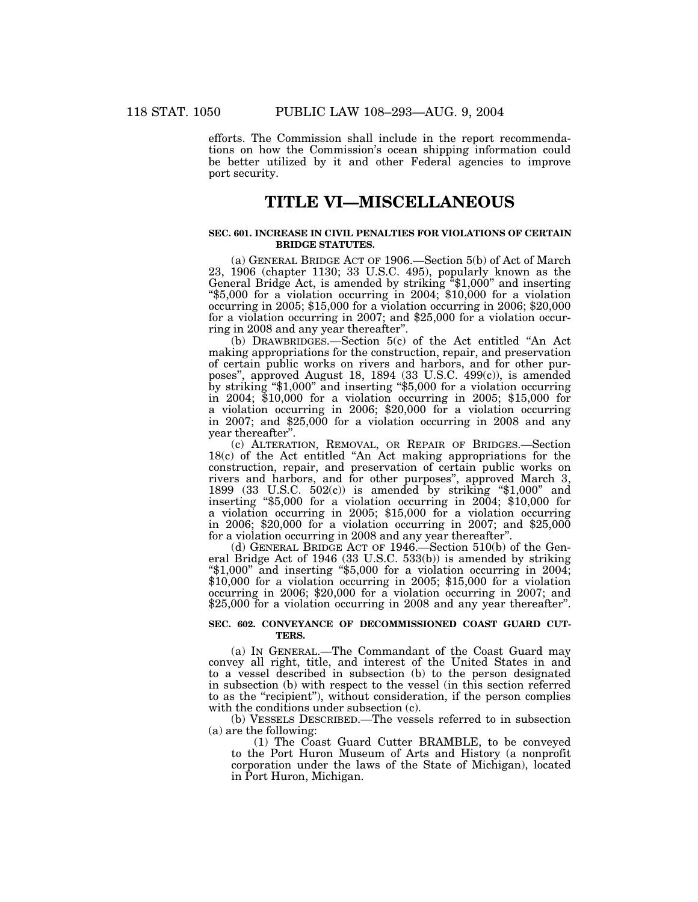efforts. The Commission shall include in the report recommendations on how the Commission's ocean shipping information could be better utilized by it and other Federal agencies to improve port security.

# **TITLE VI—MISCELLANEOUS**

# **SEC. 601. INCREASE IN CIVIL PENALTIES FOR VIOLATIONS OF CERTAIN BRIDGE STATUTES.**

(a) GENERAL BRIDGE ACT OF 1906.—Section 5(b) of Act of March 23, 1906 (chapter 1130; 33 U.S.C. 495), popularly known as the General Bridge Act, is amended by striking ''\$1,000'' and inserting ''\$5,000 for a violation occurring in 2004; \$10,000 for a violation occurring in 2005; \$15,000 for a violation occurring in 2006; \$20,000 for a violation occurring in 2007; and \$25,000 for a violation occurring in 2008 and any year thereafter"

(b) DRAWBRIDGES.—Section 5(c) of the Act entitled ''An Act making appropriations for the construction, repair, and preservation of certain public works on rivers and harbors, and for other purposes'', approved August 18, 1894 (33 U.S.C. 499(c)), is amended by striking ''\$1,000'' and inserting ''\$5,000 for a violation occurring in 2004; \$10,000 for a violation occurring in 2005; \$15,000 for a violation occurring in 2006; \$20,000 for a violation occurring in 2007; and \$25,000 for a violation occurring in 2008 and any year thereafter''.

(c) ALTERATION, REMOVAL, OR REPAIR OF BRIDGES.—Section 18(c) of the Act entitled ''An Act making appropriations for the construction, repair, and preservation of certain public works on rivers and harbors, and for other purposes'', approved March 3, 1899 (33 U.S.C.  $502(c)$ ) is amended by striking "\$1,000" and inserting ''\$5,000 for a violation occurring in 2004; \$10,000 for a violation occurring in 2005; \$15,000 for a violation occurring in 2006; \$20,000 for a violation occurring in 2007; and \$25,000 for a violation occurring in 2008 and any year thereafter''.

(d) GENERAL BRIDGE ACT OF 1946.—Section 510(b) of the General Bridge Act of 1946 (33 U.S.C. 533(b)) is amended by striking " $$1,000"$  and inserting " $$5,000$  for a violation occurring in 2004; \$10,000 for a violation occurring in 2005; \$15,000 for a violation occurring in 2006; \$20,000 for a violation occurring in 2007; and \$25,000 for a violation occurring in 2008 and any year thereafter".

#### **SEC. 602. CONVEYANCE OF DECOMMISSIONED COAST GUARD CUT-TERS.**

(a) IN GENERAL.—The Commandant of the Coast Guard may convey all right, title, and interest of the United States in and to a vessel described in subsection (b) to the person designated in subsection (b) with respect to the vessel (in this section referred to as the ''recipient''), without consideration, if the person complies with the conditions under subsection (c).

(b) VESSELS DESCRIBED.—The vessels referred to in subsection (a) are the following:

(1) The Coast Guard Cutter BRAMBLE, to be conveyed to the Port Huron Museum of Arts and History (a nonprofit corporation under the laws of the State of Michigan), located in Port Huron, Michigan.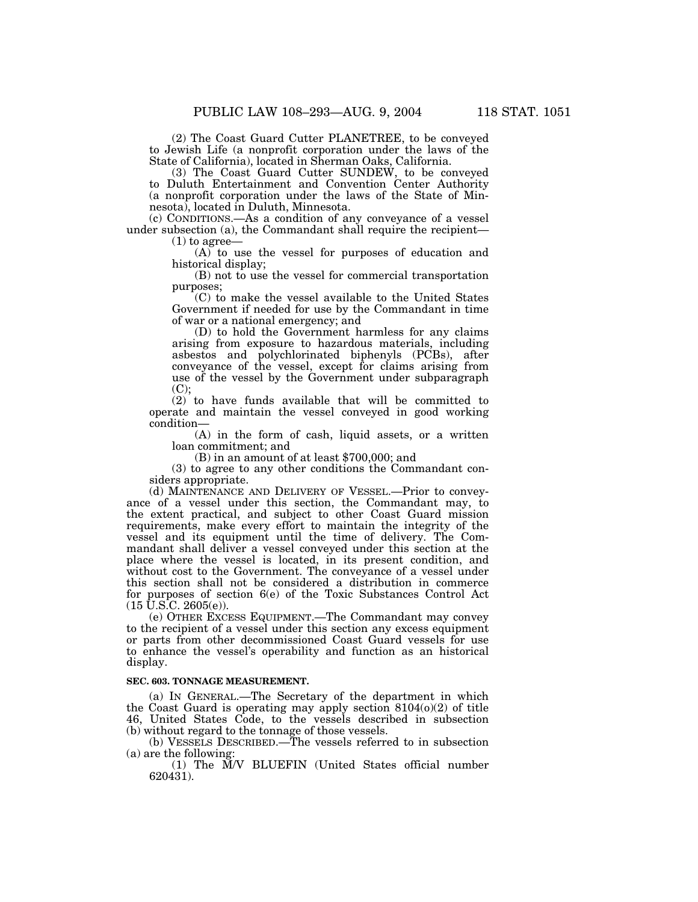(2) The Coast Guard Cutter PLANETREE, to be conveyed to Jewish Life (a nonprofit corporation under the laws of the State of California), located in Sherman Oaks, California.

(3) The Coast Guard Cutter SUNDEW, to be conveyed to Duluth Entertainment and Convention Center Authority (a nonprofit corporation under the laws of the State of Minnesota), located in Duluth, Minnesota.

(c) CONDITIONS.—As a condition of any conveyance of a vessel under subsection (a), the Commandant shall require the recipient—

(1) to agree—

(A) to use the vessel for purposes of education and historical display;

(B) not to use the vessel for commercial transportation purposes;

(C) to make the vessel available to the United States Government if needed for use by the Commandant in time of war or a national emergency; and

(D) to hold the Government harmless for any claims arising from exposure to hazardous materials, including asbestos and polychlorinated biphenyls (PCBs), after conveyance of the vessel, except for claims arising from use of the vessel by the Government under subparagraph  $(C);$ 

(2) to have funds available that will be committed to operate and maintain the vessel conveyed in good working condition—

(A) in the form of cash, liquid assets, or a written loan commitment; and

(B) in an amount of at least \$700,000; and

(3) to agree to any other conditions the Commandant considers appropriate.

(d) MAINTENANCE AND DELIVERY OF VESSEL.—Prior to conveyance of a vessel under this section, the Commandant may, to the extent practical, and subject to other Coast Guard mission requirements, make every effort to maintain the integrity of the vessel and its equipment until the time of delivery. The Commandant shall deliver a vessel conveyed under this section at the place where the vessel is located, in its present condition, and without cost to the Government. The conveyance of a vessel under this section shall not be considered a distribution in commerce for purposes of section 6(e) of the Toxic Substances Control Act  $(15\ \textrm{\v{U.S.C.}}\ 2605(\textrm{e})).$ 

(e) OTHER EXCESS EQUIPMENT.—The Commandant may convey to the recipient of a vessel under this section any excess equipment or parts from other decommissioned Coast Guard vessels for use to enhance the vessel's operability and function as an historical display.

# **SEC. 603. TONNAGE MEASUREMENT.**

(a) IN GENERAL.—The Secretary of the department in which the Coast Guard is operating may apply section  $8104(0)(2)$  of title 46, United States Code, to the vessels described in subsection (b) without regard to the tonnage of those vessels.

(b) VESSELS DESCRIBED.—The vessels referred to in subsection (a) are the following:

(1) The M/V BLUEFIN (United States official number 620431).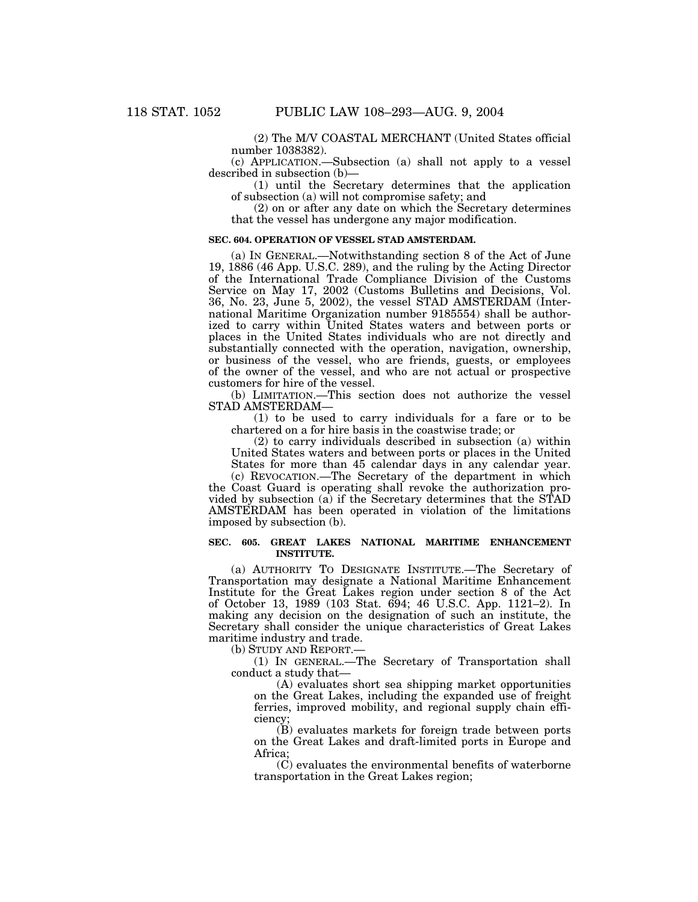(2) The M/V COASTAL MERCHANT (United States official number 1038382).

(c) APPLICATION.—Subsection (a) shall not apply to a vessel described in subsection (b)—

(1) until the Secretary determines that the application of subsection (a) will not compromise safety; and

(2) on or after any date on which the Secretary determines that the vessel has undergone any major modification.

#### **SEC. 604. OPERATION OF VESSEL STAD AMSTERDAM.**

(a) IN GENERAL.—Notwithstanding section 8 of the Act of June 19, 1886 (46 App. U.S.C. 289), and the ruling by the Acting Director of the International Trade Compliance Division of the Customs Service on May 17, 2002 (Customs Bulletins and Decisions, Vol. 36, No. 23, June 5, 2002), the vessel STAD AMSTERDAM (International Maritime Organization number 9185554) shall be authorized to carry within United States waters and between ports or places in the United States individuals who are not directly and substantially connected with the operation, navigation, ownership, or business of the vessel, who are friends, guests, or employees of the owner of the vessel, and who are not actual or prospective customers for hire of the vessel.

(b) LIMITATION.—This section does not authorize the vessel STAD AMSTERDAM—

(1) to be used to carry individuals for a fare or to be chartered on a for hire basis in the coastwise trade; or

(2) to carry individuals described in subsection (a) within United States waters and between ports or places in the United States for more than 45 calendar days in any calendar year.

(c) REVOCATION.—The Secretary of the department in which the Coast Guard is operating shall revoke the authorization provided by subsection (a) if the Secretary determines that the STAD AMSTERDAM has been operated in violation of the limitations imposed by subsection (b).

### **SEC. 605. GREAT LAKES NATIONAL MARITIME ENHANCEMENT INSTITUTE.**

(a) AUTHORITY TO DESIGNATE INSTITUTE.—The Secretary of Transportation may designate a National Maritime Enhancement Institute for the Great Lakes region under section 8 of the Act of October 13, 1989 (103 Stat. 694; 46 U.S.C. App. 1121–2). In making any decision on the designation of such an institute, the Secretary shall consider the unique characteristics of Great Lakes maritime industry and trade.

(b) STUDY AND REPORT.—

(1) IN GENERAL.—The Secretary of Transportation shall conduct a study that—

(A) evaluates short sea shipping market opportunities on the Great Lakes, including the expanded use of freight ferries, improved mobility, and regional supply chain efficiency;

(B) evaluates markets for foreign trade between ports on the Great Lakes and draft-limited ports in Europe and Africa;

(C) evaluates the environmental benefits of waterborne transportation in the Great Lakes region;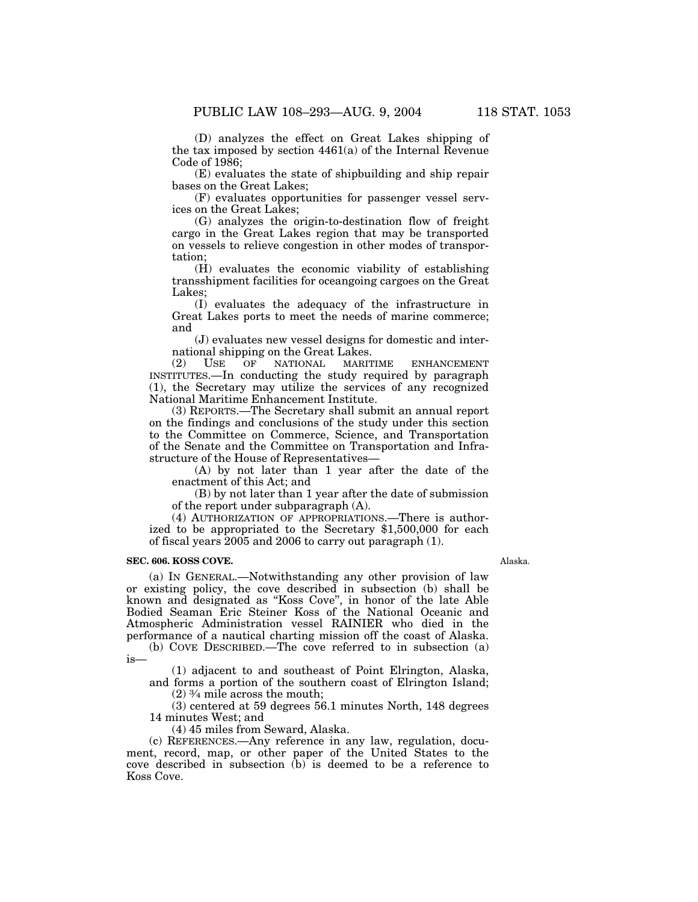(D) analyzes the effect on Great Lakes shipping of the tax imposed by section 4461(a) of the Internal Revenue Code of 1986;

(E) evaluates the state of shipbuilding and ship repair bases on the Great Lakes;

(F) evaluates opportunities for passenger vessel services on the Great Lakes;

(G) analyzes the origin-to-destination flow of freight cargo in the Great Lakes region that may be transported on vessels to relieve congestion in other modes of transportation;

(H) evaluates the economic viability of establishing transshipment facilities for oceangoing cargoes on the Great Lakes;

(I) evaluates the adequacy of the infrastructure in Great Lakes ports to meet the needs of marine commerce; and

(J) evaluates new vessel designs for domestic and international shipping on the Great Lakes.<br>(2) USE OF NATIONAL MARITIME

ENHANCEMENT INSTITUTES.—In conducting the study required by paragraph (1), the Secretary may utilize the services of any recognized National Maritime Enhancement Institute.

(3) REPORTS.—The Secretary shall submit an annual report on the findings and conclusions of the study under this section to the Committee on Commerce, Science, and Transportation of the Senate and the Committee on Transportation and Infrastructure of the House of Representatives—

(A) by not later than 1 year after the date of the enactment of this Act; and

(B) by not later than 1 year after the date of submission of the report under subparagraph (A).

(4) AUTHORIZATION OF APPROPRIATIONS.—There is authorized to be appropriated to the Secretary \$1,500,000 for each of fiscal years 2005 and 2006 to carry out paragraph (1).

# **SEC. 606. KOSS COVE.**

(a) IN GENERAL.—Notwithstanding any other provision of law or existing policy, the cove described in subsection (b) shall be known and designated as ''Koss Cove'', in honor of the late Able Bodied Seaman Eric Steiner Koss of the National Oceanic and Atmospheric Administration vessel RAINIER who died in the performance of a nautical charting mission off the coast of Alaska.

(b) COVE DESCRIBED.—The cove referred to in subsection (a)  $1S-$ 

(1) adjacent to and southeast of Point Elrington, Alaska, and forms a portion of the southern coast of Elrington Island;

(2) 3⁄4 mile across the mouth;

(3) centered at 59 degrees 56.1 minutes North, 148 degrees 14 minutes West; and

(4) 45 miles from Seward, Alaska.

(c) REFERENCES.—Any reference in any law, regulation, document, record, map, or other paper of the United States to the cove described in subsection (b) is deemed to be a reference to Koss Cove.

Alaska.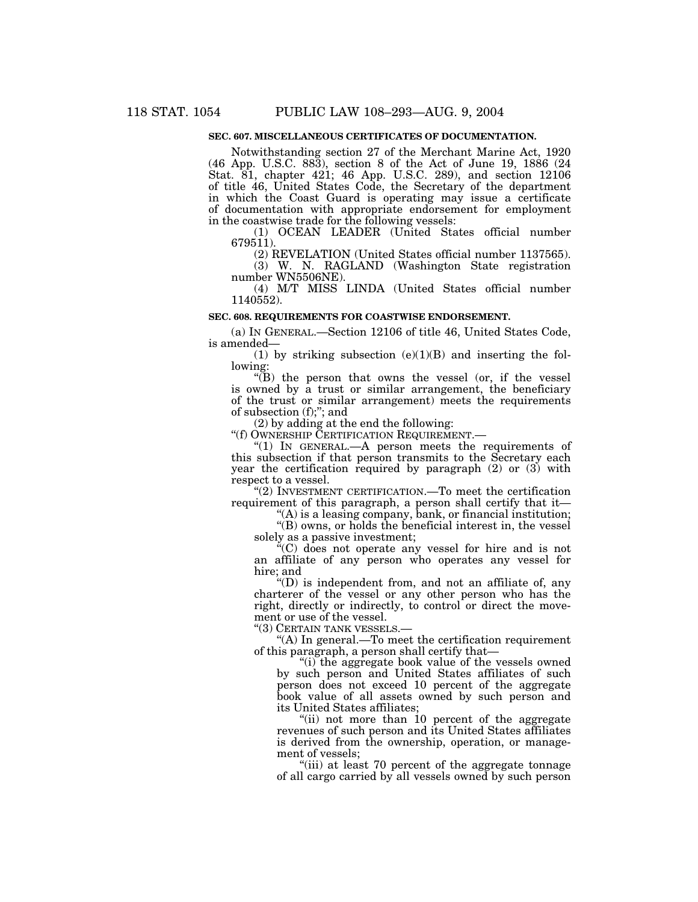# **SEC. 607. MISCELLANEOUS CERTIFICATES OF DOCUMENTATION.**

Notwithstanding section 27 of the Merchant Marine Act, 1920 (46 App. U.S.C. 883), section 8 of the Act of June 19, 1886 (24 Stat. 81, chapter 421; 46 App. U.S.C. 289), and section 12106 of title 46, United States Code, the Secretary of the department in which the Coast Guard is operating may issue a certificate of documentation with appropriate endorsement for employment in the coastwise trade for the following vessels:

(1) OCEAN LEADER (United States official number 679511).

(2) REVELATION (United States official number 1137565).

(3) W. N. RAGLAND (Washington State registration number WN5506NE).

(4) M/T MISS LINDA (United States official number 1140552).

# **SEC. 608. REQUIREMENTS FOR COASTWISE ENDORSEMENT.**

(a) IN GENERAL.—Section 12106 of title 46, United States Code, is amended—

(1) by striking subsection  $(e)(1)(B)$  and inserting the following:

''(B) the person that owns the vessel (or, if the vessel is owned by a trust or similar arrangement, the beneficiary of the trust or similar arrangement) meets the requirements of subsection (f);''; and

(2) by adding at the end the following:

''(f) OWNERSHIP CERTIFICATION REQUIREMENT.—

" $(1)$  In GENERAL.—A person meets the requirements of this subsection if that person transmits to the Secretary each year the certification required by paragraph (2) or (3) with respect to a vessel.

''(2) INVESTMENT CERTIFICATION.—To meet the certification requirement of this paragraph, a person shall certify that it—

''(A) is a leasing company, bank, or financial institution;

''(B) owns, or holds the beneficial interest in, the vessel solely as a passive investment;

''(C) does not operate any vessel for hire and is not an affiliate of any person who operates any vessel for hire; and

''(D) is independent from, and not an affiliate of, any charterer of the vessel or any other person who has the right, directly or indirectly, to control or direct the movement or use of the vessel.

''(3) CERTAIN TANK VESSELS.—

 $(A)$  In general.—To meet the certification requirement of this paragraph, a person shall certify that—

"(i) the aggregate book value of the vessels owned by such person and United States affiliates of such person does not exceed 10 percent of the aggregate book value of all assets owned by such person and its United States affiliates;

"(ii) not more than 10 percent of the aggregate revenues of such person and its United States affiliates is derived from the ownership, operation, or management of vessels;

"(iii) at least 70 percent of the aggregate tonnage of all cargo carried by all vessels owned by such person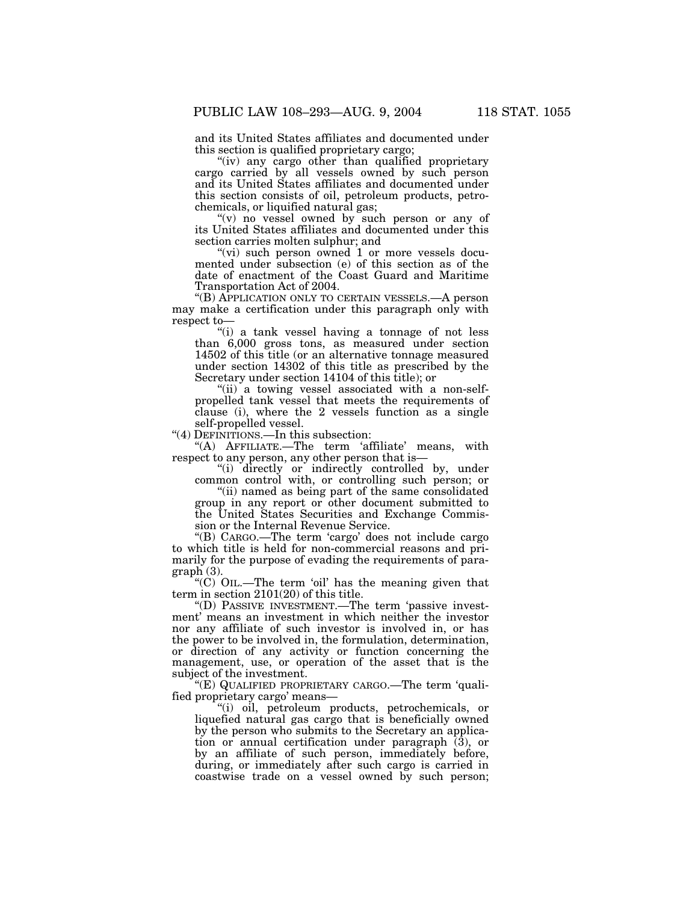and its United States affiliates and documented under this section is qualified proprietary cargo;

"(iv) any cargo other than qualified proprietary cargo carried by all vessels owned by such person and its United States affiliates and documented under this section consists of oil, petroleum products, petrochemicals, or liquified natural gas;

''(v) no vessel owned by such person or any of its United States affiliates and documented under this section carries molten sulphur; and

"(vi) such person owned 1 or more vessels documented under subsection (e) of this section as of the date of enactment of the Coast Guard and Maritime Transportation Act of 2004.

''(B) APPLICATION ONLY TO CERTAIN VESSELS.—A person may make a certification under this paragraph only with respect to—

''(i) a tank vessel having a tonnage of not less than 6,000 gross tons, as measured under section 14502 of this title (or an alternative tonnage measured under section 14302 of this title as prescribed by the Secretary under section 14104 of this title); or

"(ii) a towing vessel associated with a non-selfpropelled tank vessel that meets the requirements of clause (i), where the 2 vessels function as a single self-propelled vessel.

"(4) DEFINITIONS.—In this subsection:

"(A) AFFILIATE.—The term 'affiliate' means, with respect to any person, any other person that is—

''(i) directly or indirectly controlled by, under common control with, or controlling such person; or

''(ii) named as being part of the same consolidated group in any report or other document submitted to the United States Securities and Exchange Commission or the Internal Revenue Service.

''(B) CARGO.—The term 'cargo' does not include cargo to which title is held for non-commercial reasons and primarily for the purpose of evading the requirements of paragraph (3).

''(C) OIL.—The term 'oil' has the meaning given that term in section 2101(20) of this title.

''(D) PASSIVE INVESTMENT.—The term 'passive investment' means an investment in which neither the investor nor any affiliate of such investor is involved in, or has the power to be involved in, the formulation, determination, or direction of any activity or function concerning the management, use, or operation of the asset that is the subject of the investment.

''(E) QUALIFIED PROPRIETARY CARGO.—The term 'qualified proprietary cargo' means—

''(i) oil, petroleum products, petrochemicals, or liquefied natural gas cargo that is beneficially owned by the person who submits to the Secretary an application or annual certification under paragraph (3), or by an affiliate of such person, immediately before, during, or immediately after such cargo is carried in coastwise trade on a vessel owned by such person;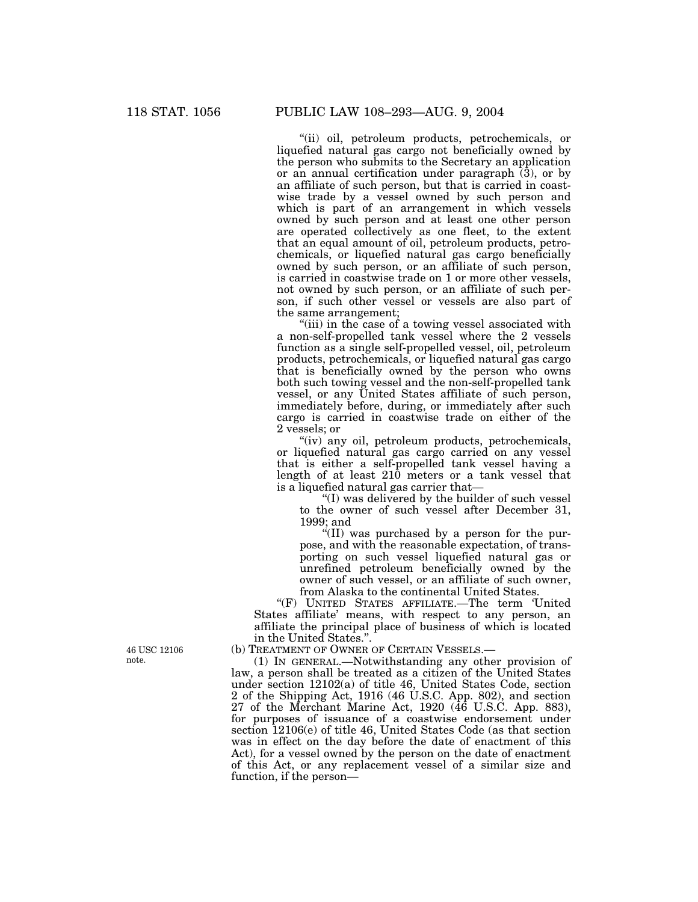''(ii) oil, petroleum products, petrochemicals, or liquefied natural gas cargo not beneficially owned by the person who submits to the Secretary an application or an annual certification under paragraph (3), or by an affiliate of such person, but that is carried in coastwise trade by a vessel owned by such person and which is part of an arrangement in which vessels owned by such person and at least one other person are operated collectively as one fleet, to the extent that an equal amount of oil, petroleum products, petrochemicals, or liquefied natural gas cargo beneficially owned by such person, or an affiliate of such person, is carried in coastwise trade on 1 or more other vessels, not owned by such person, or an affiliate of such person, if such other vessel or vessels are also part of the same arrangement;

"(iii) in the case of a towing vessel associated with a non-self-propelled tank vessel where the 2 vessels function as a single self-propelled vessel, oil, petroleum products, petrochemicals, or liquefied natural gas cargo that is beneficially owned by the person who owns both such towing vessel and the non-self-propelled tank vessel, or any United States affiliate of such person, immediately before, during, or immediately after such cargo is carried in coastwise trade on either of the 2 vessels; or

"(iv) any oil, petroleum products, petrochemicals, or liquefied natural gas cargo carried on any vessel that is either a self-propelled tank vessel having a length of at least 210 meters or a tank vessel that is a liquefied natural gas carrier that—

''(I) was delivered by the builder of such vessel to the owner of such vessel after December 31, 1999; and

 $\sqrt{\text{III}}$  was purchased by a person for the purpose, and with the reasonable expectation, of transporting on such vessel liquefied natural gas or unrefined petroleum beneficially owned by the owner of such vessel, or an affiliate of such owner, from Alaska to the continental United States.

''(F) UNITED STATES AFFILIATE.—The term 'United States affiliate' means, with respect to any person, an affiliate the principal place of business of which is located in the United States.''.

(b) TREATMENT OF OWNER OF CERTAIN VESSELS.—

(1) IN GENERAL.—Notwithstanding any other provision of law, a person shall be treated as a citizen of the United States under section 12102(a) of title 46, United States Code, section 2 of the Shipping Act, 1916 (46 U.S.C. App. 802), and section 27 of the Merchant Marine Act, 1920 (46 U.S.C. App. 883), for purposes of issuance of a coastwise endorsement under section 12106(e) of title 46, United States Code (as that section was in effect on the day before the date of enactment of this Act), for a vessel owned by the person on the date of enactment of this Act, or any replacement vessel of a similar size and function, if the person—

46 USC 12106 note.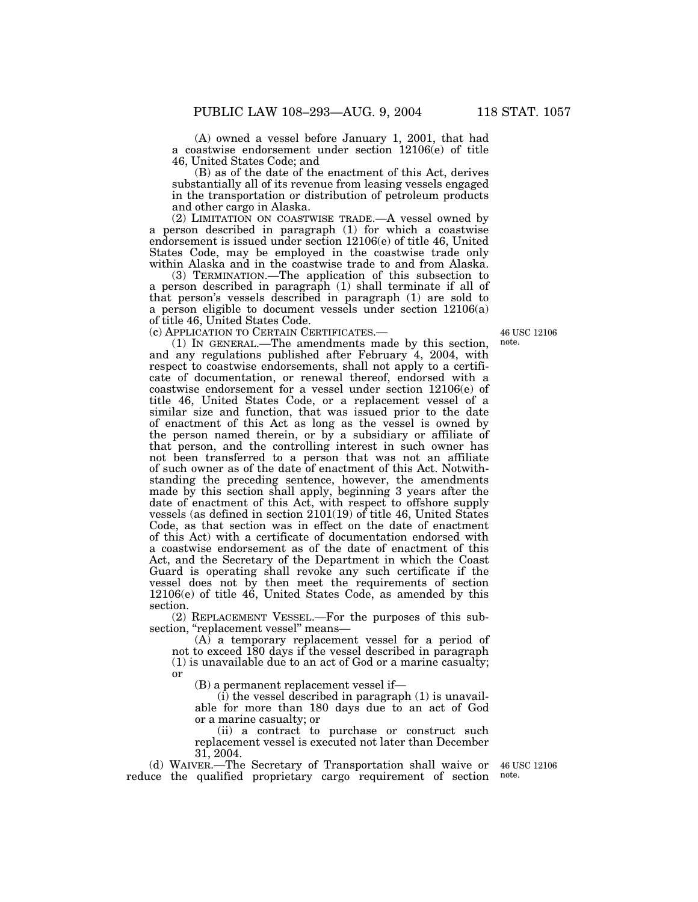(A) owned a vessel before January 1, 2001, that had a coastwise endorsement under section 12106(e) of title 46, United States Code; and

(B) as of the date of the enactment of this Act, derives substantially all of its revenue from leasing vessels engaged in the transportation or distribution of petroleum products and other cargo in Alaska.

(2) LIMITATION ON COASTWISE TRADE.—A vessel owned by a person described in paragraph (1) for which a coastwise endorsement is issued under section 12106(e) of title 46, United States Code, may be employed in the coastwise trade only within Alaska and in the coastwise trade to and from Alaska.

(3) TERMINATION.—The application of this subsection to a person described in paragraph (1) shall terminate if all of that person's vessels described in paragraph (1) are sold to a person eligible to document vessels under section 12106(a) of title 46, United States Code.

(c) APPLICATION TO CERTAIN CERTIFICATES.—

(1) IN GENERAL.—The amendments made by this section, and any regulations published after February 4, 2004, with respect to coastwise endorsements, shall not apply to a certificate of documentation, or renewal thereof, endorsed with a coastwise endorsement for a vessel under section 12106(e) of title 46, United States Code, or a replacement vessel of a similar size and function, that was issued prior to the date of enactment of this Act as long as the vessel is owned by the person named therein, or by a subsidiary or affiliate of that person, and the controlling interest in such owner has not been transferred to a person that was not an affiliate of such owner as of the date of enactment of this Act. Notwithstanding the preceding sentence, however, the amendments made by this section shall apply, beginning 3 years after the date of enactment of this Act, with respect to offshore supply vessels (as defined in section 2101(19) of title 46, United States Code, as that section was in effect on the date of enactment of this Act) with a certificate of documentation endorsed with a coastwise endorsement as of the date of enactment of this Act, and the Secretary of the Department in which the Coast Guard is operating shall revoke any such certificate if the vessel does not by then meet the requirements of section 12106(e) of title 46, United States Code, as amended by this section.

(2) REPLACEMENT VESSEL.—For the purposes of this subsection, "replacement vessel" means-

(A) a temporary replacement vessel for a period of not to exceed 180 days if the vessel described in paragraph (1) is unavailable due to an act of God or a marine casualty; or

(B) a permanent replacement vessel if—

 $(i)$  the vessel described in paragraph  $(1)$  is unavailable for more than 180 days due to an act of God or a marine casualty; or

(ii) a contract to purchase or construct such replacement vessel is executed not later than December 31, 2004.

(d) WAIVER.—The Secretary of Transportation shall waive or 46 USC 12106 reduce the qualified proprietary cargo requirement of section

note.

46 USC 12106 note.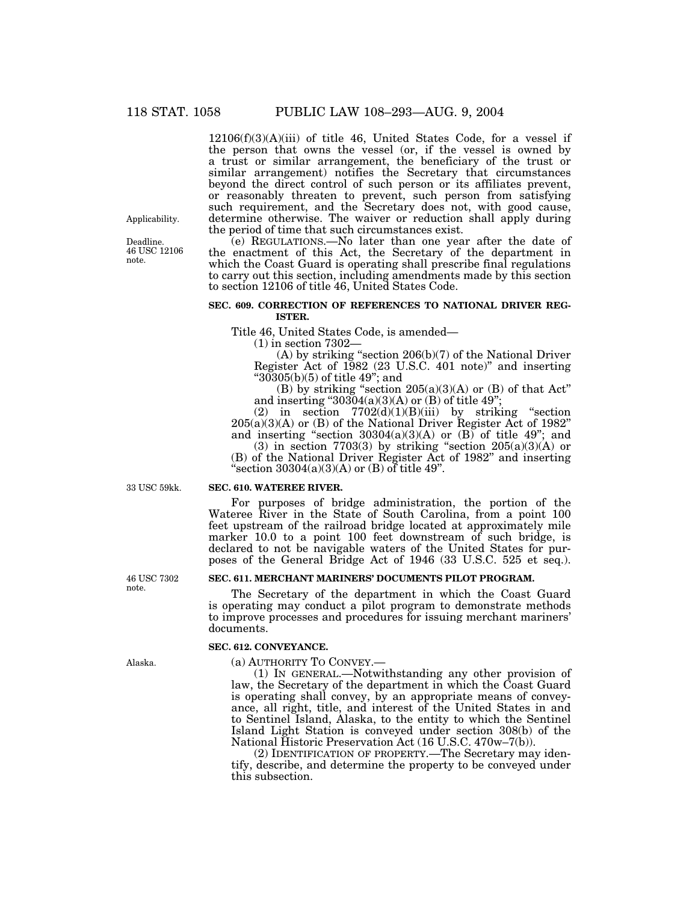12106(f)(3)(A)(iii) of title 46, United States Code, for a vessel if the person that owns the vessel (or, if the vessel is owned by a trust or similar arrangement, the beneficiary of the trust or similar arrangement) notifies the Secretary that circumstances beyond the direct control of such person or its affiliates prevent, or reasonably threaten to prevent, such person from satisfying such requirement, and the Secretary does not, with good cause, determine otherwise. The waiver or reduction shall apply during the period of time that such circumstances exist.

(e) REGULATIONS.—No later than one year after the date of the enactment of this Act, the Secretary of the department in which the Coast Guard is operating shall prescribe final regulations to carry out this section, including amendments made by this section to section 12106 of title 46, United States Code.

# **SEC. 609. CORRECTION OF REFERENCES TO NATIONAL DRIVER REG-ISTER.**

Title 46, United States Code, is amended—

(1) in section 7302—

(A) by striking ''section 206(b)(7) of the National Driver Register Act of 1982 (23 U.S.C. 401 note)'' and inserting " $30305(b)(5)$  of title  $49$ "; and

(B) by striking "section  $205(a)(3)(A)$  or (B) of that Act" and inserting " $30304(a)(3)(A)$  or (B) of title 49";

(2) in section  $7702(d)(1)(B)(iii)$  by striking "section 205(a)(3)(A) or (B) of the National Driver Register Act of 1982'' and inserting "section  $30304(a)(3)(A)$  or  $(B)$  of title 49"; and

(3) in section 7703(3) by striking "section  $205(a)(3)(A)$  or (B) of the National Driver Register Act of 1982'' and inserting "section  $30304(a)(3)(A)$  or (B) of title 49".

33 USC 59kk.

#### **SEC. 610. WATEREE RIVER.**

For purposes of bridge administration, the portion of the Wateree River in the State of South Carolina, from a point 100 feet upstream of the railroad bridge located at approximately mile marker 10.0 to a point 100 feet downstream of such bridge, is declared to not be navigable waters of the United States for purposes of the General Bridge Act of 1946 (33 U.S.C. 525 et seq.).

# **SEC. 611. MERCHANT MARINERS' DOCUMENTS PILOT PROGRAM.**

The Secretary of the department in which the Coast Guard is operating may conduct a pilot program to demonstrate methods to improve processes and procedures for issuing merchant mariners' documents.

# **SEC. 612. CONVEYANCE.**

(a) AUTHORITY TO CONVEY.—

(1) IN GENERAL.—Notwithstanding any other provision of law, the Secretary of the department in which the Coast Guard is operating shall convey, by an appropriate means of conveyance, all right, title, and interest of the United States in and to Sentinel Island, Alaska, to the entity to which the Sentinel Island Light Station is conveyed under section 308(b) of the National Historic Preservation Act (16 U.S.C. 470w–7(b)).

(2) IDENTIFICATION OF PROPERTY.—The Secretary may identify, describe, and determine the property to be conveyed under this subsection.

46 USC 7302 note.

Alaska.

Applicability.

Deadline. 46 USC 12106 note.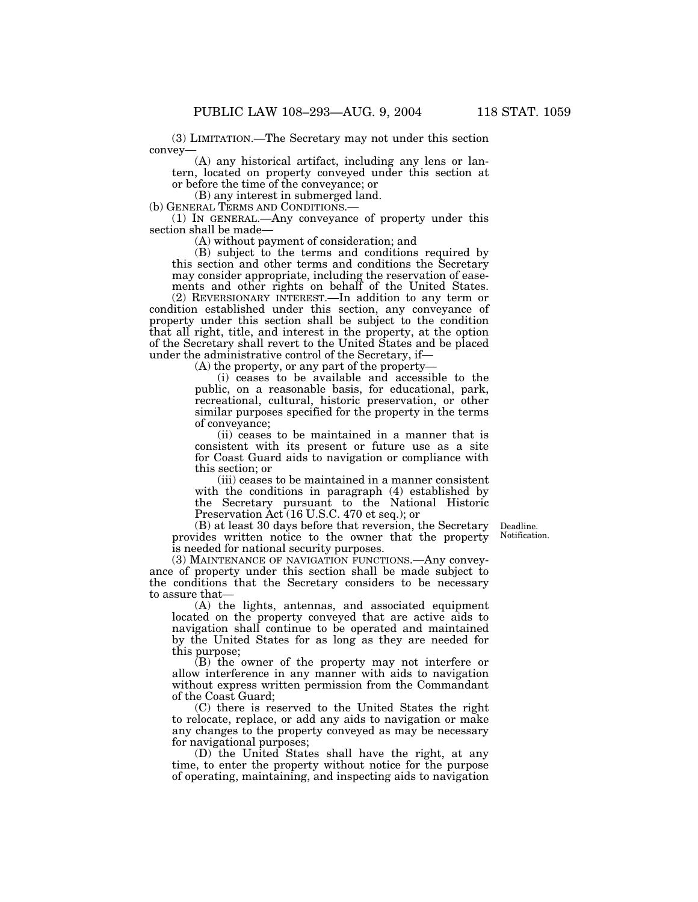(3) LIMITATION.—The Secretary may not under this section convey—

(A) any historical artifact, including any lens or lantern, located on property conveyed under this section at or before the time of the conveyance; or

(B) any interest in submerged land.<br>(b) GENERAL TERMS AND CONDITIONS.—

(1) IN GENERAL.—Any conveyance of property under this section shall be made—

(A) without payment of consideration; and

(B) subject to the terms and conditions required by this section and other terms and conditions the Secretary may consider appropriate, including the reservation of easements and other rights on behalf of the United States.

(2) REVERSIONARY INTEREST.—In addition to any term or condition established under this section, any conveyance of property under this section shall be subject to the condition that all right, title, and interest in the property, at the option of the Secretary shall revert to the United States and be placed under the administrative control of the Secretary, if—

(A) the property, or any part of the property—

(i) ceases to be available and accessible to the public, on a reasonable basis, for educational, park, recreational, cultural, historic preservation, or other similar purposes specified for the property in the terms of conveyance;

(ii) ceases to be maintained in a manner that is consistent with its present or future use as a site for Coast Guard aids to navigation or compliance with this section; or

(iii) ceases to be maintained in a manner consistent with the conditions in paragraph (4) established by the Secretary pursuant to the National Historic Preservation Act (16 U.S.C. 470 et seq.); or

(B) at least 30 days before that reversion, the Secretary provides written notice to the owner that the property is needed for national security purposes.

Deadline. Notification.

(3) MAINTENANCE OF NAVIGATION FUNCTIONS.—Any conveyance of property under this section shall be made subject to the conditions that the Secretary considers to be necessary to assure that—

(A) the lights, antennas, and associated equipment located on the property conveyed that are active aids to navigation shall continue to be operated and maintained by the United States for as long as they are needed for this purpose;

(B) the owner of the property may not interfere or allow interference in any manner with aids to navigation without express written permission from the Commandant of the Coast Guard;

(C) there is reserved to the United States the right to relocate, replace, or add any aids to navigation or make any changes to the property conveyed as may be necessary for navigational purposes;

(D) the United States shall have the right, at any time, to enter the property without notice for the purpose of operating, maintaining, and inspecting aids to navigation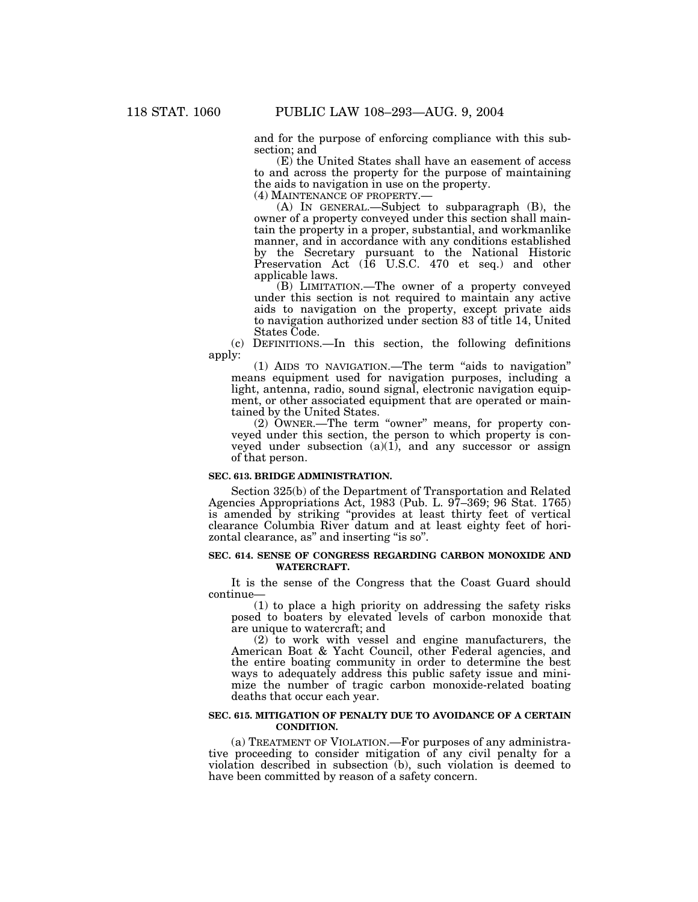and for the purpose of enforcing compliance with this subsection; and

(E) the United States shall have an easement of access to and across the property for the purpose of maintaining the aids to navigation in use on the property.<br>(4) MAINTENANCE OF PROPERTY.—

(A) IN GENERAL.—Subject to subparagraph  $(B)$ , the owner of a property conveyed under this section shall maintain the property in a proper, substantial, and workmanlike manner, and in accordance with any conditions established by the Secretary pursuant to the National Historic Preservation Act (16 U.S.C. 470 et seq.) and other applicable laws.

(B) LIMITATION.—The owner of a property conveyed under this section is not required to maintain any active aids to navigation on the property, except private aids to navigation authorized under section 83 of title 14, United States Code.

(c) DEFINITIONS.—In this section, the following definitions apply:

(1) AIDS TO NAVIGATION.—The term ''aids to navigation'' means equipment used for navigation purposes, including a light, antenna, radio, sound signal, electronic navigation equipment, or other associated equipment that are operated or maintained by the United States.

 $(2)$  OWNER.—The term "owner" means, for property conveyed under this section, the person to which property is conveyed under subsection  $(a)(1)$ , and any successor or assign of that person.

# **SEC. 613. BRIDGE ADMINISTRATION.**

Section 325(b) of the Department of Transportation and Related Agencies Appropriations Act, 1983 (Pub. L. 97–369; 96 Stat. 1765) is amended by striking ''provides at least thirty feet of vertical clearance Columbia River datum and at least eighty feet of horizontal clearance, as" and inserting "is so".

## **SEC. 614. SENSE OF CONGRESS REGARDING CARBON MONOXIDE AND WATERCRAFT.**

It is the sense of the Congress that the Coast Guard should continue—

(1) to place a high priority on addressing the safety risks posed to boaters by elevated levels of carbon monoxide that are unique to watercraft; and

(2) to work with vessel and engine manufacturers, the American Boat & Yacht Council, other Federal agencies, and the entire boating community in order to determine the best ways to adequately address this public safety issue and minimize the number of tragic carbon monoxide-related boating deaths that occur each year.

# **SEC. 615. MITIGATION OF PENALTY DUE TO AVOIDANCE OF A CERTAIN CONDITION.**

(a) TREATMENT OF VIOLATION.—For purposes of any administrative proceeding to consider mitigation of any civil penalty for a violation described in subsection (b), such violation is deemed to have been committed by reason of a safety concern.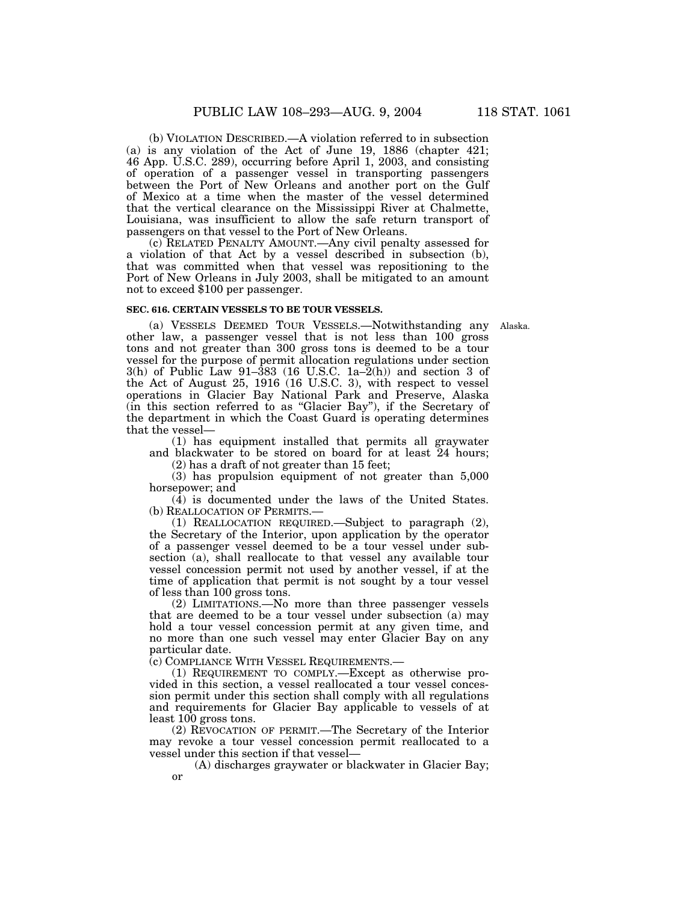(b) VIOLATION DESCRIBED.—A violation referred to in subsection (a) is any violation of the Act of June 19, 1886 (chapter 421; 46 App. U.S.C. 289), occurring before April 1, 2003, and consisting of operation of a passenger vessel in transporting passengers between the Port of New Orleans and another port on the Gulf of Mexico at a time when the master of the vessel determined that the vertical clearance on the Mississippi River at Chalmette, Louisiana, was insufficient to allow the safe return transport of passengers on that vessel to the Port of New Orleans.

(c) RELATED PENALTY AMOUNT.—Any civil penalty assessed for a violation of that Act by a vessel described in subsection (b), that was committed when that vessel was repositioning to the Port of New Orleans in July 2003, shall be mitigated to an amount not to exceed \$100 per passenger.

#### **SEC. 616. CERTAIN VESSELS TO BE TOUR VESSELS.**

(a) VESSELS DEEMED TOUR VESSELS.—Notwithstanding any Alaska. other law, a passenger vessel that is not less than 100 gross tons and not greater than 300 gross tons is deemed to be a tour vessel for the purpose of permit allocation regulations under section 3(h) of Public Law 91–383 (16 U.S.C. 1a–2(h)) and section 3 of the Act of August 25, 1916 (16 U.S.C. 3), with respect to vessel operations in Glacier Bay National Park and Preserve, Alaska (in this section referred to as ''Glacier Bay''), if the Secretary of the department in which the Coast Guard is operating determines that the vessel—

(1) has equipment installed that permits all graywater and blackwater to be stored on board for at least 24 hours;

(2) has a draft of not greater than 15 feet;

(3) has propulsion equipment of not greater than 5,000 horsepower; and

(4) is documented under the laws of the United States. (b) REALLOCATION OF PERMITS.—

(1) REALLOCATION REQUIRED.—Subject to paragraph (2), the Secretary of the Interior, upon application by the operator of a passenger vessel deemed to be a tour vessel under subsection (a), shall reallocate to that vessel any available tour vessel concession permit not used by another vessel, if at the time of application that permit is not sought by a tour vessel of less than 100 gross tons.

(2) LIMITATIONS.—No more than three passenger vessels that are deemed to be a tour vessel under subsection (a) may hold a tour vessel concession permit at any given time, and no more than one such vessel may enter Glacier Bay on any particular date.

(c) COMPLIANCE WITH VESSEL REQUIREMENTS.—

(1) REQUIREMENT TO COMPLY.—Except as otherwise provided in this section, a vessel reallocated a tour vessel concession permit under this section shall comply with all regulations and requirements for Glacier Bay applicable to vessels of at least 100 gross tons.

(2) REVOCATION OF PERMIT.—The Secretary of the Interior may revoke a tour vessel concession permit reallocated to a vessel under this section if that vessel—

(A) discharges graywater or blackwater in Glacier Bay; or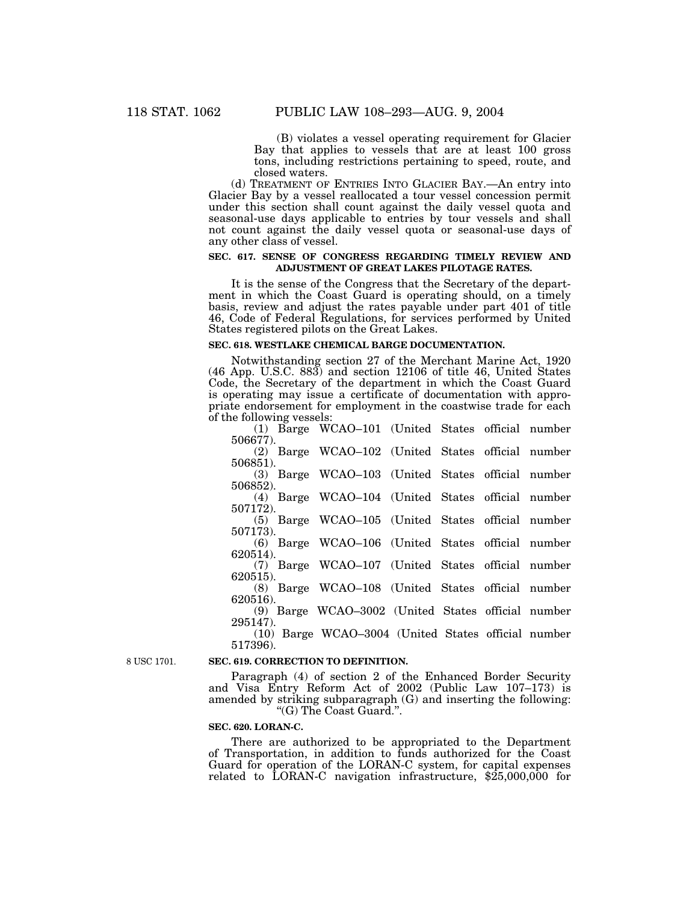(B) violates a vessel operating requirement for Glacier Bay that applies to vessels that are at least 100 gross tons, including restrictions pertaining to speed, route, and closed waters.

(d) TREATMENT OF ENTRIES INTO GLACIER BAY.—An entry into Glacier Bay by a vessel reallocated a tour vessel concession permit under this section shall count against the daily vessel quota and seasonal-use days applicable to entries by tour vessels and shall not count against the daily vessel quota or seasonal-use days of any other class of vessel.

# **SEC. 617. SENSE OF CONGRESS REGARDING TIMELY REVIEW AND ADJUSTMENT OF GREAT LAKES PILOTAGE RATES.**

It is the sense of the Congress that the Secretary of the department in which the Coast Guard is operating should, on a timely basis, review and adjust the rates payable under part 401 of title 46, Code of Federal Regulations, for services performed by United States registered pilots on the Great Lakes.

# **SEC. 618. WESTLAKE CHEMICAL BARGE DOCUMENTATION.**

Notwithstanding section 27 of the Merchant Marine Act, 1920 (46 App. U.S.C. 883) and section 12106 of title 46, United States Code, the Secretary of the department in which the Coast Guard is operating may issue a certificate of documentation with appropriate endorsement for employment in the coastwise trade for each of the following vessels:

|          | (1) Barge WCAO-101 (United States official number   |  |  |
|----------|-----------------------------------------------------|--|--|
| 506677). |                                                     |  |  |
|          | (2) Barge WCAO-102 (United States official number   |  |  |
| 506851). |                                                     |  |  |
|          | (3) Barge WCAO-103 (United States official number   |  |  |
| 506852). |                                                     |  |  |
|          | (4) Barge WCAO-104 (United States official number   |  |  |
| 507172). |                                                     |  |  |
|          | (5) Barge WCAO-105 (United States official number   |  |  |
| 507173). |                                                     |  |  |
|          | (6) Barge WCAO-106 (United States official number   |  |  |
| 620514). |                                                     |  |  |
|          | (7) Barge WCAO-107 (United States official number   |  |  |
| 620515). |                                                     |  |  |
|          | (8) Barge WCAO-108 (United States official number   |  |  |
| 620516). |                                                     |  |  |
|          | (9) Barge WCAO-3002 (United States official number  |  |  |
| 295147). |                                                     |  |  |
|          | (10) Barge WCAO–3004 (United States official number |  |  |
|          |                                                     |  |  |

8 USC 1701.

#### **SEC. 619. CORRECTION TO DEFINITION.**

Paragraph (4) of section 2 of the Enhanced Border Security and Visa Entry Reform Act of 2002 (Public Law 107–173) is amended by striking subparagraph (G) and inserting the following: ''(G) The Coast Guard.''.

#### **SEC. 620. LORAN-C.**

517396).

There are authorized to be appropriated to the Department of Transportation, in addition to funds authorized for the Coast Guard for operation of the LORAN-C system, for capital expenses related to LORAN-C navigation infrastructure, \$25,000,000 for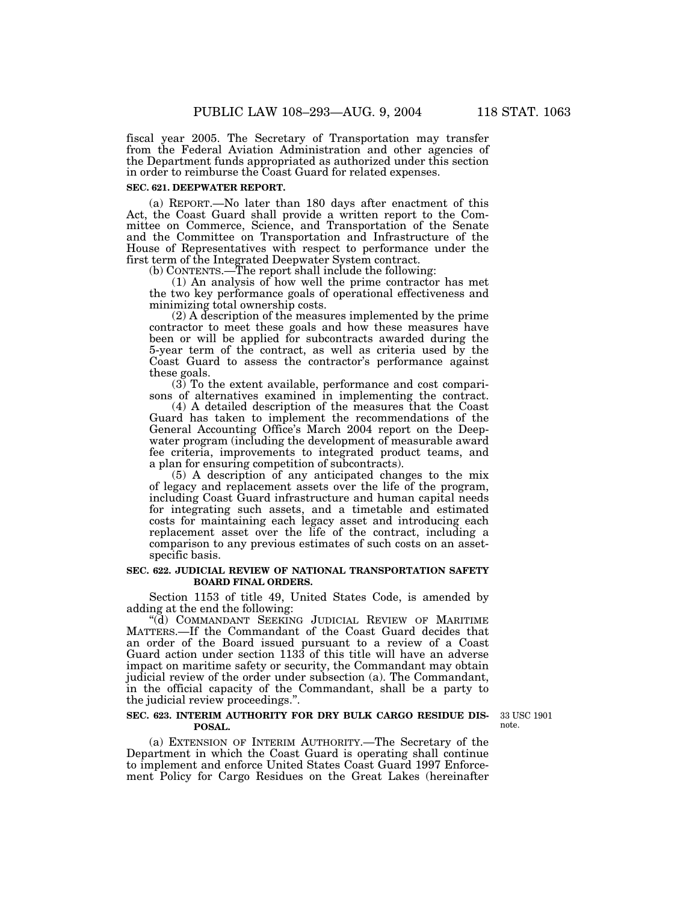fiscal year 2005. The Secretary of Transportation may transfer from the Federal Aviation Administration and other agencies of the Department funds appropriated as authorized under this section in order to reimburse the Coast Guard for related expenses.

# **SEC. 621. DEEPWATER REPORT.**

(a) REPORT.—No later than 180 days after enactment of this Act, the Coast Guard shall provide a written report to the Committee on Commerce, Science, and Transportation of the Senate and the Committee on Transportation and Infrastructure of the House of Representatives with respect to performance under the first term of the Integrated Deepwater System contract.

(b) CONTENTS.—The report shall include the following:

(1) An analysis of how well the prime contractor has met the two key performance goals of operational effectiveness and minimizing total ownership costs.

(2) A description of the measures implemented by the prime contractor to meet these goals and how these measures have been or will be applied for subcontracts awarded during the 5-year term of the contract, as well as criteria used by the Coast Guard to assess the contractor's performance against these goals.

(3) To the extent available, performance and cost comparisons of alternatives examined in implementing the contract.

(4) A detailed description of the measures that the Coast Guard has taken to implement the recommendations of the General Accounting Office's March 2004 report on the Deepwater program (including the development of measurable award fee criteria, improvements to integrated product teams, and a plan for ensuring competition of subcontracts).

(5) A description of any anticipated changes to the mix of legacy and replacement assets over the life of the program, including Coast Guard infrastructure and human capital needs for integrating such assets, and a timetable and estimated costs for maintaining each legacy asset and introducing each replacement asset over the life of the contract, including a comparison to any previous estimates of such costs on an assetspecific basis.

# **SEC. 622. JUDICIAL REVIEW OF NATIONAL TRANSPORTATION SAFETY BOARD FINAL ORDERS.**

Section 1153 of title 49, United States Code, is amended by adding at the end the following:

"(d) COMMANDANT SEEKING JUDICIAL REVIEW OF MARITIME MATTERS.—If the Commandant of the Coast Guard decides that an order of the Board issued pursuant to a review of a Coast Guard action under section 1133 of this title will have an adverse impact on maritime safety or security, the Commandant may obtain judicial review of the order under subsection (a). The Commandant, in the official capacity of the Commandant, shall be a party to the judicial review proceedings.''.

# **SEC. 623. INTERIM AUTHORITY FOR DRY BULK CARGO RESIDUE DIS-POSAL.**

33 USC 1901 note.

(a) EXTENSION OF INTERIM AUTHORITY.—The Secretary of the Department in which the Coast Guard is operating shall continue to implement and enforce United States Coast Guard 1997 Enforcement Policy for Cargo Residues on the Great Lakes (hereinafter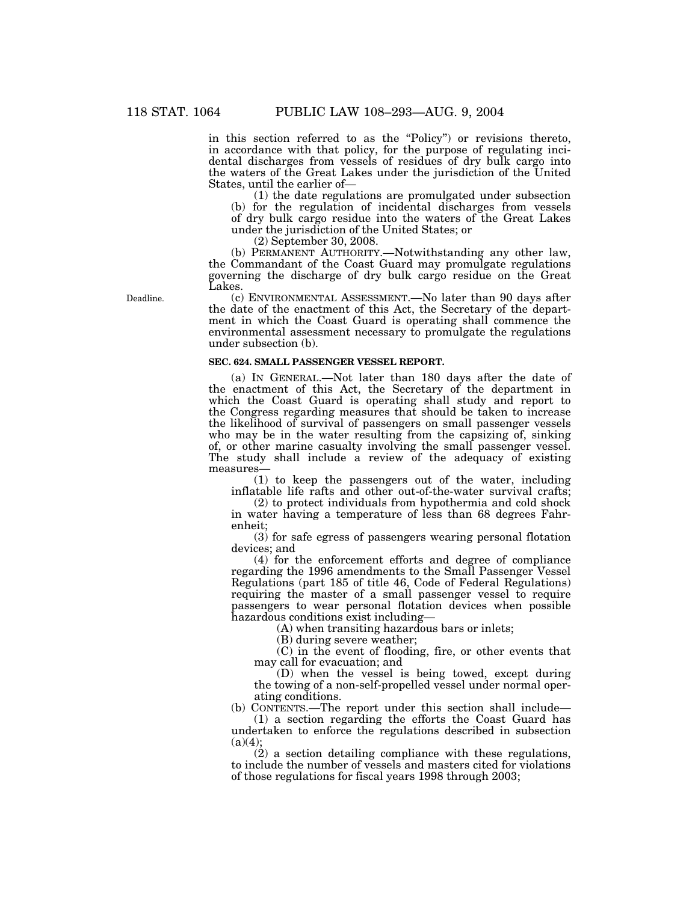in this section referred to as the "Policy") or revisions thereto, in accordance with that policy, for the purpose of regulating incidental discharges from vessels of residues of dry bulk cargo into the waters of the Great Lakes under the jurisdiction of the United States, until the earlier of—

(1) the date regulations are promulgated under subsection (b) for the regulation of incidental discharges from vessels of dry bulk cargo residue into the waters of the Great Lakes under the jurisdiction of the United States; or

(2) September 30, 2008.

(b) PERMANENT AUTHORITY.—Notwithstanding any other law, the Commandant of the Coast Guard may promulgate regulations governing the discharge of dry bulk cargo residue on the Great Lakes.

(c) ENVIRONMENTAL ASSESSMENT.—No later than 90 days after the date of the enactment of this Act, the Secretary of the department in which the Coast Guard is operating shall commence the environmental assessment necessary to promulgate the regulations under subsection (b).

#### **SEC. 624. SMALL PASSENGER VESSEL REPORT.**

(a) IN GENERAL.—Not later than 180 days after the date of the enactment of this Act, the Secretary of the department in which the Coast Guard is operating shall study and report to the Congress regarding measures that should be taken to increase the likelihood of survival of passengers on small passenger vessels who may be in the water resulting from the capsizing of, sinking of, or other marine casualty involving the small passenger vessel. The study shall include a review of the adequacy of existing measures—

(1) to keep the passengers out of the water, including inflatable life rafts and other out-of-the-water survival crafts;

(2) to protect individuals from hypothermia and cold shock in water having a temperature of less than 68 degrees Fahrenheit;

(3) for safe egress of passengers wearing personal flotation devices; and

(4) for the enforcement efforts and degree of compliance regarding the 1996 amendments to the Small Passenger Vessel Regulations (part 185 of title 46, Code of Federal Regulations) requiring the master of a small passenger vessel to require passengers to wear personal flotation devices when possible hazardous conditions exist including—

(A) when transiting hazardous bars or inlets;

(B) during severe weather;

(C) in the event of flooding, fire, or other events that may call for evacuation; and

(D) when the vessel is being towed, except during the towing of a non-self-propelled vessel under normal operating conditions.

(b) CONTENTS.—The report under this section shall include— (1) a section regarding the efforts the Coast Guard has undertaken to enforce the regulations described in subsection  $(a)(4)$ ;

(2) a section detailing compliance with these regulations, to include the number of vessels and masters cited for violations of those regulations for fiscal years 1998 through 2003;

Deadline.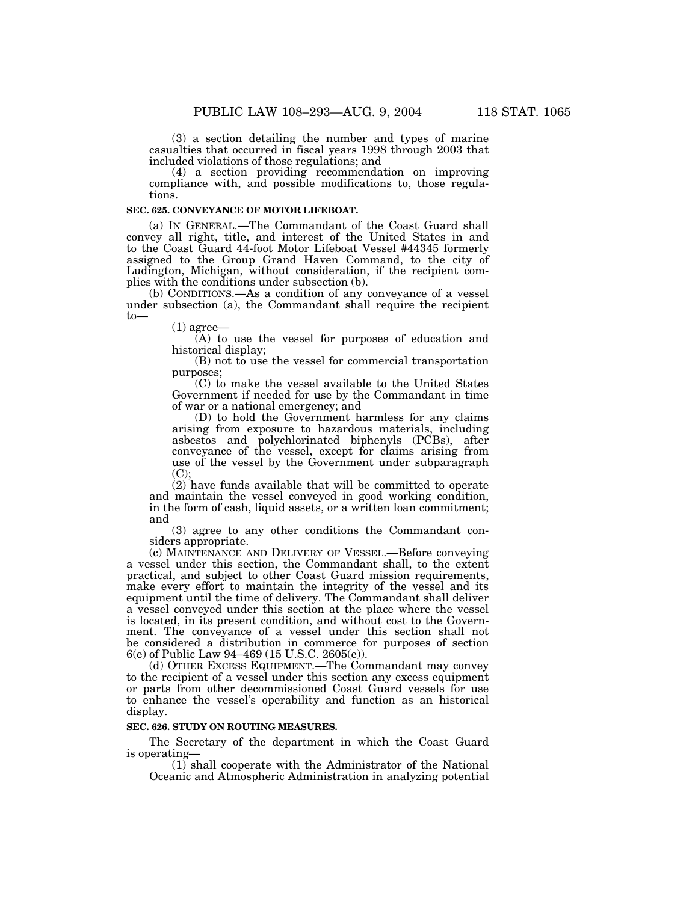(3) a section detailing the number and types of marine casualties that occurred in fiscal years 1998 through 2003 that included violations of those regulations; and

(4) a section providing recommendation on improving compliance with, and possible modifications to, those regulations.

#### **SEC. 625. CONVEYANCE OF MOTOR LIFEBOAT.**

(a) IN GENERAL.—The Commandant of the Coast Guard shall convey all right, title, and interest of the United States in and to the Coast Guard 44-foot Motor Lifeboat Vessel #44345 formerly assigned to the Group Grand Haven Command, to the city of Ludington, Michigan, without consideration, if the recipient complies with the conditions under subsection (b).

(b) CONDITIONS.—As a condition of any conveyance of a vessel under subsection (a), the Commandant shall require the recipient to—

 $(1)$  agree—

(A) to use the vessel for purposes of education and historical display;

(B) not to use the vessel for commercial transportation purposes;

(C) to make the vessel available to the United States Government if needed for use by the Commandant in time of war or a national emergency; and

(D) to hold the Government harmless for any claims arising from exposure to hazardous materials, including asbestos and polychlorinated biphenyls (PCBs), after conveyance of the vessel, except for claims arising from use of the vessel by the Government under subparagraph  $(C);$ 

(2) have funds available that will be committed to operate and maintain the vessel conveyed in good working condition, in the form of cash, liquid assets, or a written loan commitment; and

(3) agree to any other conditions the Commandant considers appropriate.

(c) MAINTENANCE AND DELIVERY OF VESSEL.—Before conveying a vessel under this section, the Commandant shall, to the extent practical, and subject to other Coast Guard mission requirements, make every effort to maintain the integrity of the vessel and its equipment until the time of delivery. The Commandant shall deliver a vessel conveyed under this section at the place where the vessel is located, in its present condition, and without cost to the Government. The conveyance of a vessel under this section shall not be considered a distribution in commerce for purposes of section 6(e) of Public Law 94–469 (15 U.S.C. 2605(e)).

(d) OTHER EXCESS EQUIPMENT.—The Commandant may convey to the recipient of a vessel under this section any excess equipment or parts from other decommissioned Coast Guard vessels for use to enhance the vessel's operability and function as an historical display.

# **SEC. 626. STUDY ON ROUTING MEASURES.**

The Secretary of the department in which the Coast Guard is operating—

(1) shall cooperate with the Administrator of the National Oceanic and Atmospheric Administration in analyzing potential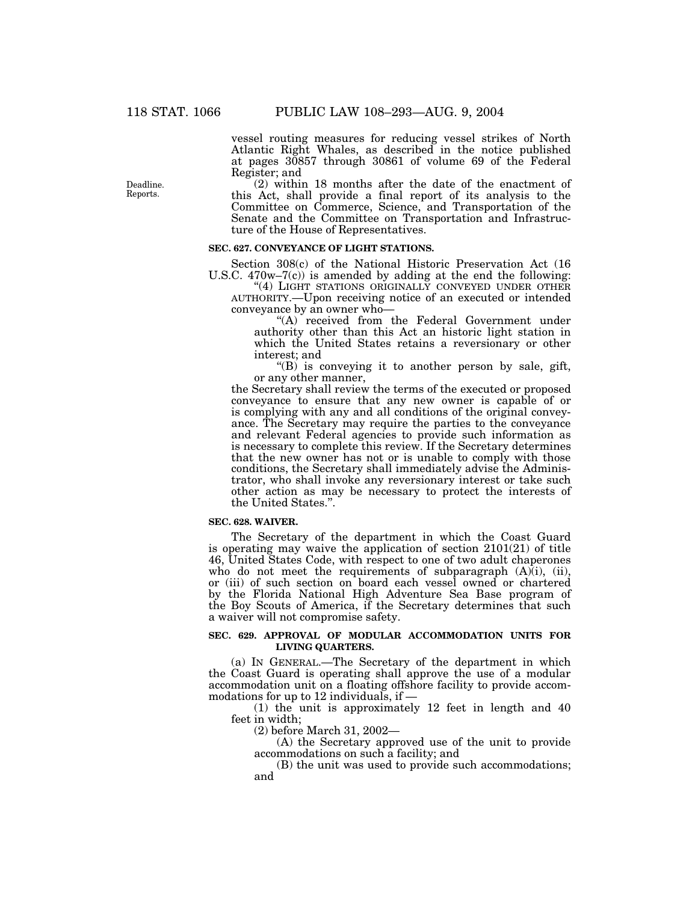vessel routing measures for reducing vessel strikes of North Atlantic Right Whales, as described in the notice published at pages 30857 through 30861 of volume 69 of the Federal Register; and

(2) within 18 months after the date of the enactment of this Act, shall provide a final report of its analysis to the Committee on Commerce, Science, and Transportation of the Senate and the Committee on Transportation and Infrastructure of the House of Representatives.

#### **SEC. 627. CONVEYANCE OF LIGHT STATIONS.**

Section 308(c) of the National Historic Preservation Act (16 U.S.C. 470w–7(c)) is amended by adding at the end the following:

"(4) LIGHT STATIONS ORIGINALLY CONVEYED UNDER OTHER AUTHORITY.—Upon receiving notice of an executed or intended conveyance by an owner who—

"(A) received from the Federal Government under authority other than this Act an historic light station in which the United States retains a reversionary or other interest; and

" $(B)$  is conveying it to another person by sale, gift, or any other manner,

the Secretary shall review the terms of the executed or proposed conveyance to ensure that any new owner is capable of or is complying with any and all conditions of the original conveyance. The Secretary may require the parties to the conveyance and relevant Federal agencies to provide such information as is necessary to complete this review. If the Secretary determines that the new owner has not or is unable to comply with those conditions, the Secretary shall immediately advise the Administrator, who shall invoke any reversionary interest or take such other action as may be necessary to protect the interests of the United States.''.

#### **SEC. 628. WAIVER.**

The Secretary of the department in which the Coast Guard is operating may waive the application of section 2101(21) of title 46, United States Code, with respect to one of two adult chaperones who do not meet the requirements of subparagraph  $(A)$  $(i)$ ,  $(ii)$ , or (iii) of such section on board each vessel owned or chartered by the Florida National High Adventure Sea Base program of the Boy Scouts of America, if the Secretary determines that such a waiver will not compromise safety.

# **SEC. 629. APPROVAL OF MODULAR ACCOMMODATION UNITS FOR LIVING QUARTERS.**

(a) IN GENERAL.—The Secretary of the department in which the Coast Guard is operating shall approve the use of a modular accommodation unit on a floating offshore facility to provide accommodations for up to 12 individuals, if —

(1) the unit is approximately 12 feet in length and 40 feet in width;

(2) before March 31, 2002—

(A) the Secretary approved use of the unit to provide accommodations on such a facility; and

(B) the unit was used to provide such accommodations; and

Deadline. Reports.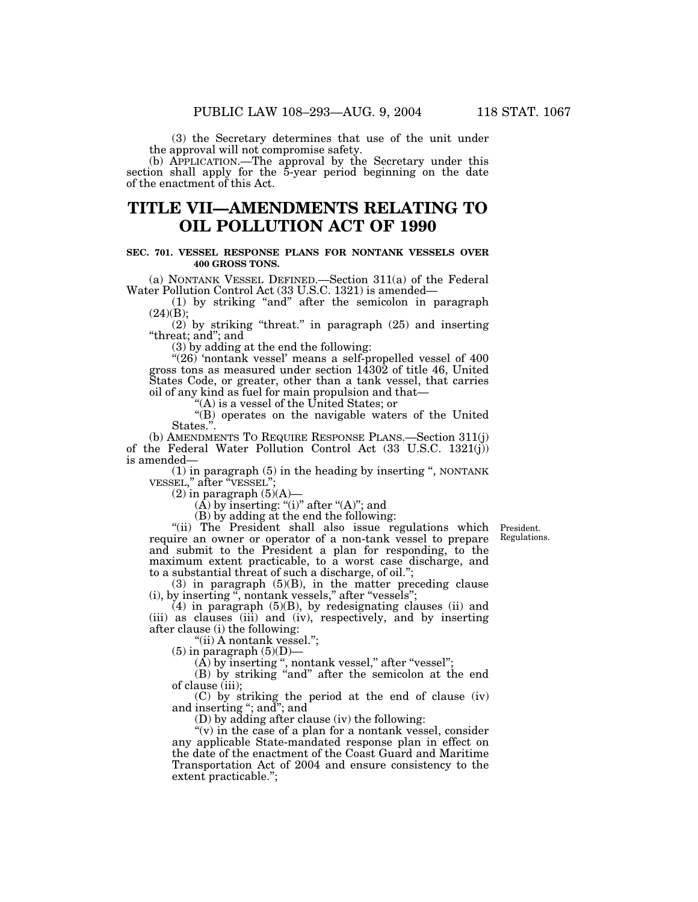(3) the Secretary determines that use of the unit under the approval will not compromise safety.

(b) APPLICATION.—The approval by the Secretary under this section shall apply for the 5-year period beginning on the date of the enactment of this Act.

# **TITLE VII—AMENDMENTS RELATING TO OIL POLLUTION ACT OF 1990**

## **SEC. 701. VESSEL RESPONSE PLANS FOR NONTANK VESSELS OVER 400 GROSS TONS.**

(a) NONTANK VESSEL DEFINED.—Section 311(a) of the Federal Water Pollution Control Act (33 U.S.C. 1321) is amended—

(1) by striking ''and'' after the semicolon in paragraph  $(24)(B);$ 

(2) by striking ''threat.'' in paragraph (25) and inserting ''threat; and''; and

(3) by adding at the end the following:

 $!(26)$  'nontank vessel' means a self-propelled vessel of  $400$ gross tons as measured under section 14302 of title 46, United States Code, or greater, other than a tank vessel, that carries oil of any kind as fuel for main propulsion and that—

 $(A)$  is a vessel of the United States; or

''(B) operates on the navigable waters of the United States."

(b) AMENDMENTS TO REQUIRE RESPONSE PLANS.—Section 311(j) of the Federal Water Pollution Control Act (33 U.S.C. 1321(j)) is amended—

(1) in paragraph (5) in the heading by inserting '', NONTANK VESSEL,'' after ''VESSEL'';

 $(2)$  in paragraph  $(5)(A)$ 

 $(A)$  by inserting: "(i)" after " $(A)$ "; and

(B) by adding at the end the following:

President. Regulations.

"(ii) The President shall also issue regulations which require an owner or operator of a non-tank vessel to prepare and submit to the President a plan for responding, to the maximum extent practicable, to a worst case discharge, and to a substantial threat of such a discharge, of oil.'';

(3) in paragraph (5)(B), in the matter preceding clause (i), by inserting '', nontank vessels,'' after ''vessels'';

(4) in paragraph (5)(B), by redesignating clauses (ii) and (iii) as clauses (iii) and (iv), respectively, and by inserting after clause (i) the following:

''(ii) A nontank vessel.'';

 $(5)$  in paragraph  $(5)(D)$ —

 $(\overline{A})$  by inserting ", nontank vessel," after "vessel";

(B) by striking "and" after the semicolon at the end of clause (iii);

(C) by striking the period at the end of clause (iv) and inserting ''; and''; and

(D) by adding after clause (iv) the following:

" $(v)$  in the case of a plan for a nontank vessel, consider any applicable State-mandated response plan in effect on the date of the enactment of the Coast Guard and Maritime Transportation Act of 2004 and ensure consistency to the extent practicable.'';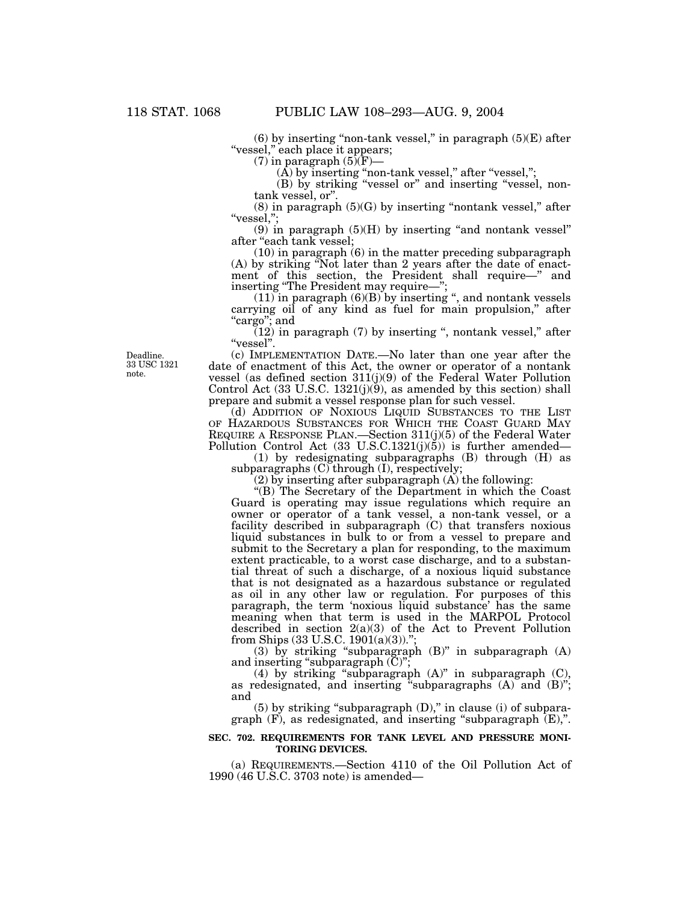$(6)$  by inserting "non-tank vessel," in paragraph  $(5)(E)$  after "vessel," each place it appears;

 $(7)$  in paragraph  $(5)(\text{F})$ —

 $\left(\mathrm{A}\right)$  by inserting "non-tank vessel," after "vessel,";

(B) by striking ''vessel or'' and inserting ''vessel, nontank vessel, or''.

 $(8)$  in paragraph  $(5)(G)$  by inserting "nontank vessel," after ''vessel,'';

 $(9)$  in paragraph  $(5)(H)$  by inserting "and nontank vessel" after ''each tank vessel;

(10) in paragraph (6) in the matter preceding subparagraph (A) by striking ''Not later than 2 years after the date of enactment of this section, the President shall require—'' and inserting "The President may require—";

(11) in paragraph (6)(B) by inserting '', and nontank vessels carrying oil of any kind as fuel for main propulsion," after ''cargo''; and

 $(12)$  in paragraph (7) by inserting ", nontank vessel," after ''vessel''.

(c) IMPLEMENTATION DATE.—No later than one year after the date of enactment of this Act, the owner or operator of a nontank vessel (as defined section 311(j)(9) of the Federal Water Pollution Control Act  $(33 \text{ U.S.C. } 1321(j)(9))$ , as amended by this section) shall prepare and submit a vessel response plan for such vessel.

(d) ADDITION OF NOXIOUS LIQUID SUBSTANCES TO THE LIST OF HAZARDOUS SUBSTANCES FOR WHICH THE COAST GUARD MAY REQUIRE A RESPONSE PLAN.—Section 311(j)(5) of the Federal Water Pollution Control Act  $(33 \text{ U.S.C.1321}(j)(5))$  is further amended—

(1) by redesignating subparagraphs (B) through (H) as subparagraphs (C) through (I), respectively;

(2) by inserting after subparagraph (A) the following:

"(B) The Secretary of the Department in which the Coast Guard is operating may issue regulations which require an owner or operator of a tank vessel, a non-tank vessel, or a facility described in subparagraph (C) that transfers noxious liquid substances in bulk to or from a vessel to prepare and submit to the Secretary a plan for responding, to the maximum extent practicable, to a worst case discharge, and to a substantial threat of such a discharge, of a noxious liquid substance that is not designated as a hazardous substance or regulated as oil in any other law or regulation. For purposes of this paragraph, the term 'noxious liquid substance' has the same meaning when that term is used in the MARPOL Protocol described in section 2(a)(3) of the Act to Prevent Pollution from Ships  $(33 \text{ U.S.C. } 1901(a)(3))$ .";

(3) by striking "subparagraph  $(B)$ " in subparagraph  $(A)$ and inserting "subparagraph  $(C)$ ";

(4) by striking ''subparagraph (A)'' in subparagraph (C), as redesignated, and inserting "subparagraphs  $(A)$  and  $(B)$ "; and

 $(5)$  by striking "subparagraph  $(D)$ ," in clause  $(i)$  of subparagraph  $(F)$ , as redesignated, and inserting "subparagraph  $(E)$ ,".

## **SEC. 702. REQUIREMENTS FOR TANK LEVEL AND PRESSURE MONI-TORING DEVICES.**

(a) REQUIREMENTS.—Section 4110 of the Oil Pollution Act of 1990 (46 U.S.C. 3703 note) is amended—

Deadline. 33 USC 1321 note.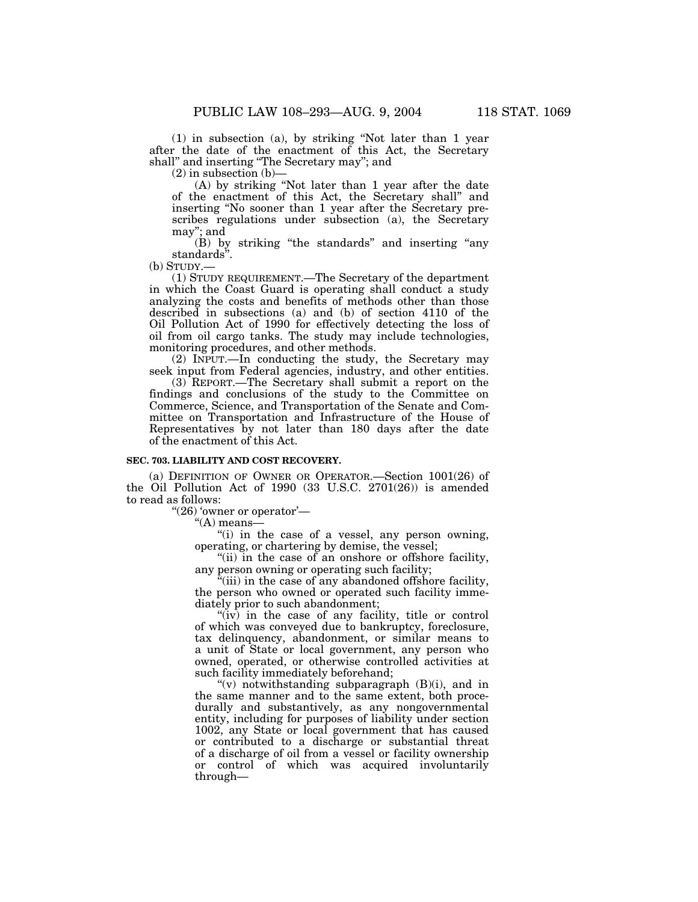(1) in subsection (a), by striking ''Not later than 1 year after the date of the enactment of this Act, the Secretary shall'' and inserting ''The Secretary may''; and

 $(2)$  in subsection  $(b)$ –

(A) by striking ''Not later than 1 year after the date of the enactment of this Act, the Secretary shall'' and inserting ''No sooner than 1 year after the Secretary prescribes regulations under subsection (a), the Secretary may''; and

(B) by striking ''the standards'' and inserting ''any standards''.

(b) STUDY.—

(1) STUDY REQUIREMENT.—The Secretary of the department in which the Coast Guard is operating shall conduct a study analyzing the costs and benefits of methods other than those described in subsections (a) and (b) of section 4110 of the Oil Pollution Act of 1990 for effectively detecting the loss of oil from oil cargo tanks. The study may include technologies, monitoring procedures, and other methods.

(2) INPUT.—In conducting the study, the Secretary may seek input from Federal agencies, industry, and other entities.

(3) REPORT.—The Secretary shall submit a report on the findings and conclusions of the study to the Committee on Commerce, Science, and Transportation of the Senate and Committee on Transportation and Infrastructure of the House of Representatives by not later than 180 days after the date of the enactment of this Act.

#### **SEC. 703. LIABILITY AND COST RECOVERY.**

(a) DEFINITION OF OWNER OR OPERATOR.—Section 1001(26) of the Oil Pollution Act of 1990 (33 U.S.C. 2701(26)) is amended to read as follows:

" $(26)$  'owner or operator'—

''(A) means—

''(i) in the case of a vessel, any person owning, operating, or chartering by demise, the vessel;

"(ii) in the case of an onshore or offshore facility, any person owning or operating such facility;

 $\alpha$ <sup>"</sup>(iii) in the case of any abandoned offshore facility, the person who owned or operated such facility immediately prior to such abandonment;

"(iv) in the case of any facility, title or control" of which was conveyed due to bankruptcy, foreclosure, tax delinquency, abandonment, or similar means to a unit of State or local government, any person who owned, operated, or otherwise controlled activities at such facility immediately beforehand;

"(v) notwithstanding subparagraph  $(B)(i)$ , and in the same manner and to the same extent, both procedurally and substantively, as any nongovernmental entity, including for purposes of liability under section 1002, any State or local government that has caused or contributed to a discharge or substantial threat of a discharge of oil from a vessel or facility ownership or control of which was acquired involuntarily through—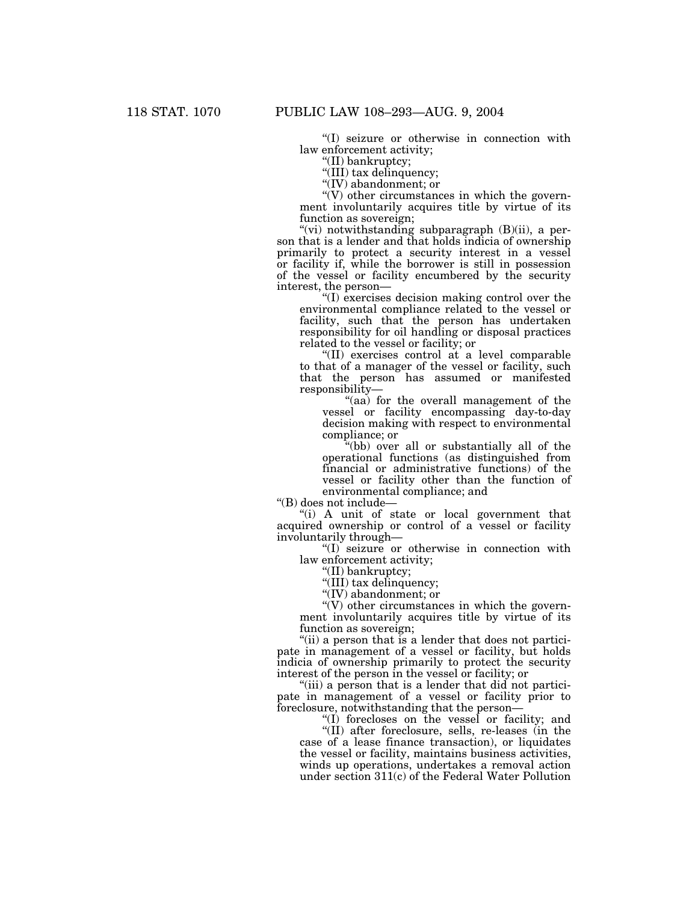''(I) seizure or otherwise in connection with law enforcement activity;

''(II) bankruptcy;

''(III) tax delinquency;

''(IV) abandonment; or

''(V) other circumstances in which the government involuntarily acquires title by virtue of its function as sovereign;

"(vi) notwithstanding subparagraph (B)(ii), a person that is a lender and that holds indicia of ownership primarily to protect a security interest in a vessel or facility if, while the borrower is still in possession of the vessel or facility encumbered by the security interest, the person—

''(I) exercises decision making control over the environmental compliance related to the vessel or facility, such that the person has undertaken responsibility for oil handling or disposal practices related to the vessel or facility; or

''(II) exercises control at a level comparable to that of a manager of the vessel or facility, such that the person has assumed or manifested responsibility—

"(aa) for the overall management of the vessel or facility encompassing day-to-day decision making with respect to environmental compliance; or

''(bb) over all or substantially all of the operational functions (as distinguished from financial or administrative functions) of the vessel or facility other than the function of environmental compliance; and

''(B) does not include—

''(i) A unit of state or local government that acquired ownership or control of a vessel or facility involuntarily through—

''(I) seizure or otherwise in connection with law enforcement activity;

''(II) bankruptcy;

"(III) tax delinquency;

''(IV) abandonment; or

 $\degree$ (V) other circumstances in which the government involuntarily acquires title by virtue of its function as sovereign;

"(ii) a person that is a lender that does not participate in management of a vessel or facility, but holds indicia of ownership primarily to protect the security interest of the person in the vessel or facility; or

"(iii) a person that is a lender that did not participate in management of a vessel or facility prior to foreclosure, notwithstanding that the person—

''(I) forecloses on the vessel or facility; and

"(II) after foreclosure, sells, re-leases (in the case of a lease finance transaction), or liquidates the vessel or facility, maintains business activities, winds up operations, undertakes a removal action under section 311(c) of the Federal Water Pollution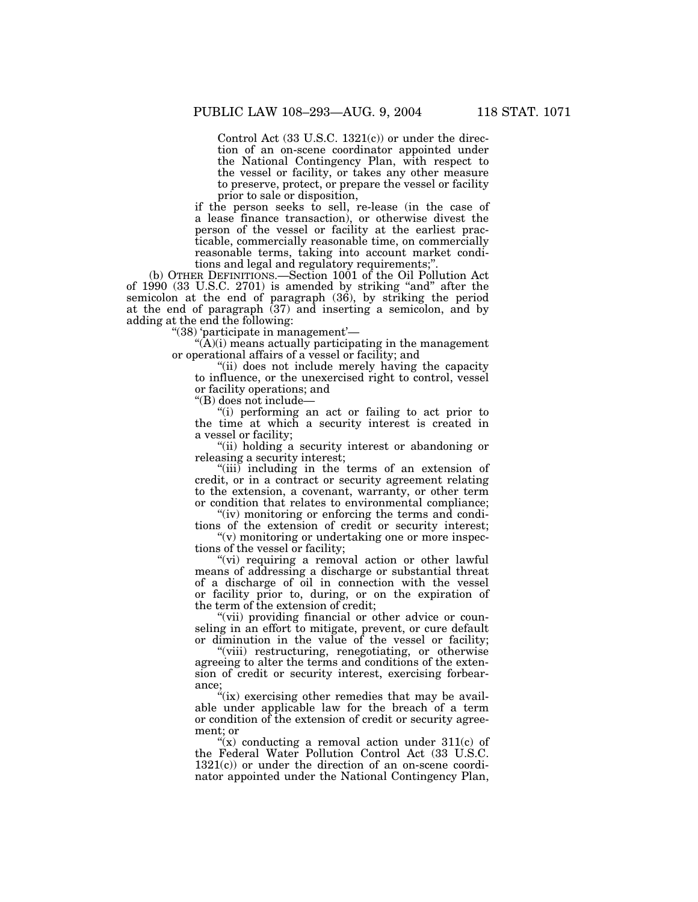Control Act  $(33 \text{ U.S.C. } 1321(c))$  or under the direction of an on-scene coordinator appointed under the National Contingency Plan, with respect to the vessel or facility, or takes any other measure to preserve, protect, or prepare the vessel or facility prior to sale or disposition,

if the person seeks to sell, re-lease (in the case of a lease finance transaction), or otherwise divest the person of the vessel or facility at the earliest practicable, commercially reasonable time, on commercially reasonable terms, taking into account market conditions and legal and regulatory requirements;'

(b) OTHER DEFINITIONS.—Section 1001 of the Oil Pollution Act of 1990 (33 U.S.C. 2701) is amended by striking "and" after the semicolon at the end of paragraph (36), by striking the period at the end of paragraph (37) and inserting a semicolon, and by adding at the end the following:

''(38) 'participate in management'—

 $\hat{A}(A)(i)$  means actually participating in the management or operational affairs of a vessel or facility; and

''(ii) does not include merely having the capacity to influence, or the unexercised right to control, vessel or facility operations; and

''(B) does not include—

''(i) performing an act or failing to act prior to the time at which a security interest is created in a vessel or facility;

"(ii) holding a security interest or abandoning or releasing a security interest;

"(iii) including in the terms of an extension of credit, or in a contract or security agreement relating to the extension, a covenant, warranty, or other term or condition that relates to environmental compliance;

"(iv) monitoring or enforcing the terms and conditions of the extension of credit or security interest;  $''(v)$  monitoring or undertaking one or more inspec-

tions of the vessel or facility;

"(vi) requiring a removal action or other lawful means of addressing a discharge or substantial threat of a discharge of oil in connection with the vessel or facility prior to, during, or on the expiration of the term of the extension of credit;

"(vii) providing financial or other advice or counseling in an effort to mitigate, prevent, or cure default or diminution in the value of the vessel or facility;

"(viii) restructuring, renegotiating, or otherwise agreeing to alter the terms and conditions of the extension of credit or security interest, exercising forbearance;

 $\mathcal{L}(\mathbf{x})$  exercising other remedies that may be available under applicable law for the breach of a term or condition of the extension of credit or security agreement; or

"(x) conducting a removal action under  $311(c)$  of the Federal Water Pollution Control Act (33 U.S.C. 1321(c)) or under the direction of an on-scene coordinator appointed under the National Contingency Plan,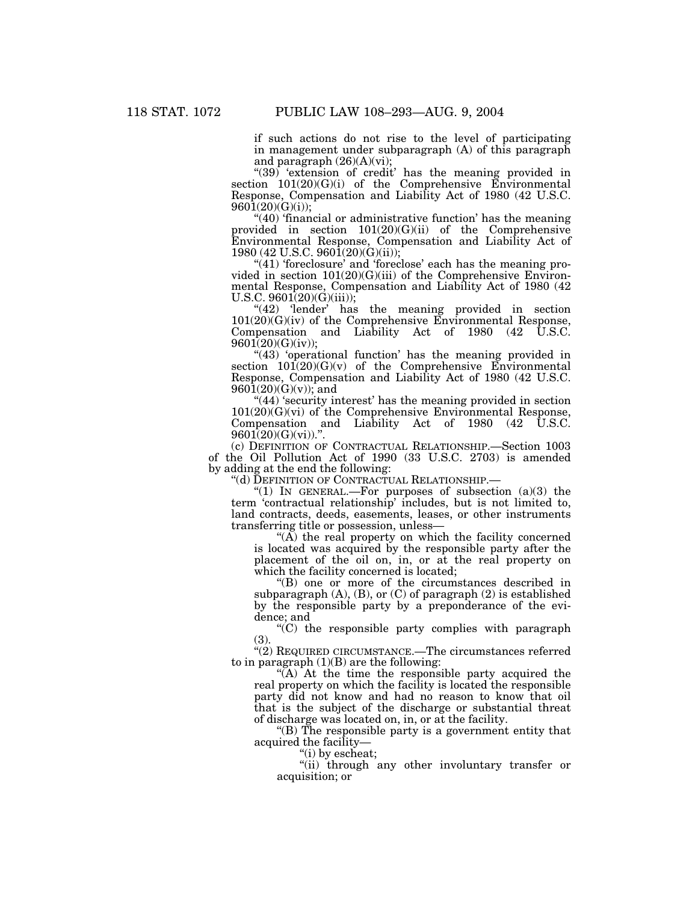if such actions do not rise to the level of participating in management under subparagraph (A) of this paragraph and paragraph  $(26)(A)(vi)$ ;

"(39) 'extension of credit' has the meaning provided in section 101(20)(G)(i) of the Comprehensive Environmental Response, Compensation and Liability Act of 1980 (42 U.S.C.  $960\overline{1}(20)(G)(i)$ ;

"(40) 'financial or administrative function' has the meaning provided in section 101(20)(G)(ii) of the Comprehensive Environmental Response, Compensation and Liability Act of 1980 (42 U.S.C. 9601(20)(G)(ii));

"(41) 'foreclosure' and 'foreclose' each has the meaning provided in section 101(20)(G)(iii) of the Comprehensive Environmental Response, Compensation and Liability Act of 1980 (42 U.S.C.  $9601(20)(\dot{G})(iii)$ ;

"(42) 'lender' has the meaning provided in section  $101(20)(G)(iv)$  of the Comprehensive Environmental Response, Compensation and Liability Act of 1980 (42 U.S.C. 9601(20)(G)(iv));

"(43) 'operational function' has the meaning provided in section  $101(20)(G)(v)$  of the Comprehensive Environmental Response, Compensation and Liability Act of 1980 (42 U.S.C.  $9601(20)(G)(v);$  and

"(44) 'security interest' has the meaning provided in section  $101(20)(G)(vi)$  of the Comprehensive Environmental Response, Compensation and Liability Act of 1980 (42 U.S.C.  $9601(20)(G)(vi)$ .".

(c) DEFINITION OF CONTRACTUAL RELATIONSHIP.—Section 1003 of the Oil Pollution Act of 1990 (33 U.S.C. 2703) is amended by adding at the end the following:

''(d) DEFINITION OF CONTRACTUAL RELATIONSHIP.—

" $(1)$  In GENERAL.—For purposes of subsection  $(a)(3)$  the term 'contractual relationship' includes, but is not limited to, land contracts, deeds, easements, leases, or other instruments transferring title or possession, unless—

" $(A)$  the real property on which the facility concerned is located was acquired by the responsible party after the placement of the oil on, in, or at the real property on which the facility concerned is located;

''(B) one or more of the circumstances described in subparagraph (A), (B), or (C) of paragraph (2) is established by the responsible party by a preponderance of the evidence; and

''(C) the responsible party complies with paragraph (3).

"(2) REQUIRED CIRCUMSTANCE.—The circumstances referred to in paragraph  $(1)(B)$  are the following:

" $(A)$  At the time the responsible party acquired the real property on which the facility is located the responsible party did not know and had no reason to know that oil that is the subject of the discharge or substantial threat of discharge was located on, in, or at the facility.

''(B) The responsible party is a government entity that acquired the facility—

''(i) by escheat;

''(ii) through any other involuntary transfer or acquisition; or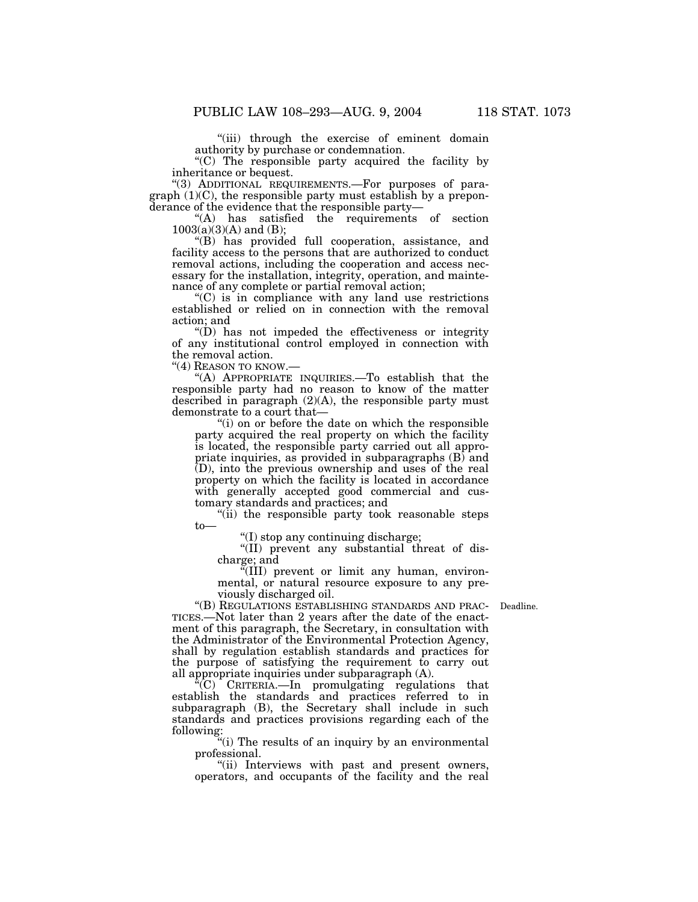''(iii) through the exercise of eminent domain authority by purchase or condemnation.

''(C) The responsible party acquired the facility by inheritance or bequest.

"(3) ADDITIONAL REQUIREMENTS.-For purposes of paragraph  $(1)(C)$ , the responsible party must establish by a preponderance of the evidence that the responsible party—

"(A) has satisfied the requirements of section  $1003(a)(3)(A)$  and (B);

''(B) has provided full cooperation, assistance, and facility access to the persons that are authorized to conduct removal actions, including the cooperation and access necessary for the installation, integrity, operation, and maintenance of any complete or partial removal action;

 $(C)$  is in compliance with any land use restrictions established or relied on in connection with the removal action; and

''(D) has not impeded the effectiveness or integrity of any institutional control employed in connection with the removal action.

"(4) REASON TO KNOW.-

''(A) APPROPRIATE INQUIRIES.—To establish that the responsible party had no reason to know of the matter described in paragraph (2)(A), the responsible party must demonstrate to a court that-

''(i) on or before the date on which the responsible party acquired the real property on which the facility is located, the responsible party carried out all appropriate inquiries, as provided in subparagraphs (B) and (D), into the previous ownership and uses of the real property on which the facility is located in accordance with generally accepted good commercial and customary standards and practices; and

''(ii) the responsible party took reasonable steps to—

''(I) stop any continuing discharge;

''(II) prevent any substantial threat of discharge; and

''(III) prevent or limit any human, environmental, or natural resource exposure to any previously discharged oil.

''(B) REGULATIONS ESTABLISHING STANDARDS AND PRAC-Deadline. TICES.—Not later than 2 years after the date of the enactment of this paragraph, the Secretary, in consultation with the Administrator of the Environmental Protection Agency, shall by regulation establish standards and practices for the purpose of satisfying the requirement to carry out all appropriate inquiries under subparagraph (A).

''(C) CRITERIA.—In promulgating regulations that establish the standards and practices referred to in subparagraph (B), the Secretary shall include in such standards and practices provisions regarding each of the following:

"(i) The results of an inquiry by an environmental professional.

"(ii) Interviews with past and present owners, operators, and occupants of the facility and the real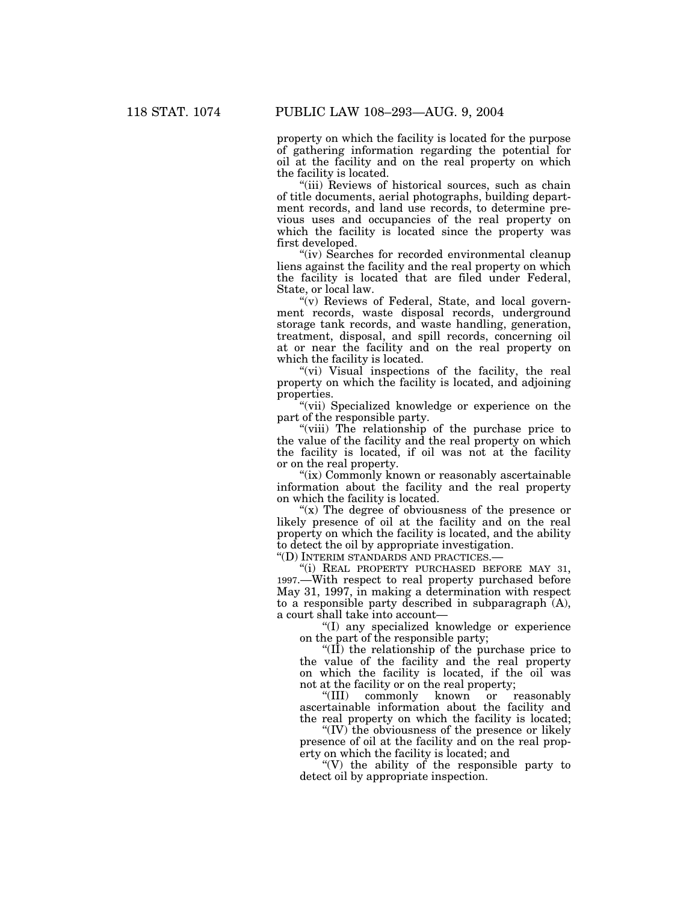property on which the facility is located for the purpose of gathering information regarding the potential for oil at the facility and on the real property on which the facility is located.

"(iii) Reviews of historical sources, such as chain of title documents, aerial photographs, building department records, and land use records, to determine previous uses and occupancies of the real property on which the facility is located since the property was first developed.

"(iv) Searches for recorded environmental cleanup liens against the facility and the real property on which the facility is located that are filed under Federal, State, or local law.

" $(v)$  Reviews of Federal, State, and local government records, waste disposal records, underground storage tank records, and waste handling, generation, treatment, disposal, and spill records, concerning oil at or near the facility and on the real property on which the facility is located.

"(vi) Visual inspections of the facility, the real property on which the facility is located, and adjoining properties.

''(vii) Specialized knowledge or experience on the part of the responsible party.

"(viii) The relationship of the purchase price to the value of the facility and the real property on which the facility is located, if oil was not at the facility or on the real property.

"(ix) Commonly known or reasonably ascertainable information about the facility and the real property on which the facility is located.

" $(x)$  The degree of obviousness of the presence or likely presence of oil at the facility and on the real property on which the facility is located, and the ability to detect the oil by appropriate investigation.

''(D) INTERIM STANDARDS AND PRACTICES.—

''(i) REAL PROPERTY PURCHASED BEFORE MAY 31, 1997.—With respect to real property purchased before May 31, 1997, in making a determination with respect to a responsible party described in subparagraph (A), a court shall take into account—

''(I) any specialized knowledge or experience on the part of the responsible party;

''(II) the relationship of the purchase price to the value of the facility and the real property on which the facility is located, if the oil was

not at the facility or on the real property;<br>"(III) commonly known or r commonly known or reasonably ascertainable information about the facility and the real property on which the facility is located;

''(IV) the obviousness of the presence or likely presence of oil at the facility and on the real property on which the facility is located; and

"(V) the ability of the responsible party to detect oil by appropriate inspection.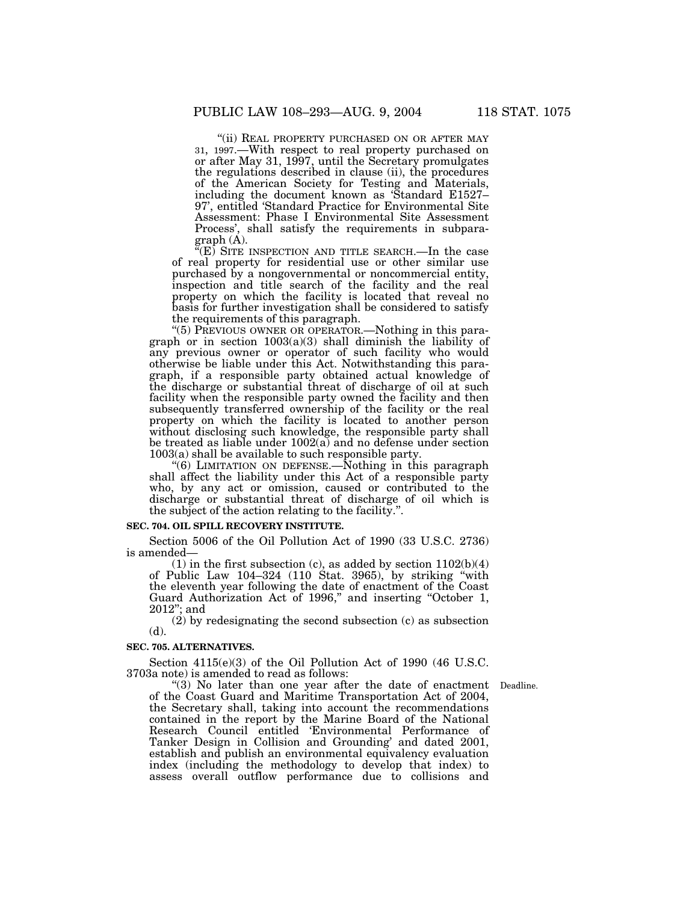''(ii) REAL PROPERTY PURCHASED ON OR AFTER MAY 31, 1997.—With respect to real property purchased on or after May 31, 1997, until the Secretary promulgates the regulations described in clause (ii), the procedures of the American Society for Testing and Materials, including the document known as 'Standard E1527– 97', entitled 'Standard Practice for Environmental Site Assessment: Phase I Environmental Site Assessment Process', shall satisfy the requirements in subparagraph (A).

 $C(E)$  SITE INSPECTION AND TITLE SEARCH.—In the case of real property for residential use or other similar use purchased by a nongovernmental or noncommercial entity, inspection and title search of the facility and the real property on which the facility is located that reveal no basis for further investigation shall be considered to satisfy the requirements of this paragraph.

''(5) PREVIOUS OWNER OR OPERATOR.—Nothing in this paragraph or in section  $1003(a)(3)$  shall diminish the liability of any previous owner or operator of such facility who would otherwise be liable under this Act. Notwithstanding this paragraph, if a responsible party obtained actual knowledge of the discharge or substantial threat of discharge of oil at such facility when the responsible party owned the facility and then subsequently transferred ownership of the facility or the real property on which the facility is located to another person without disclosing such knowledge, the responsible party shall be treated as liable under 1002(a) and no defense under section 1003(a) shall be available to such responsible party.

"(6) LIMITATION ON DEFENSE.—Nothing in this paragraph shall affect the liability under this Act of a responsible party who, by any act or omission, caused or contributed to the discharge or substantial threat of discharge of oil which is the subject of the action relating to the facility.''.

# **SEC. 704. OIL SPILL RECOVERY INSTITUTE.**

Section 5006 of the Oil Pollution Act of 1990 (33 U.S.C. 2736) is amended—

(1) in the first subsection (c), as added by section  $1102(b)(4)$ of Public Law 104–324 (110 Stat. 3965), by striking ''with the eleventh year following the date of enactment of the Coast Guard Authorization Act of 1996,'' and inserting ''October 1, 2012''; and

(2) by redesignating the second subsection (c) as subsection (d).

### **SEC. 705. ALTERNATIVES.**

Section 4115(e)(3) of the Oil Pollution Act of 1990 (46 U.S.C. 3703a note) is amended to read as follows:

"(3) No later than one year after the date of enactment Deadline. of the Coast Guard and Maritime Transportation Act of 2004, the Secretary shall, taking into account the recommendations contained in the report by the Marine Board of the National Research Council entitled 'Environmental Performance of

Tanker Design in Collision and Grounding' and dated 2001, establish and publish an environmental equivalency evaluation index (including the methodology to develop that index) to assess overall outflow performance due to collisions and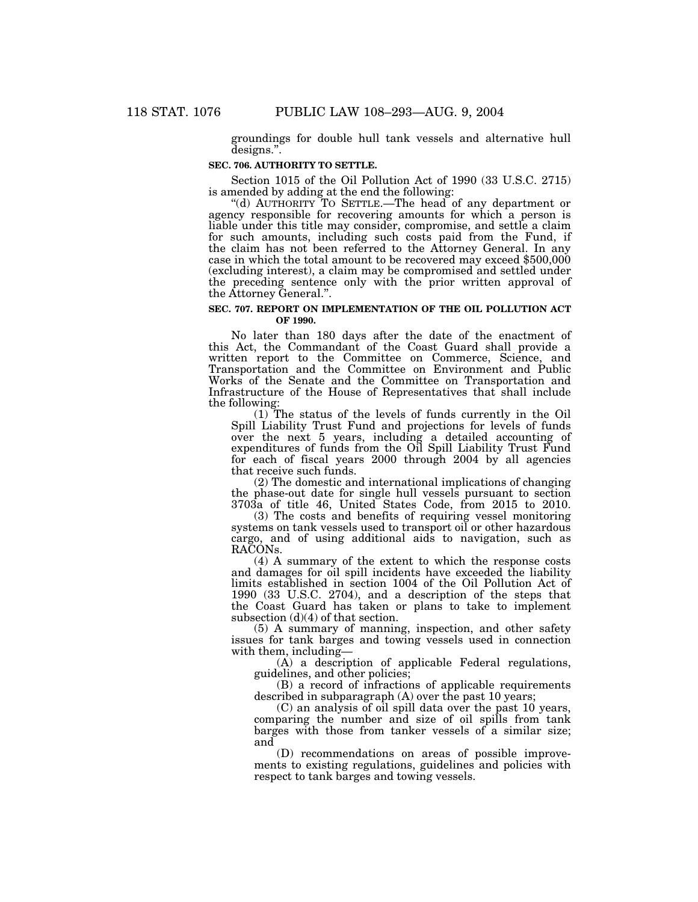groundings for double hull tank vessels and alternative hull designs.''.

#### **SEC. 706. AUTHORITY TO SETTLE.**

Section 1015 of the Oil Pollution Act of 1990 (33 U.S.C. 2715) is amended by adding at the end the following:

"(d) AUTHORITY TO SETTLE.—The head of any department or agency responsible for recovering amounts for which a person is liable under this title may consider, compromise, and settle a claim for such amounts, including such costs paid from the Fund, if the claim has not been referred to the Attorney General. In any case in which the total amount to be recovered may exceed \$500,000 (excluding interest), a claim may be compromised and settled under the preceding sentence only with the prior written approval of the Attorney General.''.

### **SEC. 707. REPORT ON IMPLEMENTATION OF THE OIL POLLUTION ACT OF 1990.**

No later than 180 days after the date of the enactment of this Act, the Commandant of the Coast Guard shall provide a written report to the Committee on Commerce, Science, and Transportation and the Committee on Environment and Public Works of the Senate and the Committee on Transportation and Infrastructure of the House of Representatives that shall include the following:

(1) The status of the levels of funds currently in the Oil Spill Liability Trust Fund and projections for levels of funds over the next 5 years, including a detailed accounting of expenditures of funds from the Oil Spill Liability Trust Fund for each of fiscal years 2000 through 2004 by all agencies that receive such funds.

(2) The domestic and international implications of changing the phase-out date for single hull vessels pursuant to section 3703a of title 46, United States Code, from 2015 to 2010.

(3) The costs and benefits of requiring vessel monitoring systems on tank vessels used to transport oil or other hazardous cargo, and of using additional aids to navigation, such as RACONs.

(4) A summary of the extent to which the response costs and damages for oil spill incidents have exceeded the liability limits established in section 1004 of the Oil Pollution Act of 1990 (33 U.S.C. 2704), and a description of the steps that the Coast Guard has taken or plans to take to implement subsection  $(d)(4)$  of that section.

(5) A summary of manning, inspection, and other safety issues for tank barges and towing vessels used in connection with them, including—

(A) a description of applicable Federal regulations, guidelines, and other policies;

(B) a record of infractions of applicable requirements described in subparagraph (A) over the past 10 years;

(C) an analysis of oil spill data over the past 10 years, comparing the number and size of oil spills from tank barges with those from tanker vessels of a similar size; and

(D) recommendations on areas of possible improvements to existing regulations, guidelines and policies with respect to tank barges and towing vessels.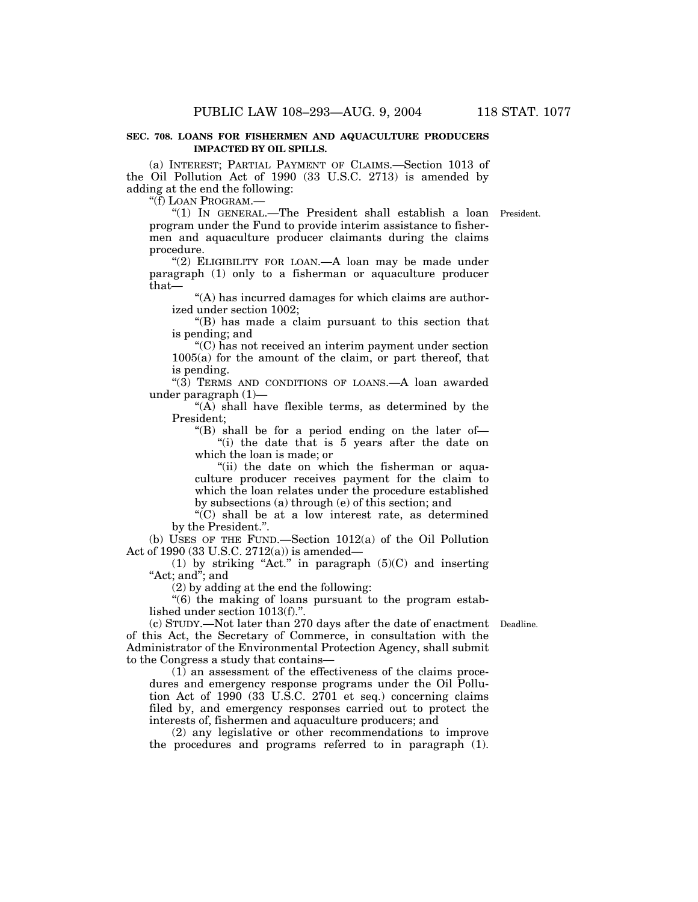# **SEC. 708. LOANS FOR FISHERMEN AND AQUACULTURE PRODUCERS IMPACTED BY OIL SPILLS.**

(a) INTEREST; PARTIAL PAYMENT OF CLAIMS.—Section 1013 of the Oil Pollution Act of 1990 (33 U.S.C. 2713) is amended by adding at the end the following:

''(f) LOAN PROGRAM.—

''(1) IN GENERAL.—The President shall establish a loan President. program under the Fund to provide interim assistance to fishermen and aquaculture producer claimants during the claims procedure.

"(2) ELIGIBILITY FOR LOAN.—A loan may be made under paragraph (1) only to a fisherman or aquaculture producer that—

''(A) has incurred damages for which claims are authorized under section 1002;

''(B) has made a claim pursuant to this section that is pending; and

''(C) has not received an interim payment under section 1005(a) for the amount of the claim, or part thereof, that is pending.

" $(3)$  TERMS AND CONDITIONS OF LOANS.—A loan awarded under paragraph (1)—

" $(A)$  shall have flexible terms, as determined by the President;

''(B) shall be for a period ending on the later of— ''(i) the date that is 5 years after the date on which the loan is made; or

''(ii) the date on which the fisherman or aquaculture producer receives payment for the claim to which the loan relates under the procedure established by subsections (a) through (e) of this section; and

 $\sqrt{\text{C}}$  shall be at a low interest rate, as determined by the President.''.

(b) USES OF THE FUND.—Section 1012(a) of the Oil Pollution Act of 1990 (33 U.S.C. 2712(a)) is amended—

(1) by striking "Act." in paragraph  $(5)(C)$  and inserting "Act; and"; and

(2) by adding at the end the following:

''(6) the making of loans pursuant to the program established under section 1013(f).''.

(c) STUDY.—Not later than 270 days after the date of enactment Deadline. of this Act, the Secretary of Commerce, in consultation with the Administrator of the Environmental Protection Agency, shall submit to the Congress a study that contains—

(1) an assessment of the effectiveness of the claims procedures and emergency response programs under the Oil Pollution Act of 1990 (33 U.S.C.  $2701$  et seq.) concerning claims filed by, and emergency responses carried out to protect the interests of, fishermen and aquaculture producers; and

(2) any legislative or other recommendations to improve the procedures and programs referred to in paragraph (1).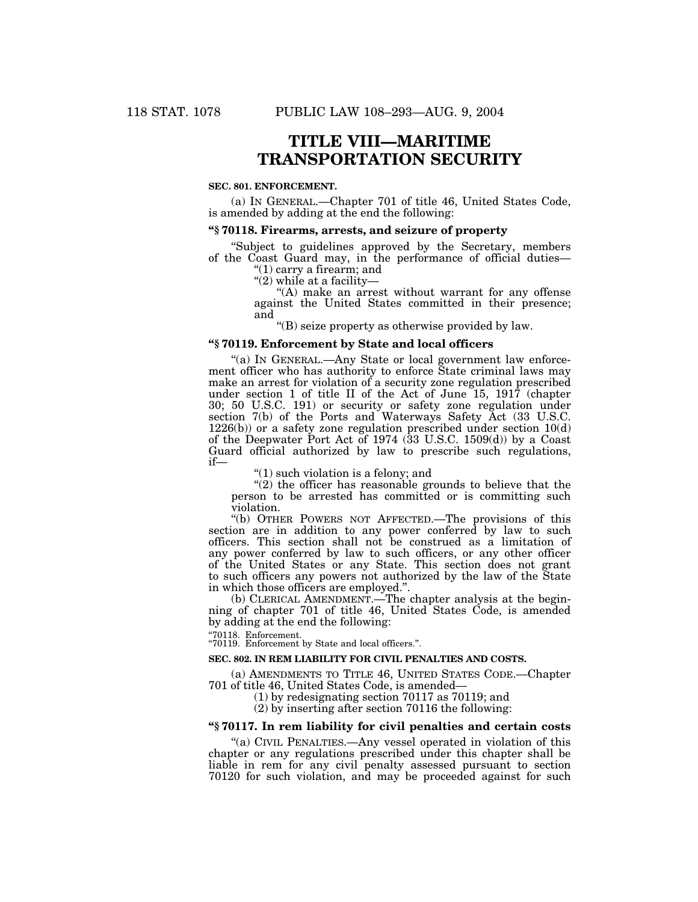# **TITLE VIII—MARITIME TRANSPORTATION SECURITY**

# **SEC. 801. ENFORCEMENT.**

(a) IN GENERAL.—Chapter 701 of title 46, United States Code, is amended by adding at the end the following:

# **''§ 70118. Firearms, arrests, and seizure of property**

''Subject to guidelines approved by the Secretary, members of the Coast Guard may, in the performance of official duties—

"(1) carry a firearm; and

" $(2)$  while at a facility-

"(A) make an arrest without warrant for any offense against the United States committed in their presence; and

''(B) seize property as otherwise provided by law.

# **''§ 70119. Enforcement by State and local officers**

''(a) IN GENERAL.—Any State or local government law enforcement officer who has authority to enforce State criminal laws may make an arrest for violation of a security zone regulation prescribed under section 1 of title II of the Act of June 15, 1917 (chapter 30; 50 U.S.C. 191) or security or safety zone regulation under section 7(b) of the Ports and Waterways Safety Act (33 U.S.C. 1226(b)) or a safety zone regulation prescribed under section 10(d) of the Deepwater Port Act of 1974 (33 U.S.C. 1509(d)) by a Coast Guard official authorized by law to prescribe such regulations, if—

''(1) such violation is a felony; and

" $(2)$  the officer has reasonable grounds to believe that the person to be arrested has committed or is committing such violation.

''(b) OTHER POWERS NOT AFFECTED.—The provisions of this section are in addition to any power conferred by law to such officers. This section shall not be construed as a limitation of any power conferred by law to such officers, or any other officer of the United States or any State. This section does not grant to such officers any powers not authorized by the law of the State in which those officers are employed.''.

(b) CLERICAL AMENDMENT.—The chapter analysis at the beginning of chapter 701 of title 46, United States Code, is amended by adding at the end the following:

''70118. Enforcement. ''70119. Enforcement by State and local officers.''.

# **SEC. 802. IN REM LIABILITY FOR CIVIL PENALTIES AND COSTS.**

(a) AMENDMENTS TO TITLE 46, UNITED STATES CODE.—Chapter 701 of title 46, United States Code, is amended—

(1) by redesignating section 70117 as 70119; and

 $(2)$  by inserting after section 70116 the following:

# **''§ 70117. In rem liability for civil penalties and certain costs**

''(a) CIVIL PENALTIES.—Any vessel operated in violation of this chapter or any regulations prescribed under this chapter shall be liable in rem for any civil penalty assessed pursuant to section 70120 for such violation, and may be proceeded against for such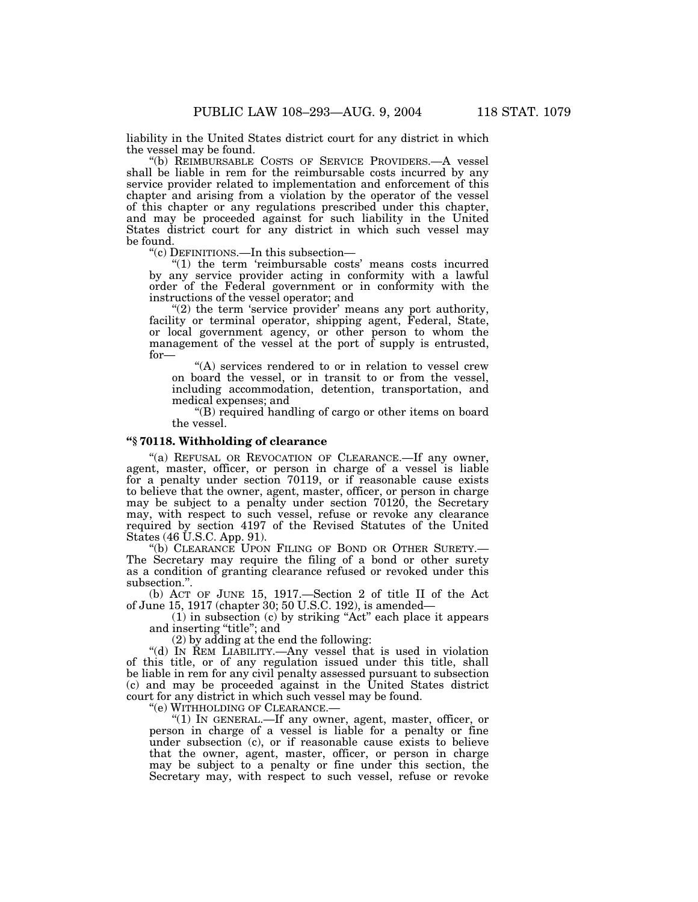liability in the United States district court for any district in which the vessel may be found.

'(b) REIMBURSABLE COSTS OF SERVICE PROVIDERS.—A vessel shall be liable in rem for the reimbursable costs incurred by any service provider related to implementation and enforcement of this chapter and arising from a violation by the operator of the vessel of this chapter or any regulations prescribed under this chapter, and may be proceeded against for such liability in the United States district court for any district in which such vessel may be found.

''(c) DEFINITIONS.—In this subsection—

"(1) the term 'reimbursable costs' means costs incurred by any service provider acting in conformity with a lawful order of the Federal government or in conformity with the instructions of the vessel operator; and

 $\degree$ (2) the term 'service provider' means any port authority, facility or terminal operator, shipping agent, Federal, State, or local government agency, or other person to whom the management of the vessel at the port of supply is entrusted, for—

"(A) services rendered to or in relation to vessel crew on board the vessel, or in transit to or from the vessel, including accommodation, detention, transportation, and medical expenses; and

''(B) required handling of cargo or other items on board the vessel.

# **''§ 70118. Withholding of clearance**

"(a) REFUSAL OR REVOCATION OF CLEARANCE.—If any owner, agent, master, officer, or person in charge of a vessel is liable for a penalty under section 70119, or if reasonable cause exists to believe that the owner, agent, master, officer, or person in charge may be subject to a penalty under section 70120, the Secretary may, with respect to such vessel, refuse or revoke any clearance required by section 4197 of the Revised Statutes of the United States (46 U.S.C. App. 91).

''(b) CLEARANCE UPON FILING OF BOND OR OTHER SURETY.— The Secretary may require the filing of a bond or other surety as a condition of granting clearance refused or revoked under this subsection.''.

(b) ACT OF JUNE 15, 1917.—Section 2 of title II of the Act of June 15, 1917 (chapter 30; 50 U.S.C. 192), is amended—

(1) in subsection (c) by striking ''Act'' each place it appears and inserting ''title''; and

(2) by adding at the end the following:

''(d) IN REM LIABILITY.—Any vessel that is used in violation of this title, or of any regulation issued under this title, shall be liable in rem for any civil penalty assessed pursuant to subsection (c) and may be proceeded against in the United States district court for any district in which such vessel may be found.<br>"(e) WITHHOLDING OF CLEARANCE.—

"(1) IN GENERAL.—If any owner, agent, master, officer, or person in charge of a vessel is liable for a penalty or fine under subsection (c), or if reasonable cause exists to believe that the owner, agent, master, officer, or person in charge may be subject to a penalty or fine under this section, the Secretary may, with respect to such vessel, refuse or revoke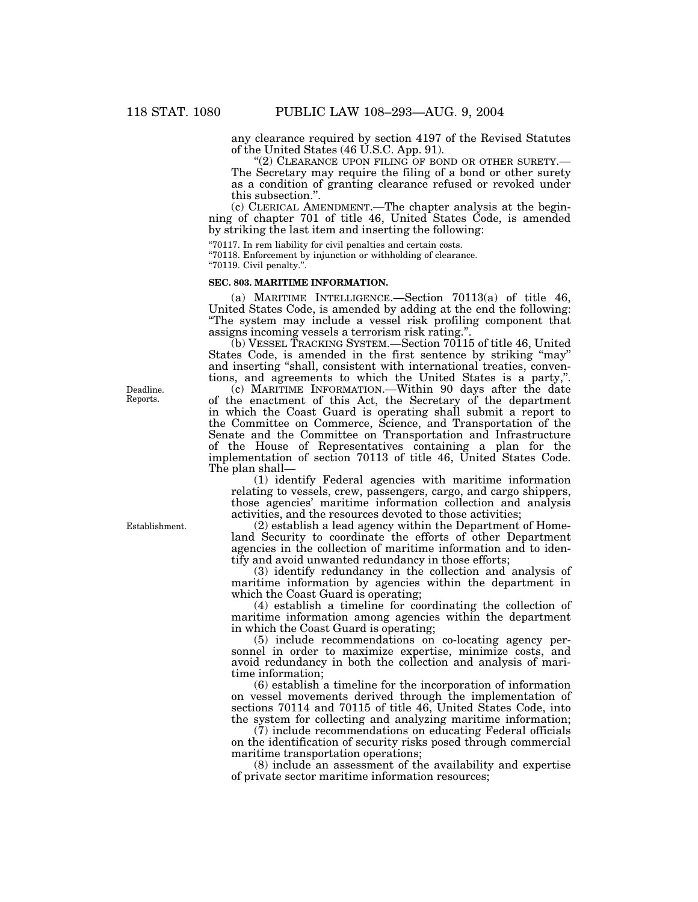any clearance required by section 4197 of the Revised Statutes of the United States (46 U.S.C. App. 91).

" $(2)$  CLEARANCE UPON FILING OF BOND OR OTHER SURETY.— The Secretary may require the filing of a bond or other surety as a condition of granting clearance refused or revoked under this subsection.''.

(c) CLERICAL AMENDMENT.—The chapter analysis at the beginning of chapter 701 of title 46, United States Code, is amended by striking the last item and inserting the following:

''70117. In rem liability for civil penalties and certain costs.

''70118. Enforcement by injunction or withholding of clearance.

''70119. Civil penalty.''.

# **SEC. 803. MARITIME INFORMATION.**

(a) MARITIME INTELLIGENCE.—Section 70113(a) of title 46, United States Code, is amended by adding at the end the following: ''The system may include a vessel risk profiling component that assigns incoming vessels a terrorism risk rating.''.

(b) VESSEL TRACKING SYSTEM.—Section 70115 of title 46, United States Code, is amended in the first sentence by striking "may" and inserting "shall, consistent with international treaties, conventions, and agreements to which the United States is a party,''.

(c) MARITIME INFORMATION.—Within 90 days after the date of the enactment of this Act, the Secretary of the department in which the Coast Guard is operating shall submit a report to the Committee on Commerce, Science, and Transportation of the Senate and the Committee on Transportation and Infrastructure of the House of Representatives containing a plan for the implementation of section 70113 of title 46, United States Code. The plan shall—

(1) identify Federal agencies with maritime information relating to vessels, crew, passengers, cargo, and cargo shippers, those agencies' maritime information collection and analysis activities, and the resources devoted to those activities;

(2) establish a lead agency within the Department of Homeland Security to coordinate the efforts of other Department agencies in the collection of maritime information and to identify and avoid unwanted redundancy in those efforts;

(3) identify redundancy in the collection and analysis of maritime information by agencies within the department in which the Coast Guard is operating;

(4) establish a timeline for coordinating the collection of maritime information among agencies within the department in which the Coast Guard is operating;

(5) include recommendations on co-locating agency personnel in order to maximize expertise, minimize costs, and avoid redundancy in both the collection and analysis of maritime information;

(6) establish a timeline for the incorporation of information on vessel movements derived through the implementation of sections 70114 and 70115 of title 46, United States Code, into the system for collecting and analyzing maritime information;

(7) include recommendations on educating Federal officials on the identification of security risks posed through commercial maritime transportation operations;

(8) include an assessment of the availability and expertise of private sector maritime information resources;

Deadline. Reports.

Establishment.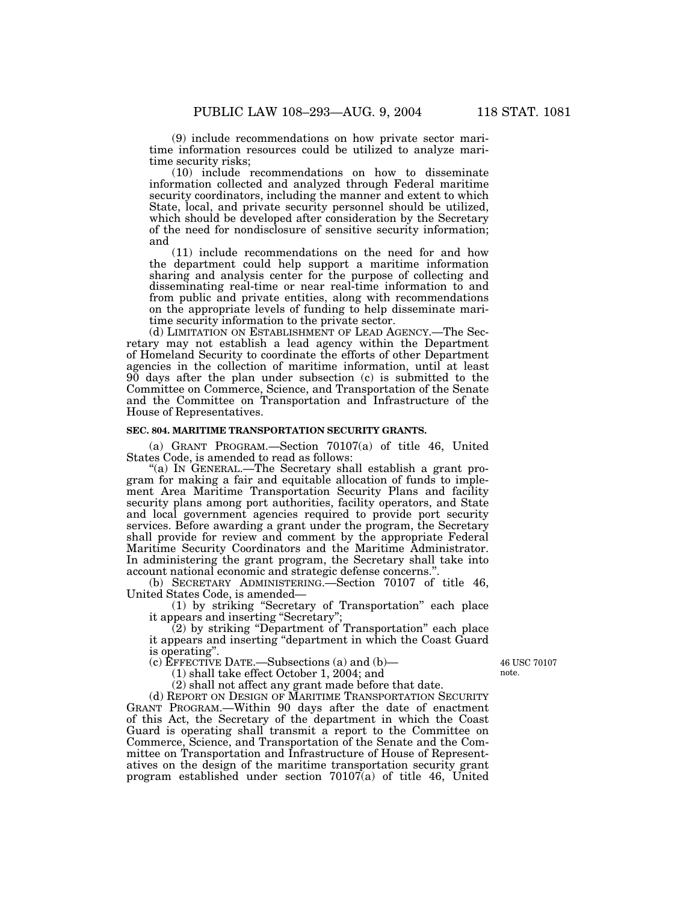(9) include recommendations on how private sector maritime information resources could be utilized to analyze maritime security risks;

(10) include recommendations on how to disseminate information collected and analyzed through Federal maritime security coordinators, including the manner and extent to which State, local, and private security personnel should be utilized, which should be developed after consideration by the Secretary of the need for nondisclosure of sensitive security information; and

(11) include recommendations on the need for and how the department could help support a maritime information sharing and analysis center for the purpose of collecting and disseminating real-time or near real-time information to and from public and private entities, along with recommendations on the appropriate levels of funding to help disseminate maritime security information to the private sector.

(d) LIMITATION ON ESTABLISHMENT OF LEAD AGENCY.—The Secretary may not establish a lead agency within the Department of Homeland Security to coordinate the efforts of other Department agencies in the collection of maritime information, until at least 90 days after the plan under subsection (c) is submitted to the Committee on Commerce, Science, and Transportation of the Senate and the Committee on Transportation and Infrastructure of the House of Representatives.

# **SEC. 804. MARITIME TRANSPORTATION SECURITY GRANTS.**

(a) GRANT PROGRAM.—Section 70107(a) of title 46, United States Code, is amended to read as follows:

''(a) IN GENERAL.—The Secretary shall establish a grant program for making a fair and equitable allocation of funds to implement Area Maritime Transportation Security Plans and facility security plans among port authorities, facility operators, and State and local government agencies required to provide port security services. Before awarding a grant under the program, the Secretary shall provide for review and comment by the appropriate Federal Maritime Security Coordinators and the Maritime Administrator. In administering the grant program, the Secretary shall take into account national economic and strategic defense concerns.''.

(b) SECRETARY ADMINISTERING.—Section 70107 of title 46, United States Code, is amended—

(1) by striking ''Secretary of Transportation'' each place it appears and inserting "Secretary"

(2) by striking ''Department of Transportation'' each place it appears and inserting ''department in which the Coast Guard is operating''.

(c) EFFECTIVE DATE.—Subsections (a) and (b)—

(1) shall take effect October 1, 2004; and

(2) shall not affect any grant made before that date.

(d) REPORT ON DESIGN OF MARITIME TRANSPORTATION SECURITY GRANT PROGRAM.—Within 90 days after the date of enactment of this Act, the Secretary of the department in which the Coast Guard is operating shall transmit a report to the Committee on Commerce, Science, and Transportation of the Senate and the Committee on Transportation and Infrastructure of House of Representatives on the design of the maritime transportation security grant program established under section 70107(a) of title 46, United

46 USC 70107 note.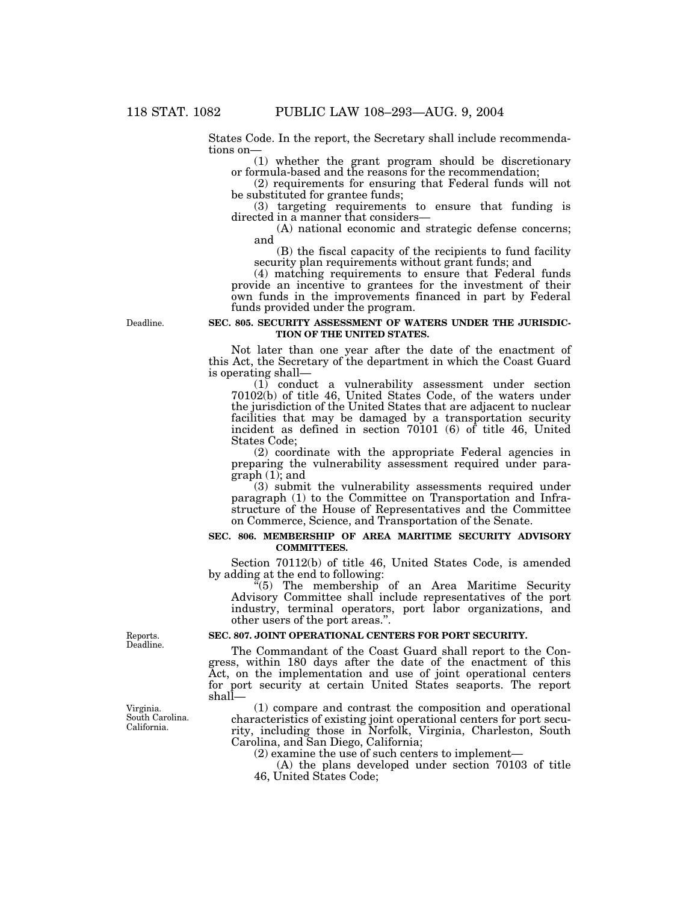States Code. In the report, the Secretary shall include recommendations on—

(1) whether the grant program should be discretionary or formula-based and the reasons for the recommendation;

(2) requirements for ensuring that Federal funds will not be substituted for grantee funds;

(3) targeting requirements to ensure that funding is directed in a manner that considers—

(A) national economic and strategic defense concerns; and

(B) the fiscal capacity of the recipients to fund facility security plan requirements without grant funds; and

(4) matching requirements to ensure that Federal funds provide an incentive to grantees for the investment of their own funds in the improvements financed in part by Federal funds provided under the program.

### **SEC. 805. SECURITY ASSESSMENT OF WATERS UNDER THE JURISDIC-TION OF THE UNITED STATES.**

Not later than one year after the date of the enactment of this Act, the Secretary of the department in which the Coast Guard is operating shall—

(1) conduct a vulnerability assessment under section 70102(b) of title 46, United States Code, of the waters under the jurisdiction of the United States that are adjacent to nuclear facilities that may be damaged by a transportation security incident as defined in section 70101 (6) of title 46, United States Code;

(2) coordinate with the appropriate Federal agencies in preparing the vulnerability assessment required under paragraph (1); and

(3) submit the vulnerability assessments required under paragraph (1) to the Committee on Transportation and Infrastructure of the House of Representatives and the Committee on Commerce, Science, and Transportation of the Senate.

#### **SEC. 806. MEMBERSHIP OF AREA MARITIME SECURITY ADVISORY COMMITTEES.**

Section 70112(b) of title 46, United States Code, is amended by adding at the end to following:

 $F(5)$  The membership of an Area Maritime Security Advisory Committee shall include representatives of the port industry, terminal operators, port labor organizations, and other users of the port areas.''.

# **SEC. 807. JOINT OPERATIONAL CENTERS FOR PORT SECURITY.**

The Commandant of the Coast Guard shall report to the Congress, within 180 days after the date of the enactment of this Act, on the implementation and use of joint operational centers for port security at certain United States seaports. The report shall—

(1) compare and contrast the composition and operational characteristics of existing joint operational centers for port security, including those in Norfolk, Virginia, Charleston, South Carolina, and San Diego, California;

(2) examine the use of such centers to implement—

(A) the plans developed under section 70103 of title 46, United States Code;

Deadline.

Reports. Deadline.

Virginia. South Carolina. California.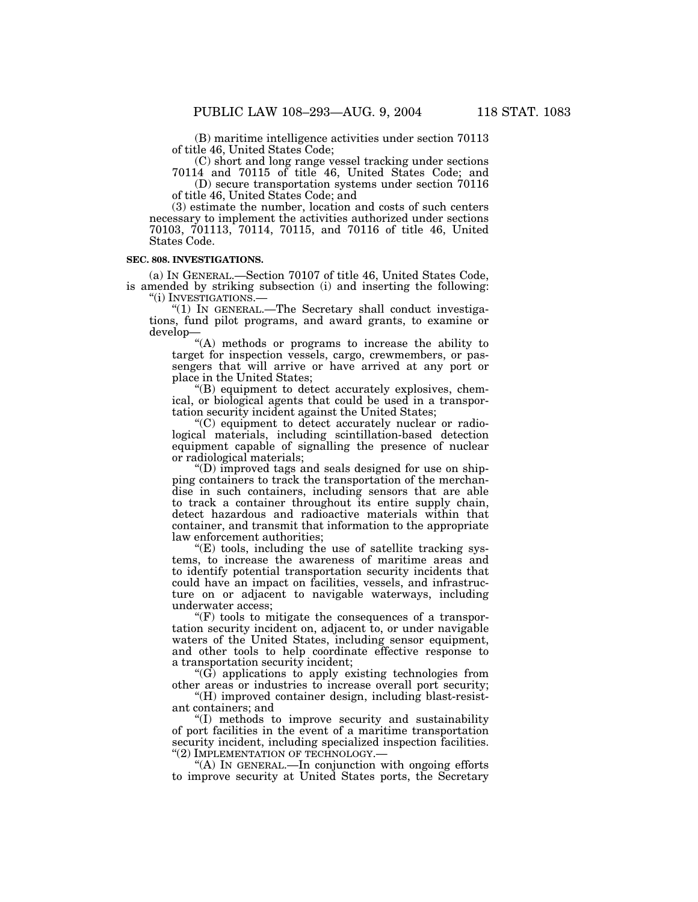(B) maritime intelligence activities under section 70113 of title 46, United States Code;

(C) short and long range vessel tracking under sections

70114 and 70115 of title 46, United States Code; and (D) secure transportation systems under section 70116 of title 46, United States Code; and

(3) estimate the number, location and costs of such centers necessary to implement the activities authorized under sections 70103, 701113, 70114, 70115, and 70116 of title 46, United States Code.

#### **SEC. 808. INVESTIGATIONS.**

(a) IN GENERAL.—Section 70107 of title 46, United States Code, is amended by striking subsection (i) and inserting the following:

''(i) INVESTIGATIONS.— ''(1) IN GENERAL.—The Secretary shall conduct investigations, fund pilot programs, and award grants, to examine or develop—

''(A) methods or programs to increase the ability to target for inspection vessels, cargo, crewmembers, or passengers that will arrive or have arrived at any port or place in the United States;

''(B) equipment to detect accurately explosives, chemical, or biological agents that could be used in a transportation security incident against the United States;

''(C) equipment to detect accurately nuclear or radiological materials, including scintillation-based detection equipment capable of signalling the presence of nuclear or radiological materials;

''(D) improved tags and seals designed for use on shipping containers to track the transportation of the merchandise in such containers, including sensors that are able to track a container throughout its entire supply chain, detect hazardous and radioactive materials within that container, and transmit that information to the appropriate law enforcement authorities;

''(E) tools, including the use of satellite tracking systems, to increase the awareness of maritime areas and to identify potential transportation security incidents that could have an impact on facilities, vessels, and infrastructure on or adjacent to navigable waterways, including underwater access;

 $\mathcal{F}(F)$  tools to mitigate the consequences of a transportation security incident on, adjacent to, or under navigable waters of the United States, including sensor equipment, and other tools to help coordinate effective response to a transportation security incident;

 $(G)$  applications to apply existing technologies from other areas or industries to increase overall port security;

"(H) improved container design, including blast-resistant containers; and

''(I) methods to improve security and sustainability of port facilities in the event of a maritime transportation security incident, including specialized inspection facilities.

''(2) IMPLEMENTATION OF TECHNOLOGY.— ''(A) IN GENERAL.—In conjunction with ongoing efforts to improve security at United States ports, the Secretary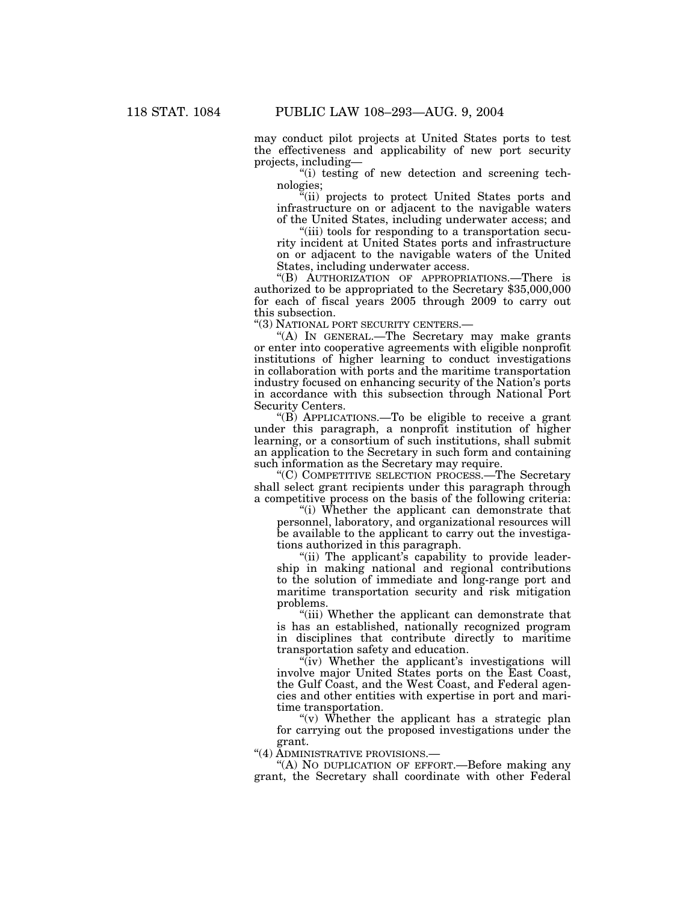may conduct pilot projects at United States ports to test the effectiveness and applicability of new port security projects, including—

''(i) testing of new detection and screening technologies;

''(ii) projects to protect United States ports and infrastructure on or adjacent to the navigable waters of the United States, including underwater access; and

"(iii) tools for responding to a transportation security incident at United States ports and infrastructure on or adjacent to the navigable waters of the United States, including underwater access.

''(B) AUTHORIZATION OF APPROPRIATIONS.—There is authorized to be appropriated to the Secretary \$35,000,000 for each of fiscal years 2005 through 2009 to carry out this subsection.

"(3) NATIONAL PORT SECURITY CENTERS.-

''(A) IN GENERAL.—The Secretary may make grants or enter into cooperative agreements with eligible nonprofit institutions of higher learning to conduct investigations in collaboration with ports and the maritime transportation industry focused on enhancing security of the Nation's ports in accordance with this subsection through National Port Security Centers.

''(B) APPLICATIONS.—To be eligible to receive a grant under this paragraph, a nonprofit institution of higher learning, or a consortium of such institutions, shall submit an application to the Secretary in such form and containing such information as the Secretary may require.

''(C) COMPETITIVE SELECTION PROCESS.—The Secretary shall select grant recipients under this paragraph through a competitive process on the basis of the following criteria:

''(i) Whether the applicant can demonstrate that personnel, laboratory, and organizational resources will be available to the applicant to carry out the investigations authorized in this paragraph.

"(ii) The applicant's capability to provide leadership in making national and regional contributions to the solution of immediate and long-range port and maritime transportation security and risk mitigation problems.

"(iii) Whether the applicant can demonstrate that is has an established, nationally recognized program in disciplines that contribute directly to maritime transportation safety and education.

"(iv) Whether the applicant's investigations will involve major United States ports on the East Coast, the Gulf Coast, and the West Coast, and Federal agencies and other entities with expertise in port and maritime transportation.

"(v) Whether the applicant has a strategic plan for carrying out the proposed investigations under the grant.

''(4) ADMINISTRATIVE PROVISIONS.—

''(A) NO DUPLICATION OF EFFORT.—Before making any grant, the Secretary shall coordinate with other Federal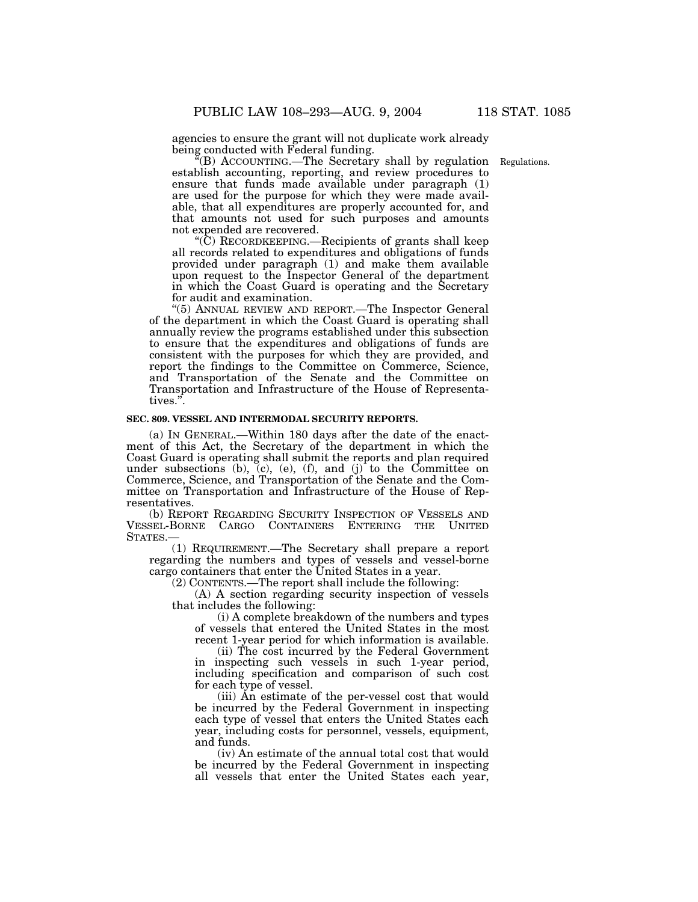agencies to ensure the grant will not duplicate work already being conducted with Federal funding.

Regulations.

''(B) ACCOUNTING.—The Secretary shall by regulation establish accounting, reporting, and review procedures to ensure that funds made available under paragraph (1) are used for the purpose for which they were made available, that all expenditures are properly accounted for, and that amounts not used for such purposes and amounts not expended are recovered.

''(C) RECORDKEEPING.—Recipients of grants shall keep all records related to expenditures and obligations of funds provided under paragraph (1) and make them available upon request to the Inspector General of the department in which the Coast Guard is operating and the Secretary for audit and examination.

''(5) ANNUAL REVIEW AND REPORT.—The Inspector General of the department in which the Coast Guard is operating shall annually review the programs established under this subsection to ensure that the expenditures and obligations of funds are consistent with the purposes for which they are provided, and report the findings to the Committee on Commerce, Science, and Transportation of the Senate and the Committee on Transportation and Infrastructure of the House of Representatives.''.

# **SEC. 809. VESSEL AND INTERMODAL SECURITY REPORTS.**

(a) IN GENERAL.—Within 180 days after the date of the enactment of this Act, the Secretary of the department in which the Coast Guard is operating shall submit the reports and plan required under subsections  $(b)$ ,  $(c)$ ,  $(e)$ ,  $(f)$ , and  $(j)$  to the Committee on Commerce, Science, and Transportation of the Senate and the Committee on Transportation and Infrastructure of the House of Representatives.

(b) REPORT REGARDING SECURITY INSPECTION OF VESSELS AND VESSEL-BORNE CARGO CONTAINERS ENTERING THE UNITED STATES.—

(1) REQUIREMENT.—The Secretary shall prepare a report regarding the numbers and types of vessels and vessel-borne cargo containers that enter the United States in a year.

(2) CONTENTS.—The report shall include the following:

(A) A section regarding security inspection of vessels that includes the following:

(i) A complete breakdown of the numbers and types of vessels that entered the United States in the most recent 1-year period for which information is available.

(ii) The cost incurred by the Federal Government in inspecting such vessels in such 1-year period, including specification and comparison of such cost for each type of vessel.

(iii) An estimate of the per-vessel cost that would be incurred by the Federal Government in inspecting each type of vessel that enters the United States each year, including costs for personnel, vessels, equipment, and funds.

(iv) An estimate of the annual total cost that would be incurred by the Federal Government in inspecting all vessels that enter the United States each year,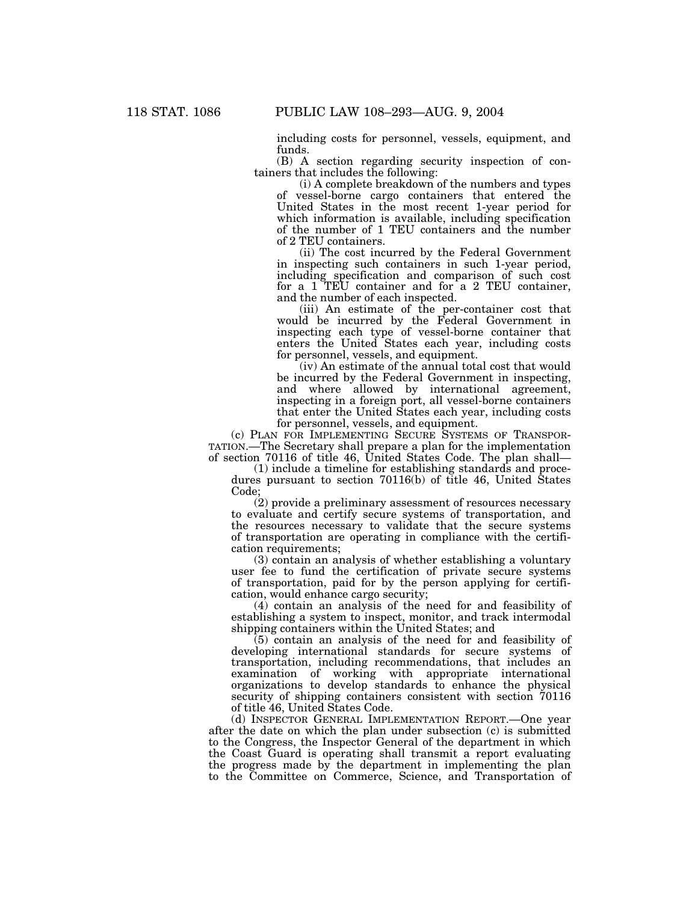including costs for personnel, vessels, equipment, and funds.

(B) A section regarding security inspection of containers that includes the following:

(i) A complete breakdown of the numbers and types of vessel-borne cargo containers that entered the United States in the most recent 1-year period for which information is available, including specification of the number of 1 TEU containers and the number of 2 TEU containers.

(ii) The cost incurred by the Federal Government in inspecting such containers in such 1-year period, including specification and comparison of such cost for a 1 TEU container and for a 2 TEU container, and the number of each inspected.

(iii) An estimate of the per-container cost that would be incurred by the Federal Government in inspecting each type of vessel-borne container that enters the United States each year, including costs for personnel, vessels, and equipment.

(iv) An estimate of the annual total cost that would be incurred by the Federal Government in inspecting, and where allowed by international agreement, inspecting in a foreign port, all vessel-borne containers that enter the United States each year, including costs for personnel, vessels, and equipment.

(c) PLAN FOR IMPLEMENTING SECURE SYSTEMS OF TRANSPOR-TATION.—The Secretary shall prepare a plan for the implementation of section 70116 of title 46, United States Code. The plan shall—

(1) include a timeline for establishing standards and procedures pursuant to section 70116(b) of title 46, United States Code;

(2) provide a preliminary assessment of resources necessary to evaluate and certify secure systems of transportation, and the resources necessary to validate that the secure systems of transportation are operating in compliance with the certification requirements;

(3) contain an analysis of whether establishing a voluntary user fee to fund the certification of private secure systems of transportation, paid for by the person applying for certification, would enhance cargo security;

(4) contain an analysis of the need for and feasibility of establishing a system to inspect, monitor, and track intermodal shipping containers within the United States; and

(5) contain an analysis of the need for and feasibility of developing international standards for secure systems of transportation, including recommendations, that includes an examination of working with appropriate international organizations to develop standards to enhance the physical security of shipping containers consistent with section  $70116$ of title 46, United States Code.

(d) INSPECTOR GENERAL IMPLEMENTATION REPORT.—One year after the date on which the plan under subsection (c) is submitted to the Congress, the Inspector General of the department in which the Coast Guard is operating shall transmit a report evaluating the progress made by the department in implementing the plan to the Committee on Commerce, Science, and Transportation of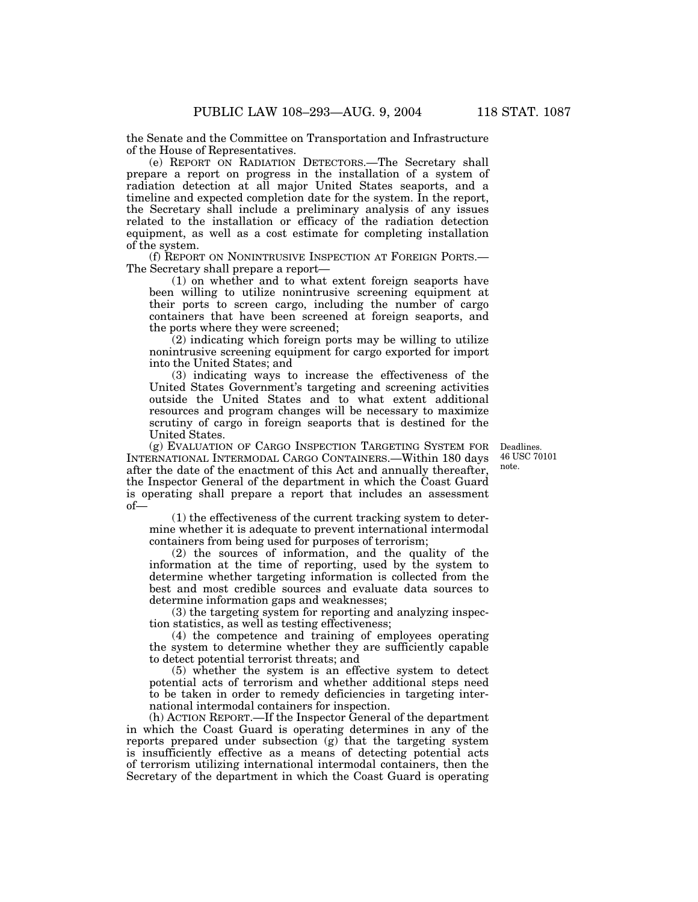the Senate and the Committee on Transportation and Infrastructure of the House of Representatives.

(e) REPORT ON RADIATION DETECTORS.—The Secretary shall prepare a report on progress in the installation of a system of radiation detection at all major United States seaports, and a timeline and expected completion date for the system. In the report, the Secretary shall include a preliminary analysis of any issues related to the installation or efficacy of the radiation detection equipment, as well as a cost estimate for completing installation of the system.

(f) REPORT ON NONINTRUSIVE INSPECTION AT FOREIGN PORTS.— The Secretary shall prepare a report—

(1) on whether and to what extent foreign seaports have been willing to utilize nonintrusive screening equipment at their ports to screen cargo, including the number of cargo containers that have been screened at foreign seaports, and the ports where they were screened;

(2) indicating which foreign ports may be willing to utilize nonintrusive screening equipment for cargo exported for import into the United States; and

(3) indicating ways to increase the effectiveness of the United States Government's targeting and screening activities outside the United States and to what extent additional resources and program changes will be necessary to maximize scrutiny of cargo in foreign seaports that is destined for the United States.

(g) EVALUATION OF CARGO INSPECTION TARGETING SYSTEM FOR INTERNATIONAL INTERMODAL CARGO CONTAINERS.—Within 180 days after the date of the enactment of this Act and annually thereafter, the Inspector General of the department in which the Coast Guard is operating shall prepare a report that includes an assessment of—

(1) the effectiveness of the current tracking system to determine whether it is adequate to prevent international intermodal containers from being used for purposes of terrorism;

(2) the sources of information, and the quality of the information at the time of reporting, used by the system to determine whether targeting information is collected from the best and most credible sources and evaluate data sources to determine information gaps and weaknesses;

(3) the targeting system for reporting and analyzing inspection statistics, as well as testing effectiveness;

(4) the competence and training of employees operating the system to determine whether they are sufficiently capable to detect potential terrorist threats; and

(5) whether the system is an effective system to detect potential acts of terrorism and whether additional steps need to be taken in order to remedy deficiencies in targeting international intermodal containers for inspection.

(h) ACTION REPORT.—If the Inspector General of the department in which the Coast Guard is operating determines in any of the reports prepared under subsection (g) that the targeting system is insufficiently effective as a means of detecting potential acts of terrorism utilizing international intermodal containers, then the Secretary of the department in which the Coast Guard is operating

Deadlines. 46 USC 70101 note.